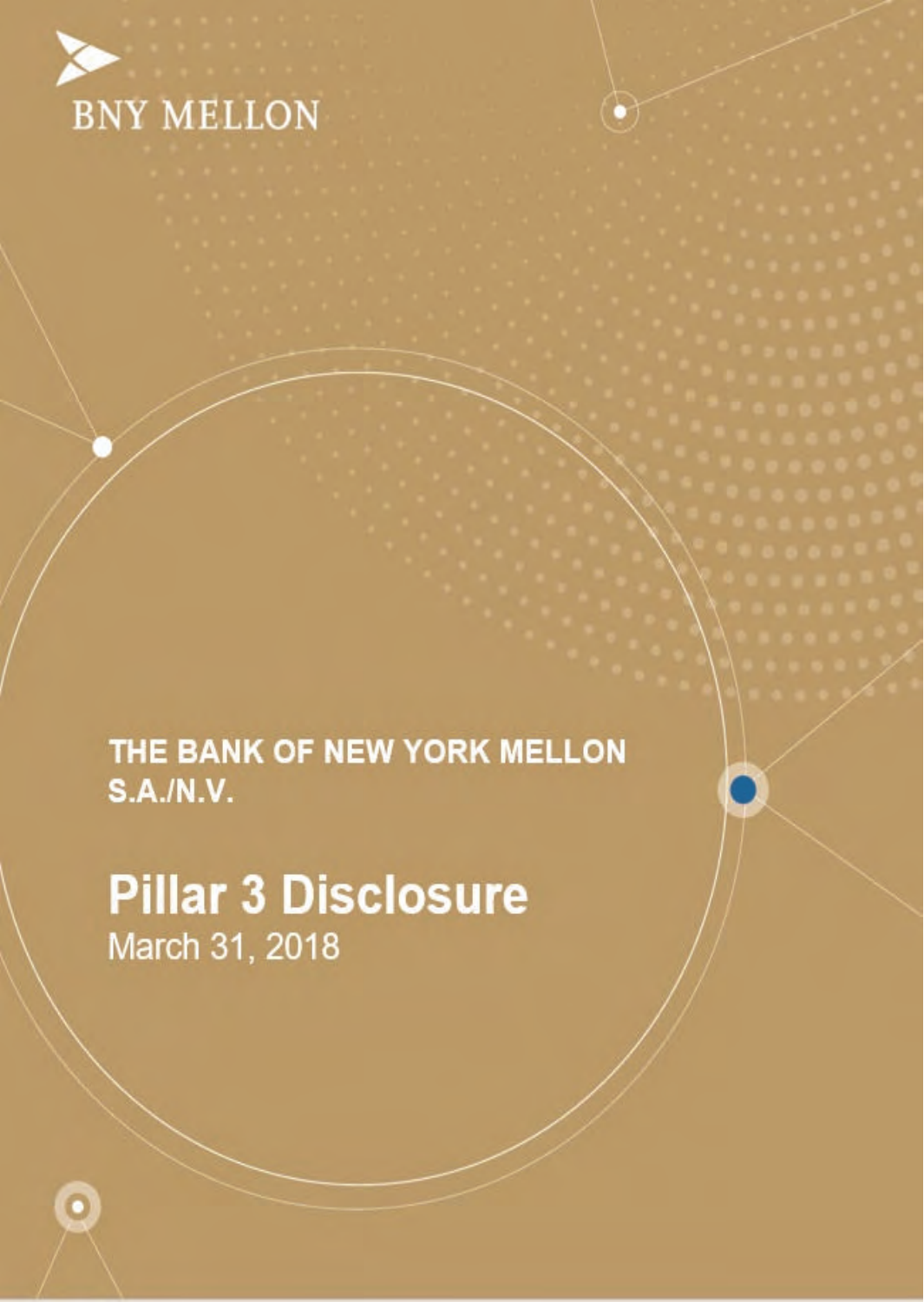

THE BANK OF NEW YORK MELLON **S.A./N.V.** 

**Pillar 3 Disclosure** March 31, 2018

 $\bullet$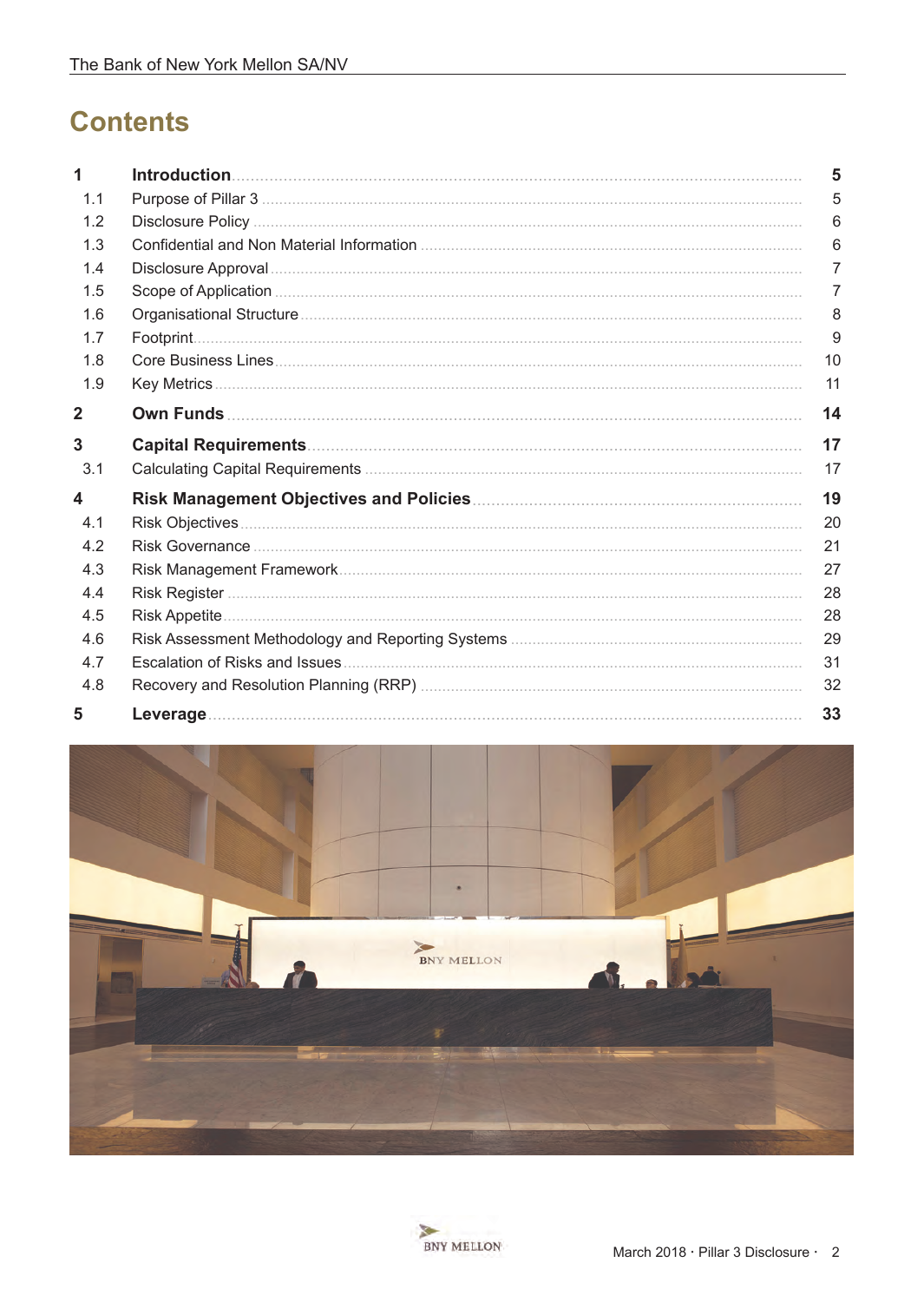# **Contents**

| 1              | 5              |
|----------------|----------------|
| 1.1            | 5              |
| 1.2            | 6              |
| 1.3            | 6              |
| 1.4            | $\overline{7}$ |
| 1.5            | 7              |
| 1.6            | 8              |
| 1.7            | 9              |
| 1.8            | 10             |
| 1.9            | 11             |
| $\overline{2}$ | 14             |
| 3              | 17             |
| 3.1            | 17             |
| 4              | 19             |
| 4.1            | 20             |
| 4.2            | 21             |
| 4.3            | 27             |
| 4.4            | 28             |
| 4.5            | 28             |
| 4.6            | 29             |
| 4.7            | 31             |
| 4.8            | 32             |
| 5              | 33             |



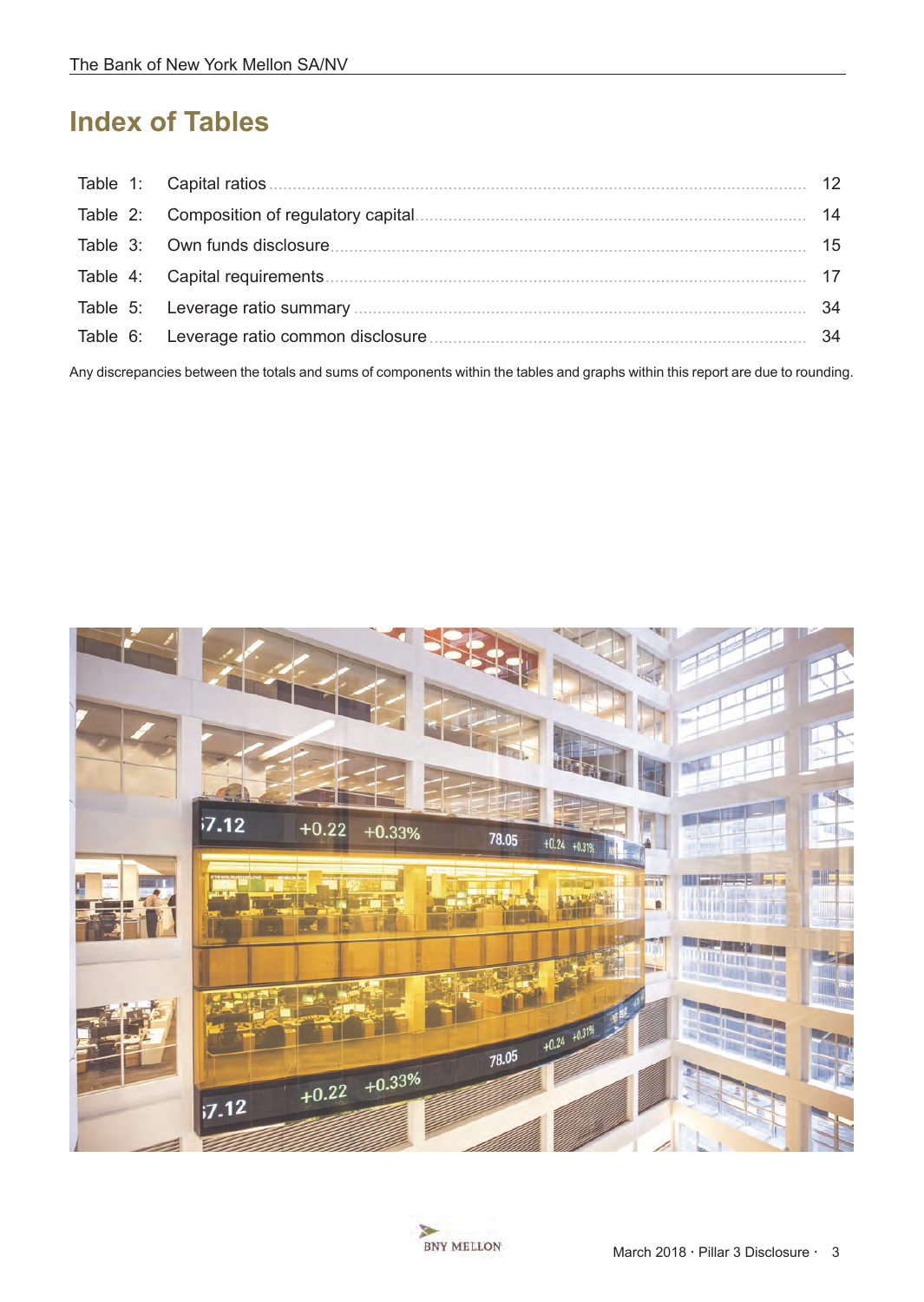# **Index of Tables**

|  | 12 |
|--|----|
|  | 14 |
|  | 15 |
|  | 17 |
|  | 34 |
|  | 34 |
|  |    |

Any discrepancies between the totals and sums of components within the tables and graphs within this report are due to rounding.



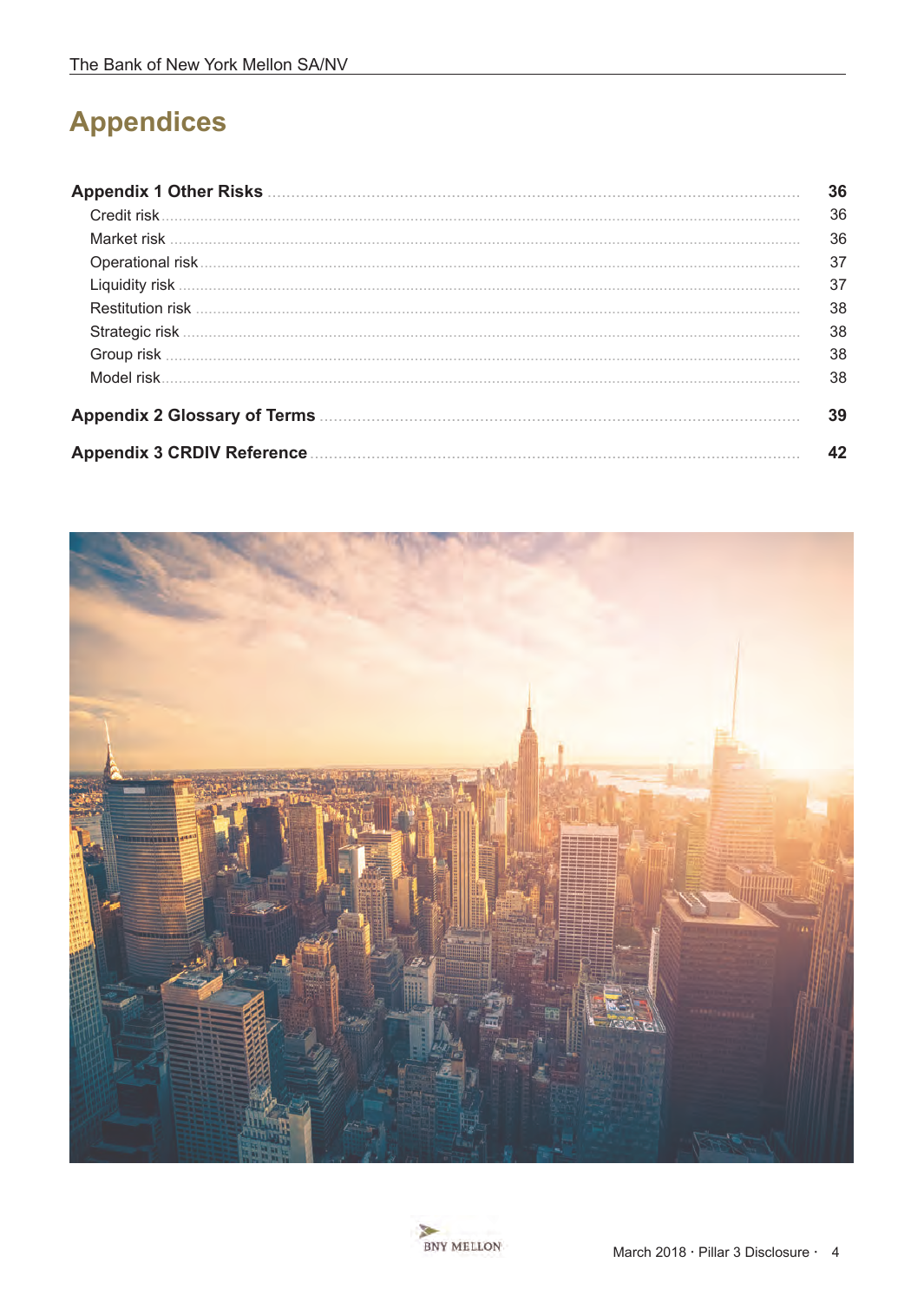# **Appendices**

| <b>Appendix 1 Other Risks</b>     | 36 |
|-----------------------------------|----|
| Credit risk                       | 36 |
|                                   | 36 |
|                                   | 37 |
|                                   | 37 |
| <b>Restitution risk</b>           | 38 |
|                                   | 38 |
|                                   | 38 |
| Model risk                        | 38 |
|                                   | 39 |
| <b>Appendix 3 CRDIV Reference</b> | 42 |



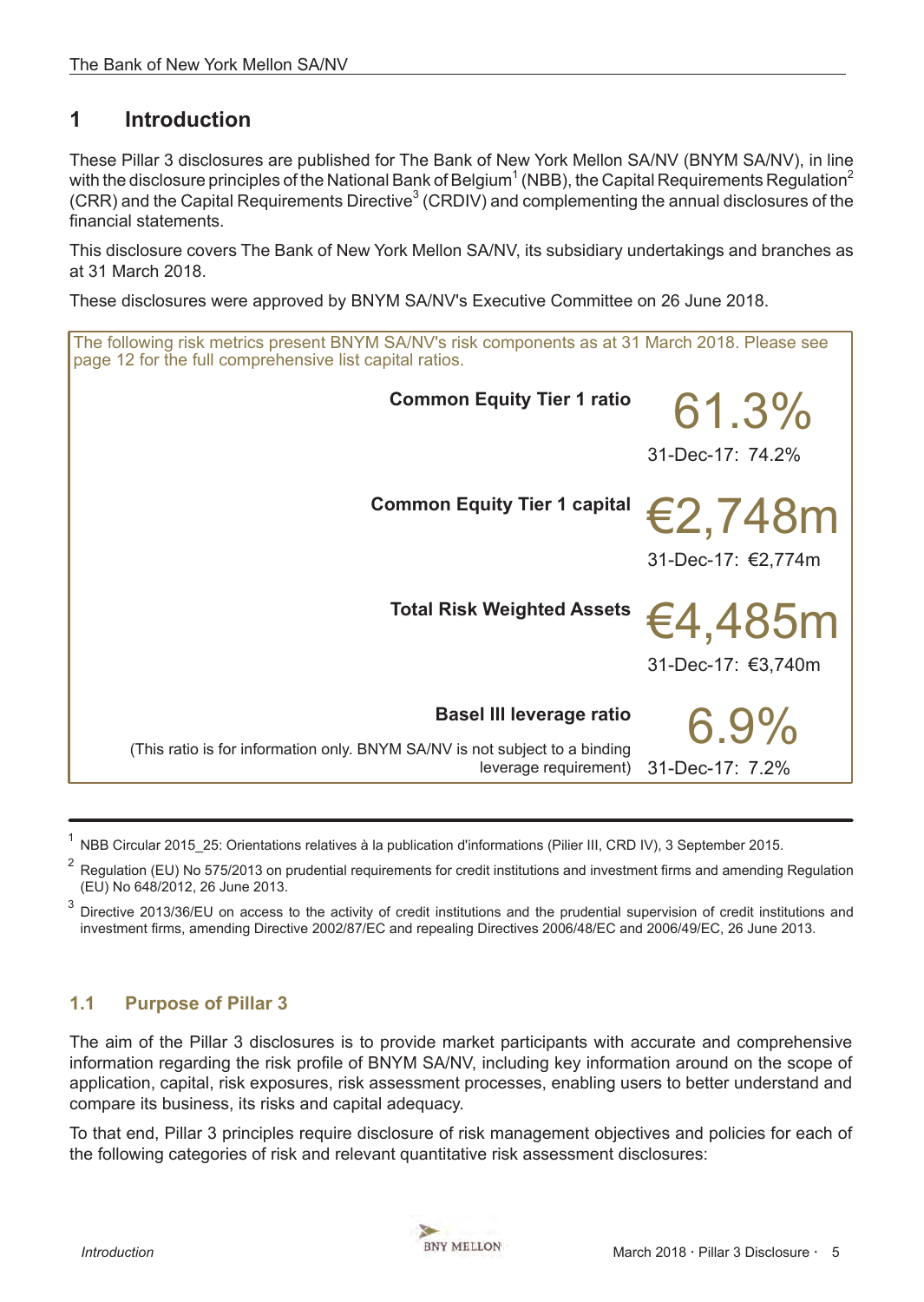# <span id="page-4-0"></span>**1 Introduction**

These Pillar 3 disclosures are published for The Bank of New York Mellon SA/NV (BNYM SA/NV), in line with the disclosure principles of the National Bank of Belgium<sup>1</sup> (NBB), the Capital Requirements Regulation<sup>2</sup>  $(CRR)$  and the Capital Requirements Directive<sup>3</sup> (CRDIV) and complementing the annual disclosures of the financial statements.

This disclosure covers The Bank of New York Mellon SA/NV, its subsidiary undertakings and branches as at 31 March 2018.

These disclosures were approved by BNYM SA/NV's Executive Committee on 26 June 2018.

| The following risk metrics present BNYM SA/NV's risk components as at 31 March 2018. Please see<br>page 12 for the full comprehensive list capital ratios. |                    |  |
|------------------------------------------------------------------------------------------------------------------------------------------------------------|--------------------|--|
| <b>Common Equity Tier 1 ratio</b>                                                                                                                          | 61.3%              |  |
|                                                                                                                                                            | 31-Dec-17: 74.2%   |  |
| <b>Common Equity Tier 1 capital</b>                                                                                                                        | €2,748m            |  |
|                                                                                                                                                            | 31-Dec-17: €2,774m |  |
| <b>Total Risk Weighted Assets</b>                                                                                                                          | €4,485m            |  |
|                                                                                                                                                            | 31-Dec-17: €3,740m |  |
| <b>Basel III leverage ratio</b>                                                                                                                            | $6.9\%$            |  |
| (This ratio is for information only. BNYM SA/NV is not subject to a binding<br>leverage requirement)                                                       | 31-Dec-17: 7.2%    |  |

1 NBB Circular 2015\_25: Orientations relatives à la publication d'informations (Pilier III, CRD IV), 3 September 2015.

<sup>2</sup> Regulation (EU) No 575/2013 on prudential requirements for credit institutions and investment firms and amending Regulation (EU) No 648/2012, 26 June 2013.

 $3$  Directive 2013/36/EU on access to the activity of credit institutions and the prudential supervision of credit institutions and investment firms, amending Directive 2002/87/EC and repealing Directives 2006/48/EC and 2006/49/EC, 26 June 2013.

# **1.1 Purpose of Pillar 3**

The aim of the Pillar 3 disclosures is to provide market participants with accurate and comprehensive information regarding the risk profile of BNYM SA/NV, including key information around on the scope of application, capital, risk exposures, risk assessment processes, enabling users to better understand and compare its business, its risks and capital adequacy.

To that end, Pillar 3 principles require disclosure of risk management objectives and policies for each of the following categories of risk and relevant quantitative risk assessment disclosures: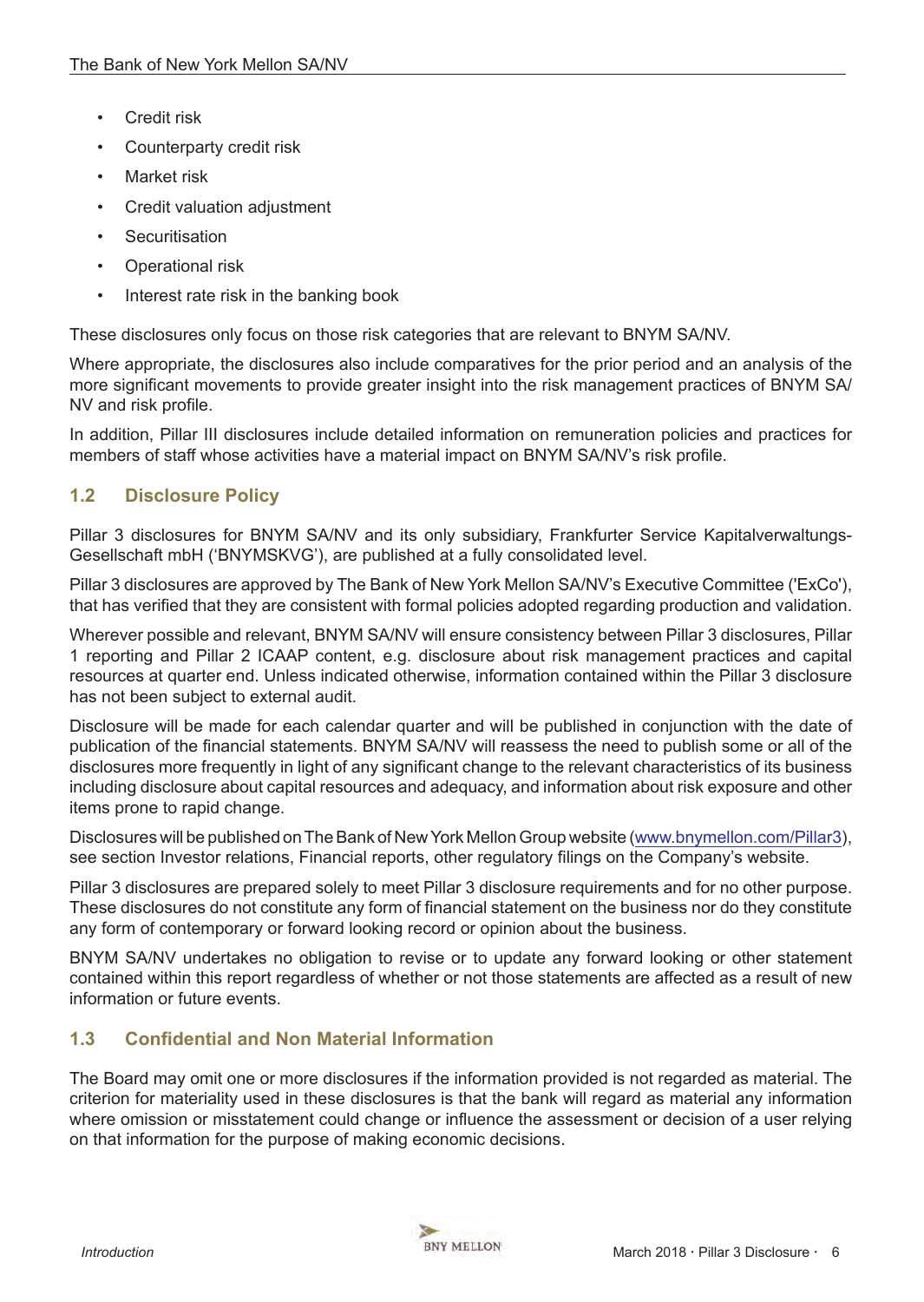- <span id="page-5-0"></span>Credit risk
- Counterparty credit risk
- **Market risk**
- Credit valuation adjustment
- **Securitisation**
- Operational risk
- Interest rate risk in the banking book

These disclosures only focus on those risk categories that are relevant to BNYM SA/NV.

Where appropriate, the disclosures also include comparatives for the prior period and an analysis of the more significant movements to provide greater insight into the risk management practices of BNYM SA/ NV and risk profile.

In addition, Pillar III disclosures include detailed information on remuneration policies and practices for members of staff whose activities have a material impact on BNYM SA/NV's risk profile.

# **1.2 Disclosure Policy**

Pillar 3 disclosures for BNYM SA/NV and its only subsidiary, Frankfurter Service Kapitalverwaltungs-Gesellschaft mbH ('BNYMSKVG'), are published at a fully consolidated level.

Pillar 3 disclosures are approved by The Bank of New York Mellon SA/NV's Executive Committee ('ExCo'), that has verified that they are consistent with formal policies adopted regarding production and validation.

Wherever possible and relevant, BNYM SA/NV will ensure consistency between Pillar 3 disclosures, Pillar 1 reporting and Pillar 2 ICAAP content, e.g. disclosure about risk management practices and capital resources at quarter end. Unless indicated otherwise, information contained within the Pillar 3 disclosure has not been subject to external audit.

Disclosure will be made for each calendar quarter and will be published in conjunction with the date of publication of the financial statements. BNYM SA/NV will reassess the need to publish some or all of the disclosures more frequently in light of any significant change to the relevant characteristics of its business including disclosure about capital resources and adequacy, and information about risk exposure and other items prone to rapid change.

Disclosures will be published on The Bank of New York Mellon Group website ([www.bnymellon.com/Pillar3\)](https://www.bnymellon.com/us/en/investor-relations/other-regulatory.jsp#pillar3), see section Investor relations, Financial reports, other regulatory filings on the Company's website.

Pillar 3 disclosures are prepared solely to meet Pillar 3 disclosure requirements and for no other purpose. These disclosures do not constitute any form of financial statement on the business nor do they constitute any form of contemporary or forward looking record or opinion about the business.

BNYM SA/NV undertakes no obligation to revise or to update any forward looking or other statement contained within this report regardless of whether or not those statements are affected as a result of new information or future events.

# **1.3 Confidential and Non Material Information**

The Board may omit one or more disclosures if the information provided is not regarded as material. The criterion for materiality used in these disclosures is that the bank will regard as material any information where omission or misstatement could change or influence the assessment or decision of a user relying on that information for the purpose of making economic decisions.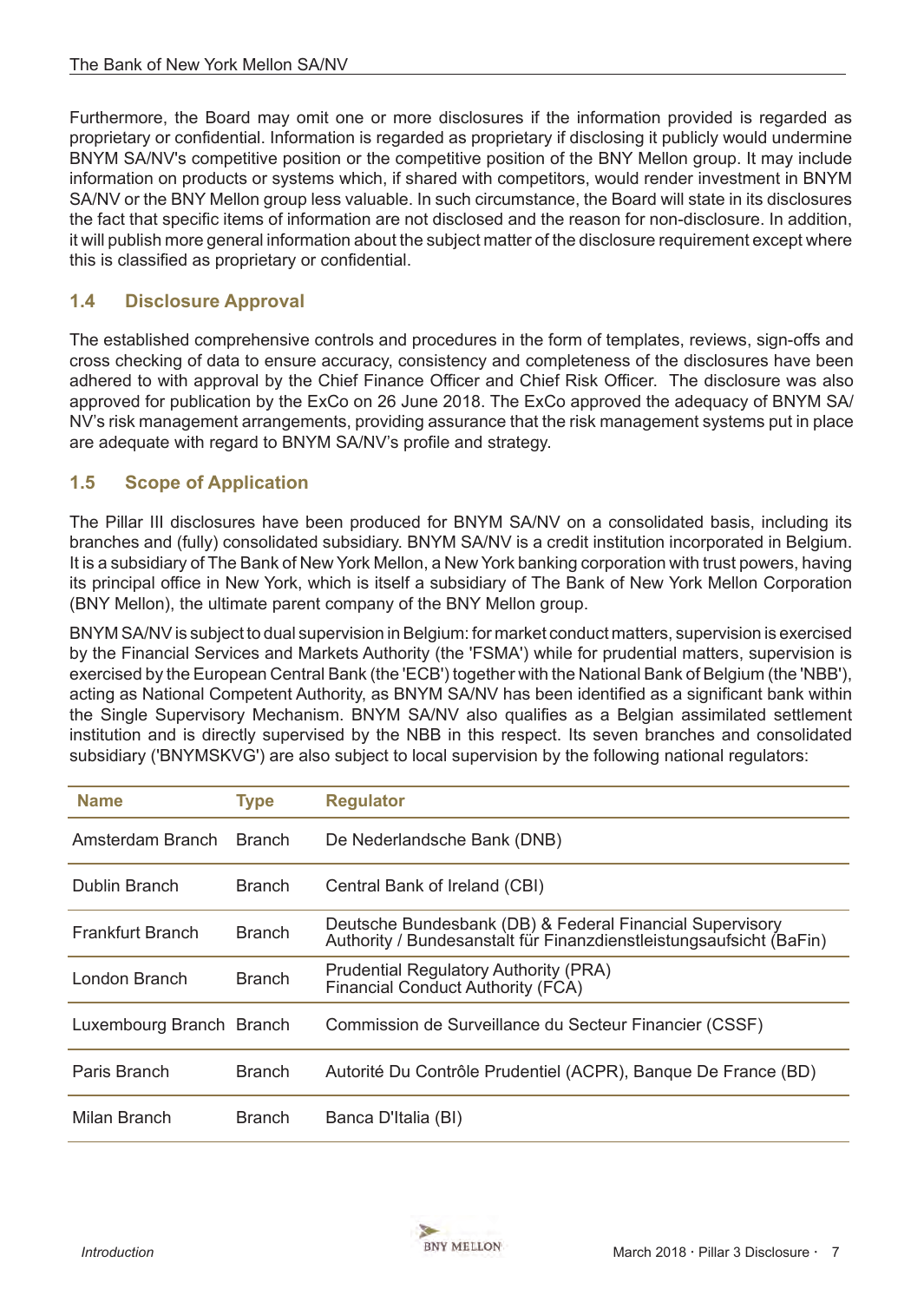<span id="page-6-0"></span>Furthermore, the Board may omit one or more disclosures if the information provided is regarded as proprietary or confidential. Information is regarded as proprietary if disclosing it publicly would undermine BNYM SA/NV's competitive position or the competitive position of the BNY Mellon group. It may include information on products or systems which, if shared with competitors, would render investment in BNYM SA/NV or the BNY Mellon group less valuable. In such circumstance, the Board will state in its disclosures the fact that specific items of information are not disclosed and the reason for non-disclosure. In addition, it will publish more general information about the subject matter of the disclosure requirement except where this is classified as proprietary or confidential.

# **1.4 Disclosure Approval**

The established comprehensive controls and procedures in the form of templates, reviews, sign-offs and cross checking of data to ensure accuracy, consistency and completeness of the disclosures have been adhered to with approval by the Chief Finance Officer and Chief Risk Officer. The disclosure was also approved for publication by the ExCo on 26 June 2018. The ExCo approved the adequacy of BNYM SA/ NV's risk management arrangements, providing assurance that the risk management systems put in place are adequate with regard to BNYM SA/NV's profile and strategy.

## **1.5 Scope of Application**

The Pillar III disclosures have been produced for BNYM SA/NV on a consolidated basis, including its branches and (fully) consolidated subsidiary. BNYM SA/NV is a credit institution incorporated in Belgium. It is a subsidiary of The Bank of New York Mellon, a New York banking corporation with trust powers, having its principal office in New York, which is itself a subsidiary of The Bank of New York Mellon Corporation (BNY Mellon), the ultimate parent company of the BNY Mellon group.

BNYM SA/NV is subject to dual supervision in Belgium: for market conduct matters, supervision is exercised by the Financial Services and Markets Authority (the 'FSMA') while for prudential matters, supervision is exercised by the European Central Bank (the 'ECB') together with the National Bank of Belgium (the 'NBB'), acting as National Competent Authority, as BNYM SA/NV has been identified as a significant bank within the Single Supervisory Mechanism. BNYM SA/NV also qualifies as a Belgian assimilated settlement institution and is directly supervised by the NBB in this respect. Its seven branches and consolidated subsidiary ('BNYMSKVG') are also subject to local supervision by the following national regulators:

| <b>Name</b>              | <b>Type</b>   | <b>Regulator</b>                                                                                                                |
|--------------------------|---------------|---------------------------------------------------------------------------------------------------------------------------------|
| Amsterdam Branch         | <b>Branch</b> | De Nederlandsche Bank (DNB)                                                                                                     |
| Dublin Branch            | <b>Branch</b> | Central Bank of Ireland (CBI)                                                                                                   |
| Frankfurt Branch         | <b>Branch</b> | Deutsche Bundesbank (DB) & Federal Financial Supervisory<br>Authority / Bundesanstalt für Finanzdienstleistungsaufsicht (BaFin) |
| London Branch            | <b>Branch</b> | <b>Prudential Regulatory Authority (PRA)</b><br>Financial Conduct Authority (FCA)                                               |
| Luxembourg Branch Branch |               | Commission de Surveillance du Secteur Financier (CSSF)                                                                          |
| Paris Branch             | <b>Branch</b> | Autorité Du Contrôle Prudentiel (ACPR), Banque De France (BD)                                                                   |
| Milan Branch             | <b>Branch</b> | Banca D'Italia (BI)                                                                                                             |

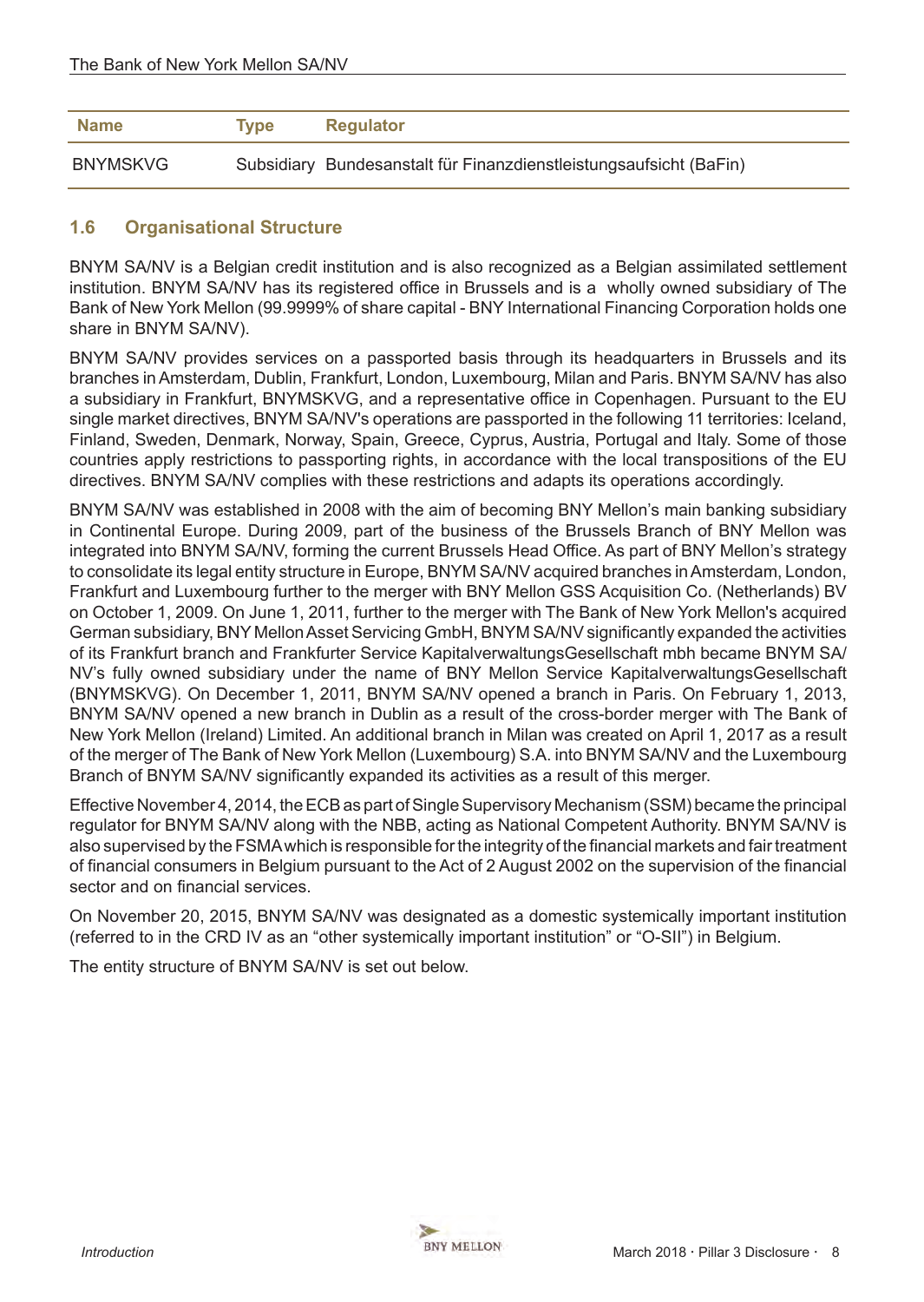<span id="page-7-0"></span>

| Name            | <b>Type</b> | <b>Regulator</b>                                                   |
|-----------------|-------------|--------------------------------------------------------------------|
| <b>BNYMSKVG</b> |             | Subsidiary Bundesanstalt für Finanzdienstleistungsaufsicht (BaFin) |

## **1.6 Organisational Structure**

BNYM SA/NV is a Belgian credit institution and is also recognized as a Belgian assimilated settlement institution. BNYM SA/NV has its registered office in Brussels and is a wholly owned subsidiary of The Bank of New York Mellon (99.9999% of share capital - BNY International Financing Corporation holds one share in BNYM SA/NV).

BNYM SA/NV provides services on a passported basis through its headquarters in Brussels and its branches in Amsterdam, Dublin, Frankfurt, London, Luxembourg, Milan and Paris. BNYM SA/NV has also a subsidiary in Frankfurt, BNYMSKVG, and a representative office in Copenhagen. Pursuant to the EU single market directives, BNYM SA/NV's operations are passported in the following 11 territories: Iceland, Finland, Sweden, Denmark, Norway, Spain, Greece, Cyprus, Austria, Portugal and Italy. Some of those countries apply restrictions to passporting rights, in accordance with the local transpositions of the EU directives. BNYM SA/NV complies with these restrictions and adapts its operations accordingly.

BNYM SA/NV was established in 2008 with the aim of becoming BNY Mellon's main banking subsidiary in Continental Europe. During 2009, part of the business of the Brussels Branch of BNY Mellon was integrated into BNYM SA/NV, forming the current Brussels Head Office. As part of BNY Mellon's strategy to consolidate its legal entity structure in Europe, BNYM SA/NV acquired branches in Amsterdam, London, Frankfurt and Luxembourg further to the merger with BNY Mellon GSS Acquisition Co. (Netherlands) BV on October 1, 2009. On June 1, 2011, further to the merger with The Bank of New York Mellon's acquired German subsidiary, BNY Mellon Asset Servicing GmbH, BNYM SA/NV significantly expanded the activities of its Frankfurt branch and Frankfurter Service KapitalverwaltungsGesellschaft mbh became BNYM SA/ NV's fully owned subsidiary under the name of BNY Mellon Service KapitalverwaltungsGesellschaft (BNYMSKVG). On December 1, 2011, BNYM SA/NV opened a branch in Paris. On February 1, 2013, BNYM SA/NV opened a new branch in Dublin as a result of the cross-border merger with The Bank of New York Mellon (Ireland) Limited. An additional branch in Milan was created on April 1, 2017 as a result of the merger of The Bank of New York Mellon (Luxembourg) S.A. into BNYM SA/NV and the Luxembourg Branch of BNYM SA/NV significantly expanded its activities as a result of this merger.

Effective November 4, 2014, the ECB as part of Single Supervisory Mechanism (SSM) became the principal regulator for BNYM SA/NV along with the NBB, acting as National Competent Authority. BNYM SA/NV is also supervised by the FSMAwhich is responsible for the integrity of the financial markets and fair treatment of financial consumers in Belgium pursuant to the Act of 2 August 2002 on the supervision of the financial sector and on financial services.

On November 20, 2015, BNYM SA/NV was designated as a domestic systemically important institution (referred to in the CRD IV as an "other systemically important institution" or "O-SII") in Belgium.

The entity structure of BNYM SA/NV is set out below.

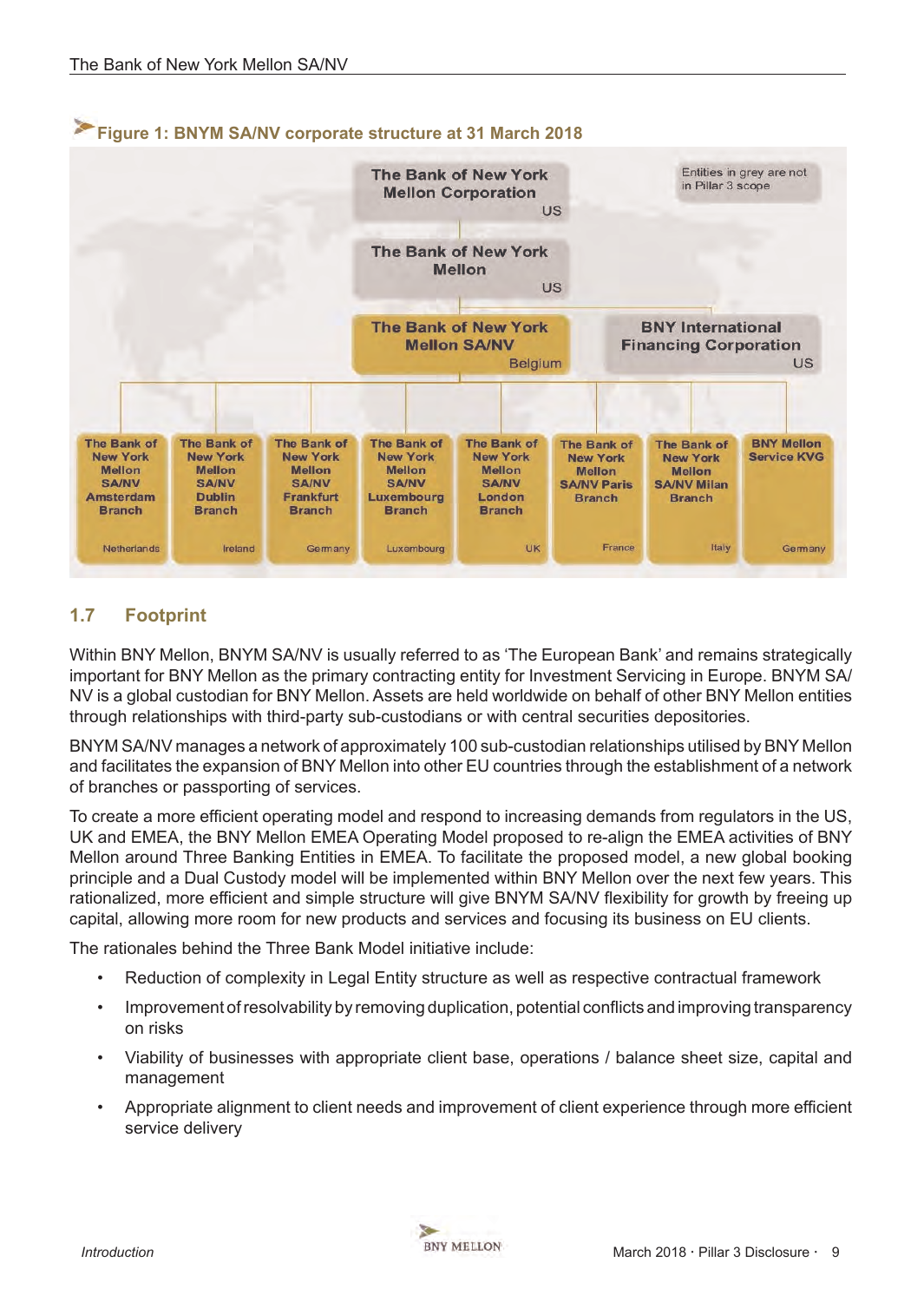<span id="page-8-0"></span>

# **1.7 Footprint**

Within BNY Mellon, BNYM SA/NV is usually referred to as 'The European Bank' and remains strategically important for BNY Mellon as the primary contracting entity for Investment Servicing in Europe. BNYM SA/ NV is a global custodian for BNY Mellon. Assets are held worldwide on behalf of other BNY Mellon entities through relationships with third-party sub-custodians or with central securities depositories.

BNYM SA/NV manages a network of approximately 100 sub-custodian relationships utilised by BNY Mellon and facilitates the expansion of BNY Mellon into other EU countries through the establishment of a network of branches or passporting of services.

To create a more efficient operating model and respond to increasing demands from regulators in the US, UK and EMEA, the BNY Mellon EMEA Operating Model proposed to re-align the EMEA activities of BNY Mellon around Three Banking Entities in EMEA. To facilitate the proposed model, a new global booking principle and a Dual Custody model will be implemented within BNY Mellon over the next few years. This rationalized, more efficient and simple structure will give BNYM SA/NV flexibility for growth by freeing up capital, allowing more room for new products and services and focusing its business on EU clients.

The rationales behind the Three Bank Model initiative include:

- Reduction of complexity in Legal Entity structure as well as respective contractual framework
- Improvement of resolvability by removing duplication, potential conflicts and improving transparency on risks
- Viability of businesses with appropriate client base, operations / balance sheet size, capital and management
- Appropriate alignment to client needs and improvement of client experience through more efficient service delivery

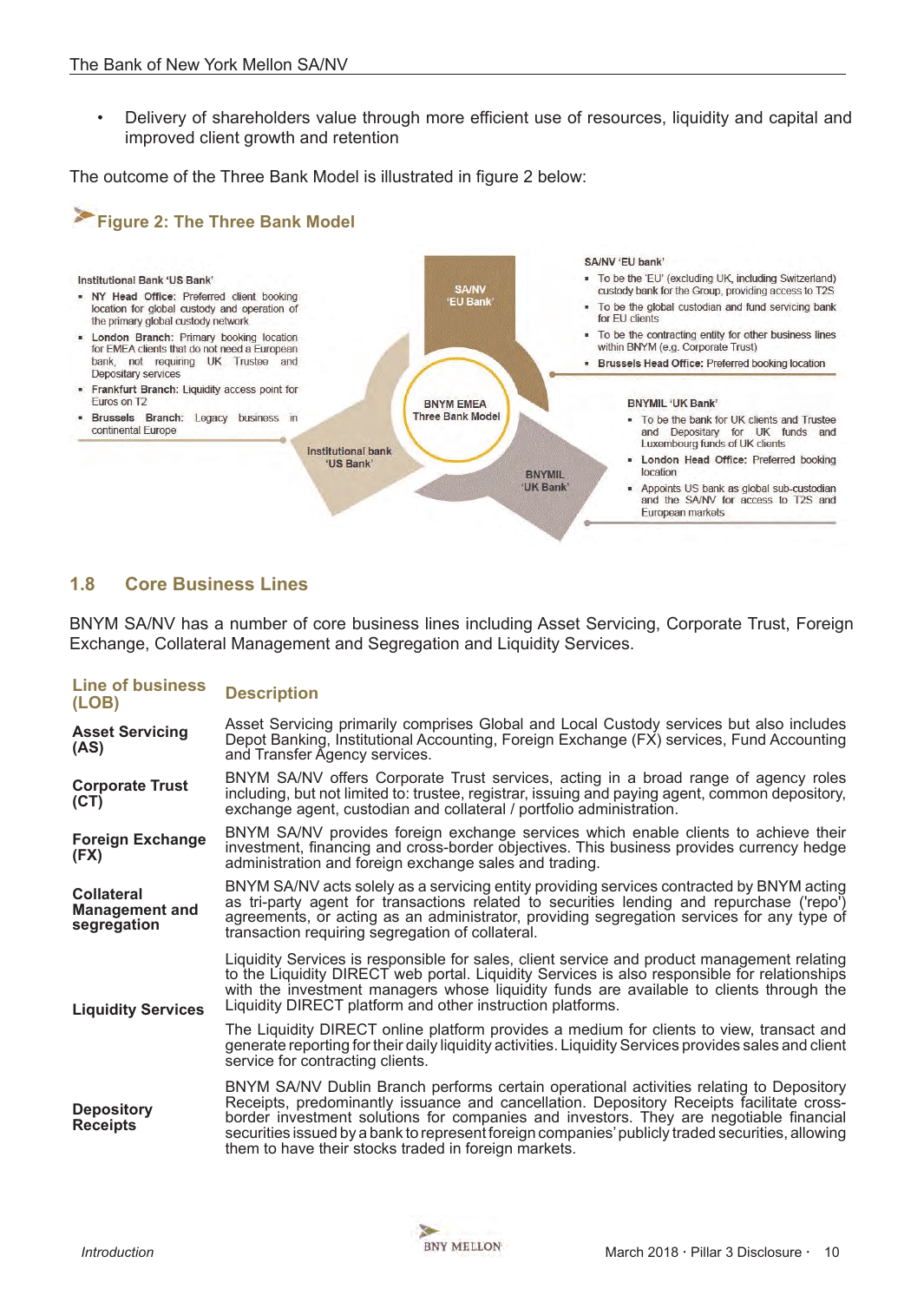<span id="page-9-0"></span>• Delivery of shareholders value through more efficient use of resources, liquidity and capital and improved client growth and retention

The outcome of the Three Bank Model is illustrated in figure 2 below:



## **1.8 Core Business Lines**

BNYM SA/NV has a number of core business lines including Asset Servicing, Corporate Trust, Foreign Exchange, Collateral Management and Segregation and Liquidity Services.

| <b>Line of business</b><br>(LOB)                          | <b>Description</b>                                                                                                                                                                                                                                                                                                                                                                                                                        |  |  |  |  |
|-----------------------------------------------------------|-------------------------------------------------------------------------------------------------------------------------------------------------------------------------------------------------------------------------------------------------------------------------------------------------------------------------------------------------------------------------------------------------------------------------------------------|--|--|--|--|
| <b>Asset Servicing</b><br>(AS)                            | Asset Servicing primarily comprises Global and Local Custody services but also includes<br>Depot Banking, Institutional Accounting, Foreign Exchange (FX) services, Fund Accounting<br>and Transfer Agency services.                                                                                                                                                                                                                      |  |  |  |  |
| <b>Corporate Trust</b><br>(CT)                            | BNYM SA/NV offers Corporate Trust services, acting in a broad range of agency roles<br>including, but not limited to: trustee, registrar, issuing and paying agent, common depository,<br>exchange agent, custodian and collateral / portfolio administration.                                                                                                                                                                            |  |  |  |  |
| <b>Foreign Exchange</b><br>(FX)                           | BNYM SA/NV provides foreign exchange services which enable clients to achieve their<br>investment, financing and cross-border objectives. This business provides currency hedge<br>administration and foreign exchange sales and trading.                                                                                                                                                                                                 |  |  |  |  |
| <b>Collateral</b><br><b>Management and</b><br>segregation | BNYM SA/NV acts solely as a servicing entity providing services contracted by BNYM acting<br>as tri-party agent for transactions related to securities lending and repurchase ('repo')<br>agreements, or acting as an administrator, providing segregation services for any type of<br>transaction requiring segregation of collateral.                                                                                                   |  |  |  |  |
| <b>Liquidity Services</b>                                 | Liquidity Services is responsible for sales, client service and product management relating<br>to the Liquidity DIRECT web portal. Liquidity Services is also responsible for relationships<br>with the investment managers whose liquidity funds are available to clients through the<br>Liquidity DIRECT platform and other instruction platforms.                                                                                      |  |  |  |  |
|                                                           | The Liquidity DIRECT online platform provides a medium for clients to view, transact and<br>generate reporting for their daily liquidity activities. Liquidity Services provides sales and client<br>service for contracting clients.                                                                                                                                                                                                     |  |  |  |  |
| <b>Depository</b><br><b>Receipts</b>                      | BNYM SA/NV Dublin Branch performs certain operational activities relating to Depository<br>Receipts, predominantly issuance and cancellation. Depository Receipts facilitate cross-<br>border investment solutions for companies and investors. They are negotiable financial<br>securities issued by a bank to represent foreign companies' publicly traded securities, allowing<br>them to have their stocks traded in foreign markets. |  |  |  |  |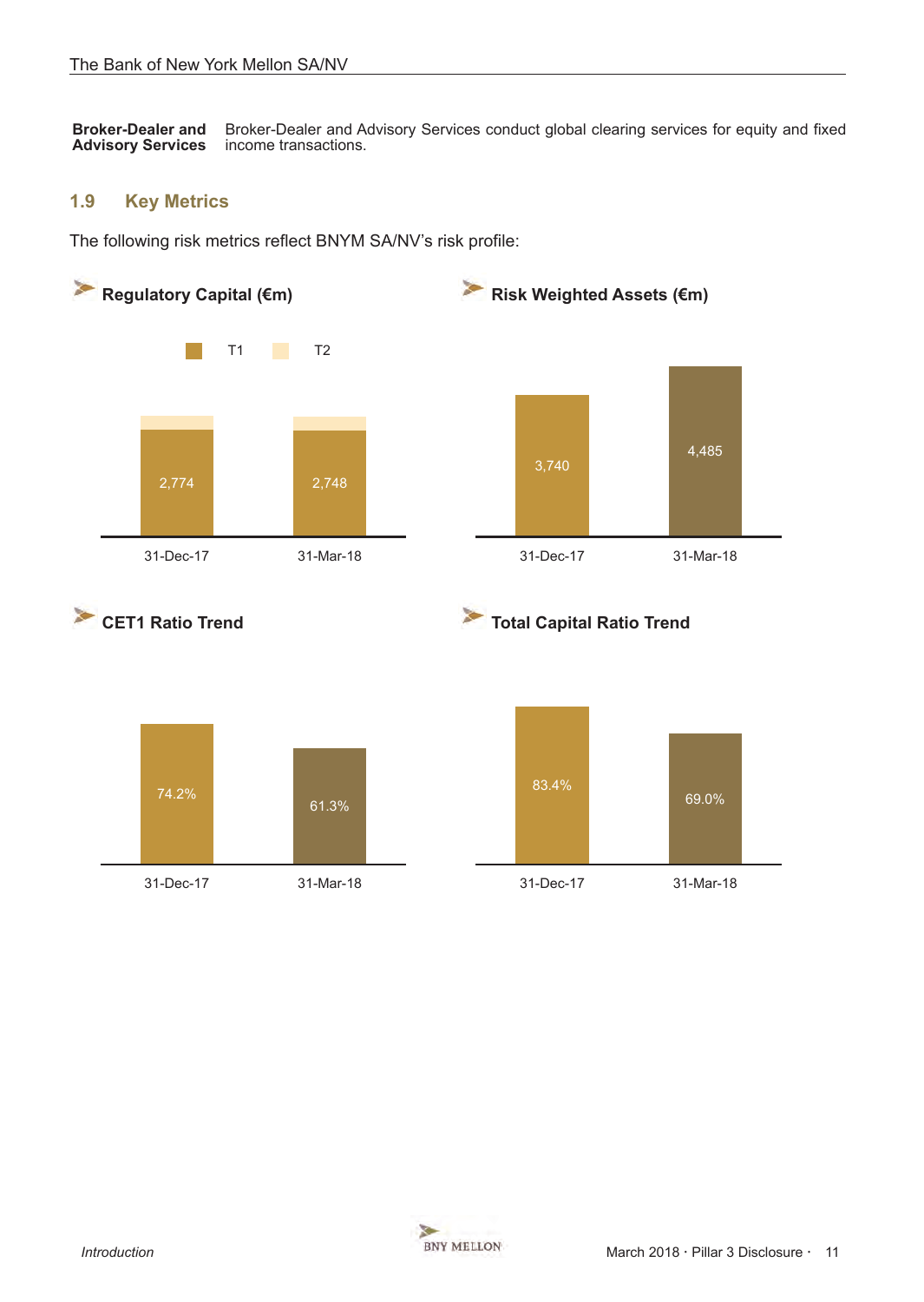<span id="page-10-0"></span>**Broker-Dealer and Advisory Services**  Broker-Dealer and Advisory Services conduct global clearing services for equity and fixed income transactions.

#### **1.9 Key Metrics**

The following risk metrics reflect BNYM SA/NV's risk profile:

61.3%







31-Dec-17 31-Mar-18 31-Dec-17 31-Mar-18

69.0%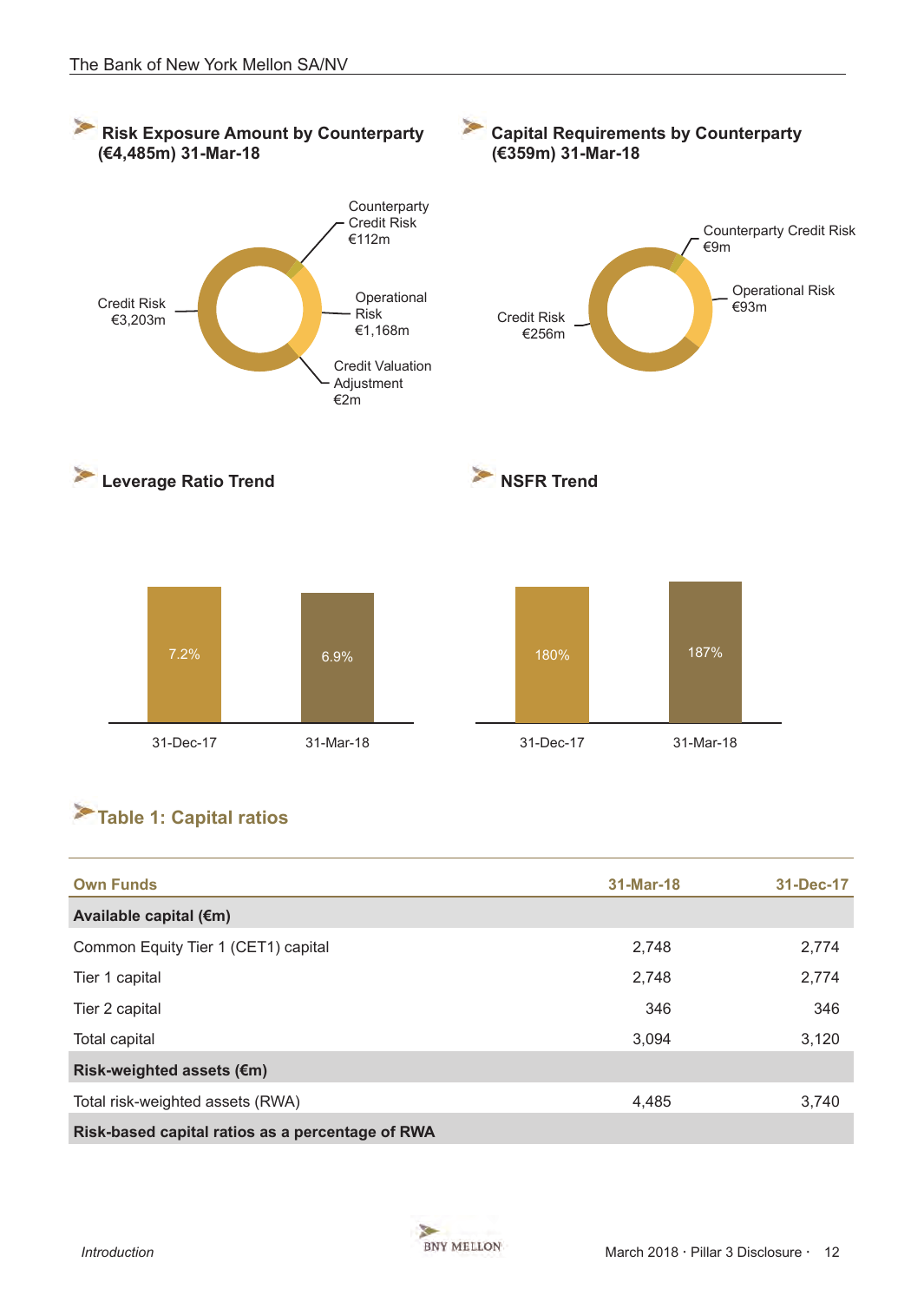<span id="page-11-0"></span>

# **Table 1: Capital ratios**

| <b>Own Funds</b>                                 | 31-Mar-18 | 31-Dec-17 |
|--------------------------------------------------|-----------|-----------|
| Available capital (€m)                           |           |           |
| Common Equity Tier 1 (CET1) capital              | 2,748     | 2,774     |
| Tier 1 capital                                   | 2,748     | 2,774     |
| Tier 2 capital                                   | 346       | 346       |
| Total capital                                    | 3,094     | 3,120     |
| Risk-weighted assets (€m)                        |           |           |
| Total risk-weighted assets (RWA)                 | 4,485     | 3,740     |
| Risk-based capital ratios as a percentage of RWA |           |           |

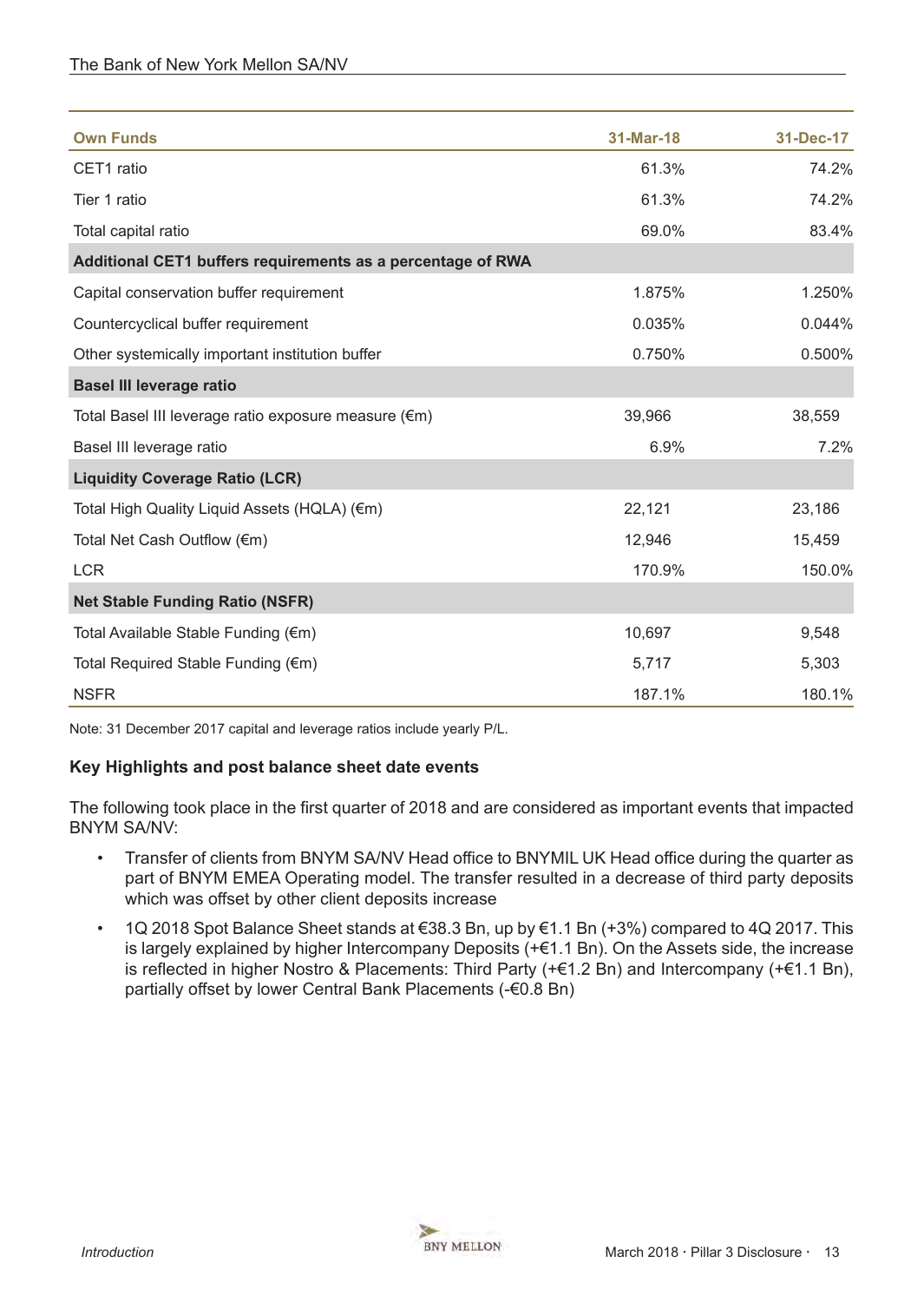| <b>Own Funds</b>                                            | 31-Mar-18 | 31-Dec-17 |
|-------------------------------------------------------------|-----------|-----------|
| CET1 ratio                                                  | 61.3%     | 74.2%     |
| Tier 1 ratio                                                | 61.3%     | 74.2%     |
| Total capital ratio                                         | 69.0%     | 83.4%     |
| Additional CET1 buffers requirements as a percentage of RWA |           |           |
| Capital conservation buffer requirement                     | 1.875%    | 1.250%    |
| Countercyclical buffer requirement                          | 0.035%    | 0.044%    |
| Other systemically important institution buffer             | 0.750%    | 0.500%    |
| <b>Basel III leverage ratio</b>                             |           |           |
| Total Basel III leverage ratio exposure measure (€m)        | 39,966    | 38,559    |
| Basel III leverage ratio                                    | 6.9%      | 7.2%      |
| <b>Liquidity Coverage Ratio (LCR)</b>                       |           |           |
| Total High Quality Liquid Assets (HQLA) (€m)                | 22,121    | 23,186    |
| Total Net Cash Outflow (€m)                                 | 12,946    | 15,459    |
| <b>LCR</b>                                                  | 170.9%    | 150.0%    |
| <b>Net Stable Funding Ratio (NSFR)</b>                      |           |           |
| Total Available Stable Funding (€m)                         | 10,697    | 9,548     |
| Total Required Stable Funding (€m)                          | 5,717     | 5,303     |
| <b>NSFR</b>                                                 | 187.1%    | 180.1%    |

Note: 31 December 2017 capital and leverage ratios include yearly P/L.

## **Key Highlights and post balance sheet date events**

The following took place in the first quarter of 2018 and are considered as important events that impacted BNYM SA/NV:

- Transfer of clients from BNYM SA/NV Head office to BNYMIL UK Head office during the quarter as part of BNYM EMEA Operating model. The transfer resulted in a decrease of third party deposits which was offset by other client deposits increase
- 1Q 2018 Spot Balance Sheet stands at €38.3 Bn, up by €1.1 Bn (+3%) compared to 4Q 2017. This is largely explained by higher Intercompany Deposits (+€1.1 Bn). On the Assets side, the increase is reflected in higher Nostro & Placements: Third Party (+€1.2 Bn) and Intercompany (+€1.1 Bn), partially offset by lower Central Bank Placements (-€0.8 Bn)

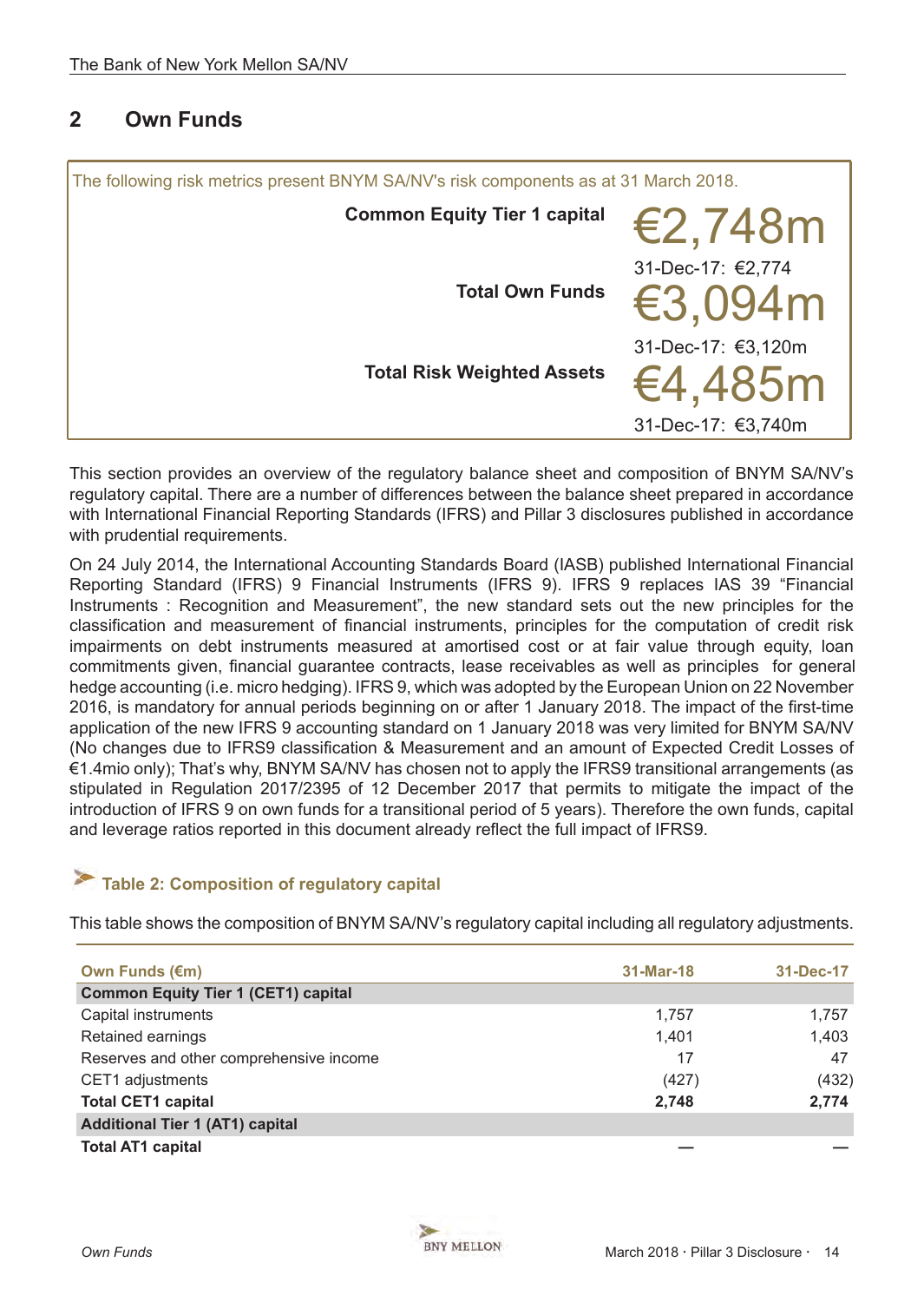# <span id="page-13-0"></span>**2 Own Funds**

| <b>Common Equity Tier 1 capital</b>                                                      |  |
|------------------------------------------------------------------------------------------|--|
| €2,748m                                                                                  |  |
| 31-Dec-17: €2,774<br><b>Total Own Funds</b><br>€3,094m                                   |  |
| 31-Dec-17: €3,120m<br><b>Total Risk Weighted Assets</b><br>€4,485m<br>31-Dec-17: €3,740m |  |

This section provides an overview of the regulatory balance sheet and composition of BNYM SA/NV's regulatory capital. There are a number of differences between the balance sheet prepared in accordance with International Financial Reporting Standards (IFRS) and Pillar 3 disclosures published in accordance with prudential requirements.

On 24 July 2014, the International Accounting Standards Board (IASB) published International Financial Reporting Standard (IFRS) 9 Financial Instruments (IFRS 9). IFRS 9 replaces IAS 39 "Financial Instruments : Recognition and Measurement", the new standard sets out the new principles for the classification and measurement of financial instruments, principles for the computation of credit risk impairments on debt instruments measured at amortised cost or at fair value through equity, loan commitments given, financial guarantee contracts, lease receivables as well as principles for general hedge accounting (i.e. micro hedging). IFRS 9, which was adopted by the European Union on 22 November 2016, is mandatory for annual periods beginning on or after 1 January 2018. The impact of the first-time application of the new IFRS 9 accounting standard on 1 January 2018 was very limited for BNYM SA/NV (No changes due to IFRS9 classification & Measurement and an amount of Expected Credit Losses of €1.4mio only); That's why, BNYM SA/NV has chosen not to apply the IFRS9 transitional arrangements (as stipulated in Regulation 2017/2395 of 12 December 2017 that permits to mitigate the impact of the introduction of IFRS 9 on own funds for a transitional period of 5 years). Therefore the own funds, capital and leverage ratios reported in this document already reflect the full impact of IFRS9.

# **Table 2: Composition of regulatory capital**

This table shows the composition of BNYM SA/NV's regulatory capital including all regulatory adjustments.

| Own Funds (€m)                             | 31-Mar-18 | 31-Dec-17 |
|--------------------------------------------|-----------|-----------|
| <b>Common Equity Tier 1 (CET1) capital</b> |           |           |
| Capital instruments                        | 1.757     | 1,757     |
| Retained earnings                          | 1,401     | 1,403     |
| Reserves and other comprehensive income    | 17        | 47        |
| CET1 adjustments                           | (427)     | (432)     |
| <b>Total CET1 capital</b>                  | 2,748     | 2,774     |
| <b>Additional Tier 1 (AT1) capital</b>     |           |           |
| <b>Total AT1 capital</b>                   |           |           |

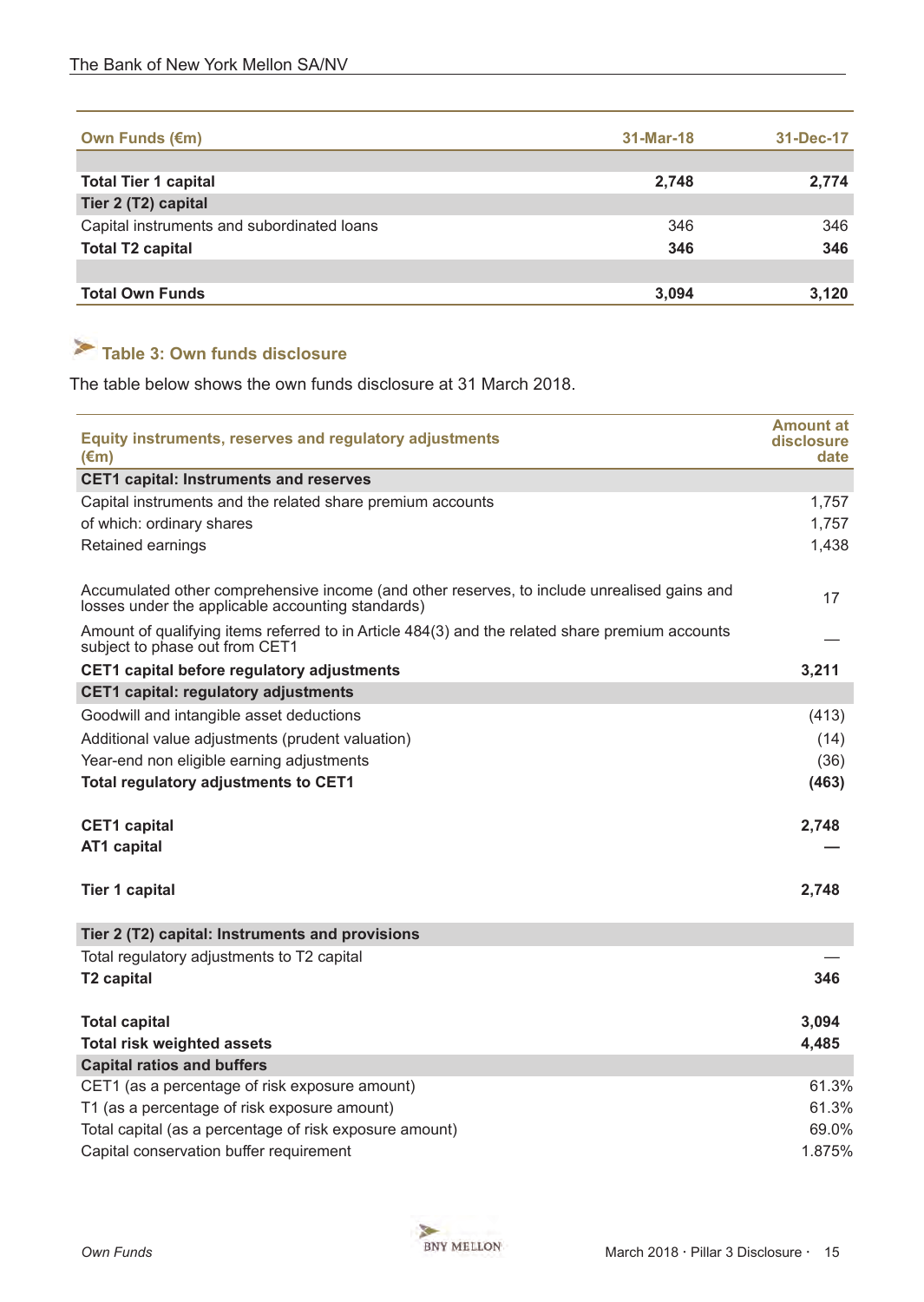<span id="page-14-0"></span>

| <b>Own Funds (€m)</b>                      | 31-Mar-18 | 31-Dec-17 |
|--------------------------------------------|-----------|-----------|
|                                            |           |           |
| <b>Total Tier 1 capital</b>                | 2,748     | 2,774     |
| Tier 2 (T2) capital                        |           |           |
| Capital instruments and subordinated loans | 346       | 346       |
| <b>Total T2 capital</b>                    | 346       | 346       |
|                                            |           |           |
| <b>Total Own Funds</b>                     | 3.094     | 3,120     |

# **Table 3: Own funds disclosure**

The table below shows the own funds disclosure at 31 March 2018.

| <b>Equity instruments, reserves and regulatory adjustments</b><br>$(\epsilon m)$                                                                 | <b>Amount at</b><br>disclosure<br>date |
|--------------------------------------------------------------------------------------------------------------------------------------------------|----------------------------------------|
| <b>CET1 capital: Instruments and reserves</b>                                                                                                    |                                        |
| Capital instruments and the related share premium accounts                                                                                       | 1,757                                  |
| of which: ordinary shares                                                                                                                        | 1,757                                  |
| Retained earnings                                                                                                                                | 1,438                                  |
| Accumulated other comprehensive income (and other reserves, to include unrealised gains and<br>losses under the applicable accounting standards) | 17                                     |
| Amount of qualifying items referred to in Article 484(3) and the related share premium accounts<br>subject to phase out from CET1                |                                        |
| CET1 capital before regulatory adjustments                                                                                                       | 3,211                                  |
| <b>CET1 capital: regulatory adjustments</b>                                                                                                      |                                        |
| Goodwill and intangible asset deductions                                                                                                         | (413)                                  |
| Additional value adjustments (prudent valuation)                                                                                                 | (14)                                   |
| Year-end non eligible earning adjustments                                                                                                        | (36)                                   |
| <b>Total regulatory adjustments to CET1</b>                                                                                                      | (463)                                  |
| <b>CET1</b> capital                                                                                                                              | 2,748                                  |
| <b>AT1 capital</b>                                                                                                                               |                                        |
| <b>Tier 1 capital</b>                                                                                                                            | 2,748                                  |
| Tier 2 (T2) capital: Instruments and provisions                                                                                                  |                                        |
| Total regulatory adjustments to T2 capital                                                                                                       |                                        |
| <b>T2 capital</b>                                                                                                                                | 346                                    |
| <b>Total capital</b>                                                                                                                             | 3,094                                  |
| <b>Total risk weighted assets</b>                                                                                                                | 4,485                                  |
| <b>Capital ratios and buffers</b>                                                                                                                |                                        |
| CET1 (as a percentage of risk exposure amount)                                                                                                   | 61.3%                                  |
| T1 (as a percentage of risk exposure amount)                                                                                                     | 61.3%                                  |
| Total capital (as a percentage of risk exposure amount)                                                                                          | 69.0%                                  |
| Capital conservation buffer requirement                                                                                                          | 1.875%                                 |

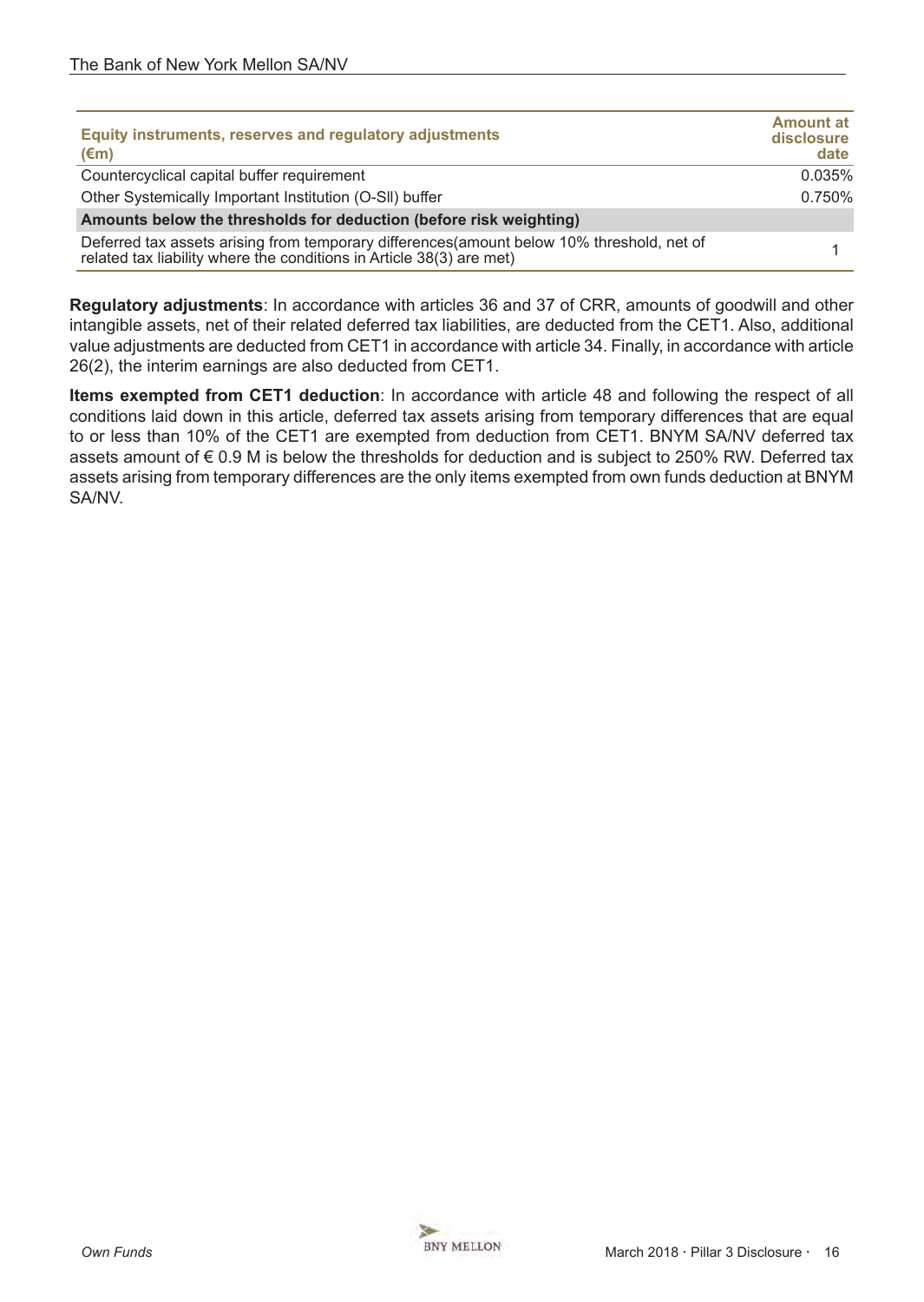| Equity instruments, reserves and regulatory adjustments<br>$(\epsilon m)$                                                                                         | <b>Amount at</b><br>disclosure<br>date |  |
|-------------------------------------------------------------------------------------------------------------------------------------------------------------------|----------------------------------------|--|
| Countercyclical capital buffer requirement                                                                                                                        | 0.035%                                 |  |
| Other Systemically Important Institution (O-SII) buffer                                                                                                           |                                        |  |
| Amounts below the thresholds for deduction (before risk weighting)                                                                                                |                                        |  |
| Deferred tax assets arising from temporary differences(amount below 10% threshold, net of<br>related tax liability where the conditions in Article 38(3) are met) |                                        |  |

**Regulatory adjustments**: In accordance with articles 36 and 37 of CRR, amounts of goodwill and other intangible assets, net of their related deferred tax liabilities, are deducted from the CET1. Also, additional value adjustments are deducted from CET1 in accordance with article 34. Finally, in accordance with article 26(2), the interim earnings are also deducted from CET1.

**Items exempted from CET1 deduction**: In accordance with article 48 and following the respect of all conditions laid down in this article, deferred tax assets arising from temporary differences that are equal to or less than 10% of the CET1 are exempted from deduction from CET1. BNYM SA/NV deferred tax assets amount of € 0.9 M is below the thresholds for deduction and is subject to 250% RW. Deferred tax assets arising from temporary differences are the only items exempted from own funds deduction at BNYM SA/NV.

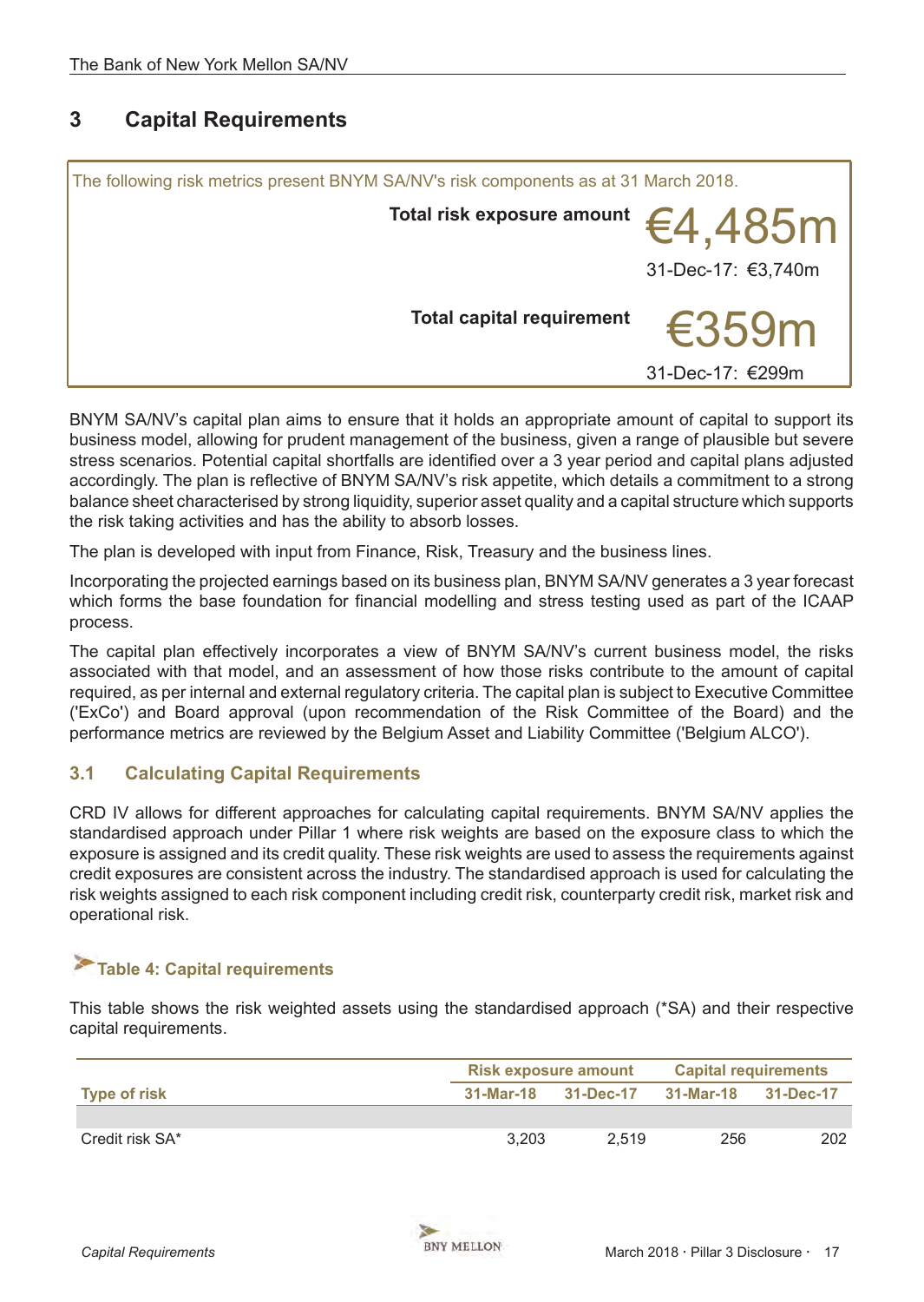# <span id="page-16-0"></span>**3 Capital Requirements**

| The following risk metrics present BNYM SA/NV's risk components as at 31 March 2018. |                                                                                          |  |  |
|--------------------------------------------------------------------------------------|------------------------------------------------------------------------------------------|--|--|
|                                                                                      | Total risk exposure amount $\bm{\epsilon}$ 4,485 $\bm{\mathsf{m}}$<br>31-Dec-17: €3,740m |  |  |
|                                                                                      | <b>Total capital requirement</b><br>€359m<br>31-Dec-17: €299m                            |  |  |

BNYM SA/NV's capital plan aims to ensure that it holds an appropriate amount of capital to support its business model, allowing for prudent management of the business, given a range of plausible but severe stress scenarios. Potential capital shortfalls are identified over a 3 year period and capital plans adjusted accordingly. The plan is reflective of BNYM SA/NV's risk appetite, which details a commitment to a strong balance sheet characterised by strong liquidity, superior asset quality and a capital structure which supports the risk taking activities and has the ability to absorb losses.

The plan is developed with input from Finance, Risk, Treasury and the business lines.

Incorporating the projected earnings based on its business plan, BNYM SA/NV generates a 3 year forecast which forms the base foundation for financial modelling and stress testing used as part of the ICAAP process.

The capital plan effectively incorporates a view of BNYM SA/NV's current business model, the risks associated with that model, and an assessment of how those risks contribute to the amount of capital required, as per internal and external regulatory criteria. The capital plan is subject to Executive Committee ('ExCo') and Board approval (upon recommendation of the Risk Committee of the Board) and the performance metrics are reviewed by the Belgium Asset and Liability Committee ('Belgium ALCO').

# **3.1 Calculating Capital Requirements**

CRD IV allows for different approaches for calculating capital requirements. BNYM SA/NV applies the standardised approach under Pillar 1 where risk weights are based on the exposure class to which the exposure is assigned and its credit quality. These risk weights are used to assess the requirements against credit exposures are consistent across the industry. The standardised approach is used for calculating the risk weights assigned to each risk component including credit risk, counterparty credit risk, market risk and operational risk.

# **Table 4: Capital requirements**

This table shows the risk weighted assets using the standardised approach (\*SA) and their respective capital requirements.

|                     | <b>Risk exposure amount</b> |           | <b>Capital requirements</b> |           |
|---------------------|-----------------------------|-----------|-----------------------------|-----------|
| <b>Type of risk</b> | 31-Mar-18                   | 31-Dec-17 | 31-Mar-18                   | 31-Dec-17 |
|                     |                             |           |                             |           |
| Credit risk SA*     | 3.203                       | 2.519     | 256                         | 202       |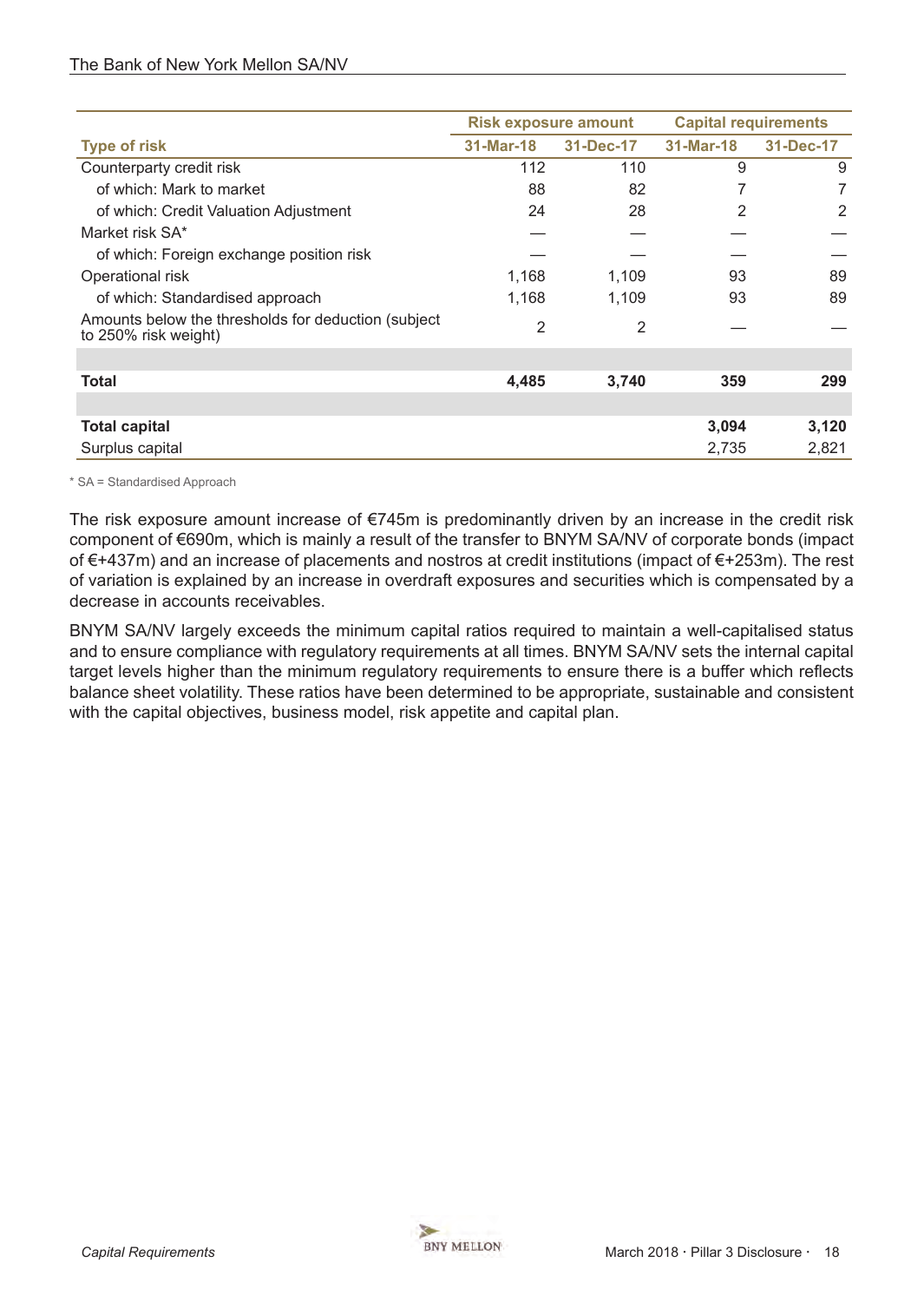|                                                                              | <b>Risk exposure amount</b> |           | <b>Capital requirements</b> |           |
|------------------------------------------------------------------------------|-----------------------------|-----------|-----------------------------|-----------|
| <b>Type of risk</b>                                                          | 31-Mar-18                   | 31-Dec-17 | 31-Mar-18                   | 31-Dec-17 |
| Counterparty credit risk                                                     | 112                         | 110       | 9                           | 9         |
| of which: Mark to market                                                     | 88                          | 82        | 7                           | 7         |
| of which: Credit Valuation Adjustment                                        | 24                          | 28        | 2                           | 2         |
| Market risk SA*                                                              |                             |           |                             |           |
| of which: Foreign exchange position risk                                     |                             |           |                             |           |
| Operational risk                                                             | 1,168                       | 1,109     | 93                          | 89        |
| of which: Standardised approach                                              | 1,168                       | 1,109     | 93                          | 89        |
| Amounts below the thresholds for deduction (subject)<br>to 250% risk weight) | 2                           | 2         |                             |           |
|                                                                              |                             |           |                             |           |
| Total                                                                        | 4,485                       | 3,740     | 359                         | 299       |
|                                                                              |                             |           |                             |           |
| <b>Total capital</b>                                                         |                             |           | 3,094                       | 3,120     |
| Surplus capital                                                              |                             |           | 2,735                       | 2,821     |

\* SA = Standardised Approach

The risk exposure amount increase of  $\epsilon$ 745m is predominantly driven by an increase in the credit risk component of €690m, which is mainly a result of the transfer to BNYM SA/NV of corporate bonds (impact of €+437m) and an increase of placements and nostros at credit institutions (impact of €+253m). The rest of variation is explained by an increase in overdraft exposures and securities which is compensated by a decrease in accounts receivables.

BNYM SA/NV largely exceeds the minimum capital ratios required to maintain a well-capitalised status and to ensure compliance with regulatory requirements at all times. BNYM SA/NV sets the internal capital target levels higher than the minimum regulatory requirements to ensure there is a buffer which reflects balance sheet volatility. These ratios have been determined to be appropriate, sustainable and consistent with the capital objectives, business model, risk appetite and capital plan.

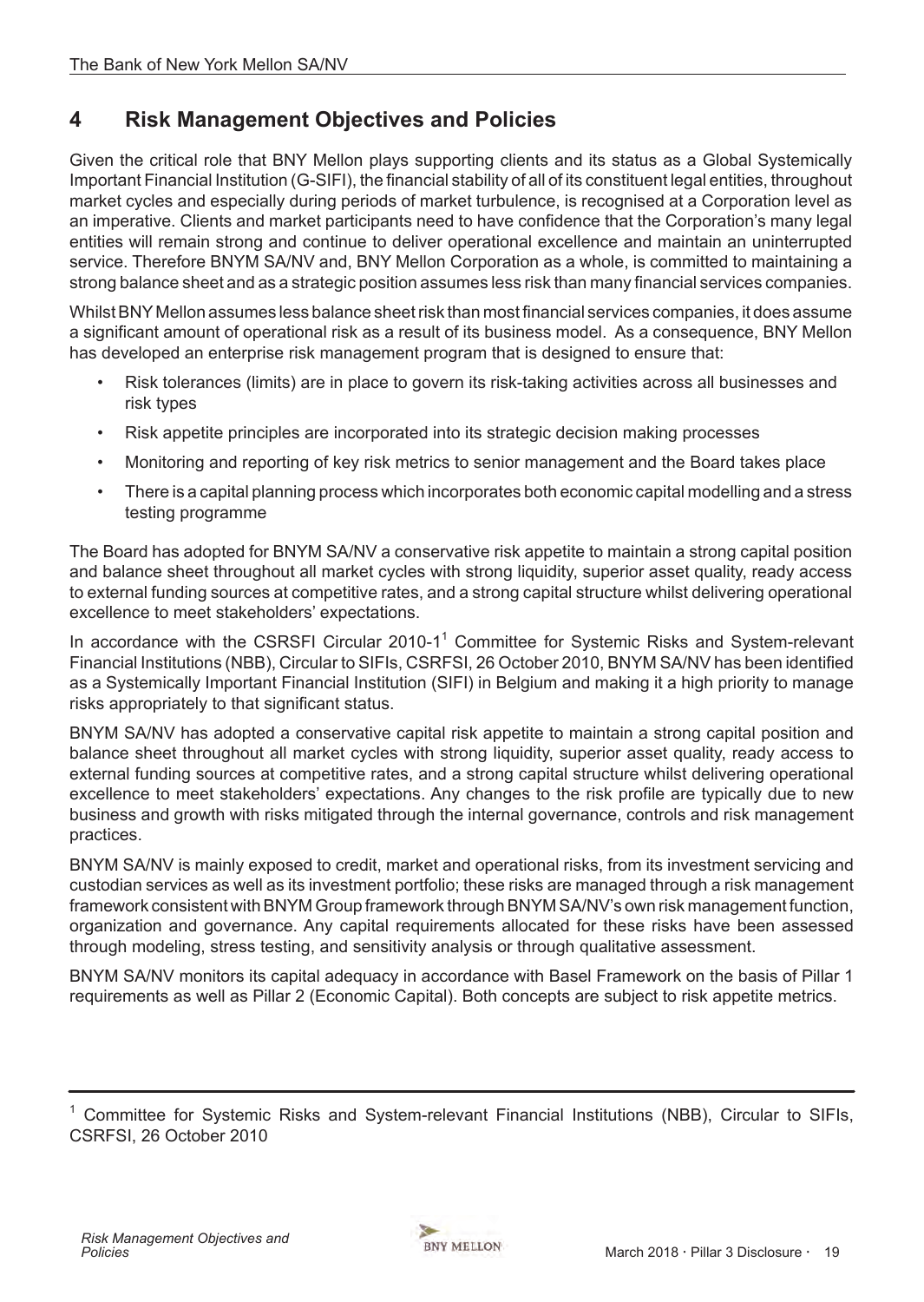# <span id="page-18-0"></span>**4 Risk Management Objectives and Policies**

Given the critical role that BNY Mellon plays supporting clients and its status as a Global Systemically Important Financial Institution (G-SIFI), the financial stability of all of its constituent legal entities, throughout market cycles and especially during periods of market turbulence, is recognised at a Corporation level as an imperative. Clients and market participants need to have confidence that the Corporation's many legal entities will remain strong and continue to deliver operational excellence and maintain an uninterrupted service. Therefore BNYM SA/NV and, BNY Mellon Corporation as a whole, is committed to maintaining a strong balance sheet and as a strategic position assumes less risk than many financial services companies.

Whilst BNY Mellon assumes less balance sheet risk than most financial services companies, it does assume a significant amount of operational risk as a result of its business model. As a consequence, BNY Mellon has developed an enterprise risk management program that is designed to ensure that:

- Risk tolerances (limits) are in place to govern its risk-taking activities across all businesses and risk types
- Risk appetite principles are incorporated into its strategic decision making processes
- Monitoring and reporting of key risk metrics to senior management and the Board takes place
- There is a capital planning process which incorporates both economic capital modelling and a stress testing programme

The Board has adopted for BNYM SA/NV a conservative risk appetite to maintain a strong capital position and balance sheet throughout all market cycles with strong liquidity, superior asset quality, ready access to external funding sources at competitive rates, and a strong capital structure whilst delivering operational excellence to meet stakeholders' expectations.

In accordance with the CSRSFI Circular 2010-1<sup>1</sup> Committee for Systemic Risks and System-relevant Financial Institutions (NBB), Circular to SIFIs, CSRFSI, 26 October 2010, BNYM SA/NV has been identified as a Systemically Important Financial Institution (SIFI) in Belgium and making it a high priority to manage risks appropriately to that significant status.

BNYM SA/NV has adopted a conservative capital risk appetite to maintain a strong capital position and balance sheet throughout all market cycles with strong liquidity, superior asset quality, ready access to external funding sources at competitive rates, and a strong capital structure whilst delivering operational excellence to meet stakeholders' expectations. Any changes to the risk profile are typically due to new business and growth with risks mitigated through the internal governance, controls and risk management practices.

BNYM SA/NV is mainly exposed to credit, market and operational risks, from its investment servicing and custodian services as well as its investment portfolio; these risks are managed through a risk management framework consistent with BNYM Group framework through BNYM SA/NV's own risk management function, organization and governance. Any capital requirements allocated for these risks have been assessed through modeling, stress testing, and sensitivity analysis or through qualitative assessment.

BNYM SA/NV monitors its capital adequacy in accordance with Basel Framework on the basis of Pillar 1 requirements as well as Pillar 2 (Economic Capital). Both concepts are subject to risk appetite metrics.



<sup>1</sup> Committee for Systemic Risks and System-relevant Financial Institutions (NBB), Circular to SIFIs, CSRFSI, 26 October 2010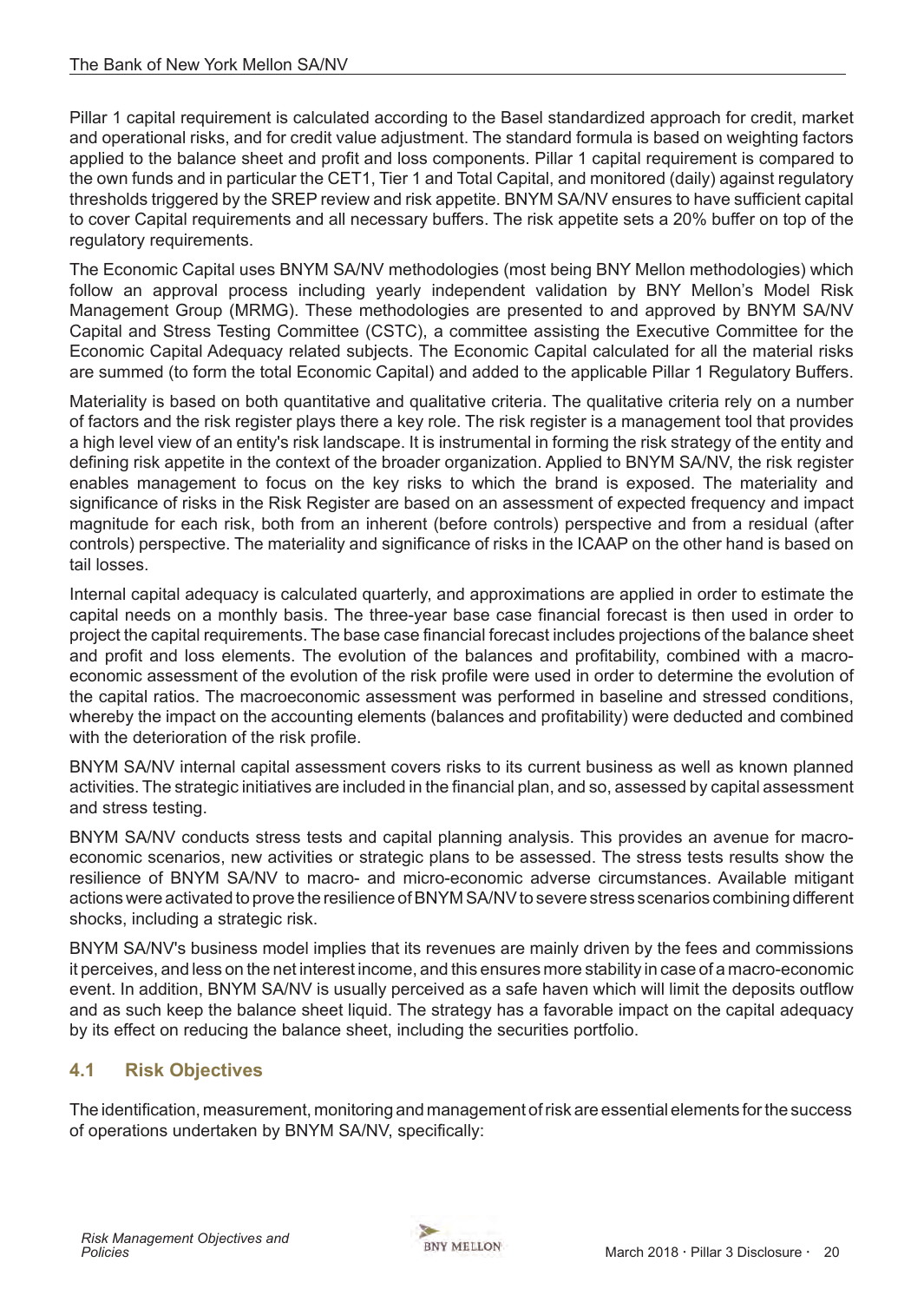<span id="page-19-0"></span>Pillar 1 capital requirement is calculated according to the Basel standardized approach for credit, market and operational risks, and for credit value adjustment. The standard formula is based on weighting factors applied to the balance sheet and profit and loss components. Pillar 1 capital requirement is compared to the own funds and in particular the CET1, Tier 1 and Total Capital, and monitored (daily) against regulatory thresholds triggered by the SREP review and risk appetite. BNYM SA/NV ensures to have sufficient capital to cover Capital requirements and all necessary buffers. The risk appetite sets a 20% buffer on top of the regulatory requirements.

The Economic Capital uses BNYM SA/NV methodologies (most being BNY Mellon methodologies) which follow an approval process including yearly independent validation by BNY Mellon's Model Risk Management Group (MRMG). These methodologies are presented to and approved by BNYM SA/NV Capital and Stress Testing Committee (CSTC), a committee assisting the Executive Committee for the Economic Capital Adequacy related subjects. The Economic Capital calculated for all the material risks are summed (to form the total Economic Capital) and added to the applicable Pillar 1 Regulatory Buffers.

Materiality is based on both quantitative and qualitative criteria. The qualitative criteria rely on a number of factors and the risk register plays there a key role. The risk register is a management tool that provides a high level view of an entity's risk landscape. It is instrumental in forming the risk strategy of the entity and defining risk appetite in the context of the broader organization. Applied to BNYM SA/NV, the risk register enables management to focus on the key risks to which the brand is exposed. The materiality and significance of risks in the Risk Register are based on an assessment of expected frequency and impact magnitude for each risk, both from an inherent (before controls) perspective and from a residual (after controls) perspective. The materiality and significance of risks in the ICAAP on the other hand is based on tail losses.

Internal capital adequacy is calculated quarterly, and approximations are applied in order to estimate the capital needs on a monthly basis. The three-year base case financial forecast is then used in order to project the capital requirements. The base case financial forecast includes projections of the balance sheet and profit and loss elements. The evolution of the balances and profitability, combined with a macroeconomic assessment of the evolution of the risk profile were used in order to determine the evolution of the capital ratios. The macroeconomic assessment was performed in baseline and stressed conditions, whereby the impact on the accounting elements (balances and profitability) were deducted and combined with the deterioration of the risk profile.

BNYM SA/NV internal capital assessment covers risks to its current business as well as known planned activities. The strategic initiatives are included in the financial plan, and so, assessed by capital assessment and stress testing.

BNYM SA/NV conducts stress tests and capital planning analysis. This provides an avenue for macroeconomic scenarios, new activities or strategic plans to be assessed. The stress tests results show the resilience of BNYM SA/NV to macro- and micro-economic adverse circumstances. Available mitigant actions were activated to prove the resilience of BNYM SA/NV to severe stress scenarios combining different shocks, including a strategic risk.

BNYM SA/NV's business model implies that its revenues are mainly driven by the fees and commissions it perceives, and less on the net interest income, and this ensures more stability in case of a macro-economic event. In addition, BNYM SA/NV is usually perceived as a safe haven which will limit the deposits outflow and as such keep the balance sheet liquid. The strategy has a favorable impact on the capital adequacy by its effect on reducing the balance sheet, including the securities portfolio.

# **4.1 Risk Objectives**

The identification, measurement, monitoring and management of risk are essential elements for the success of operations undertaken by BNYM SA/NV, specifically:

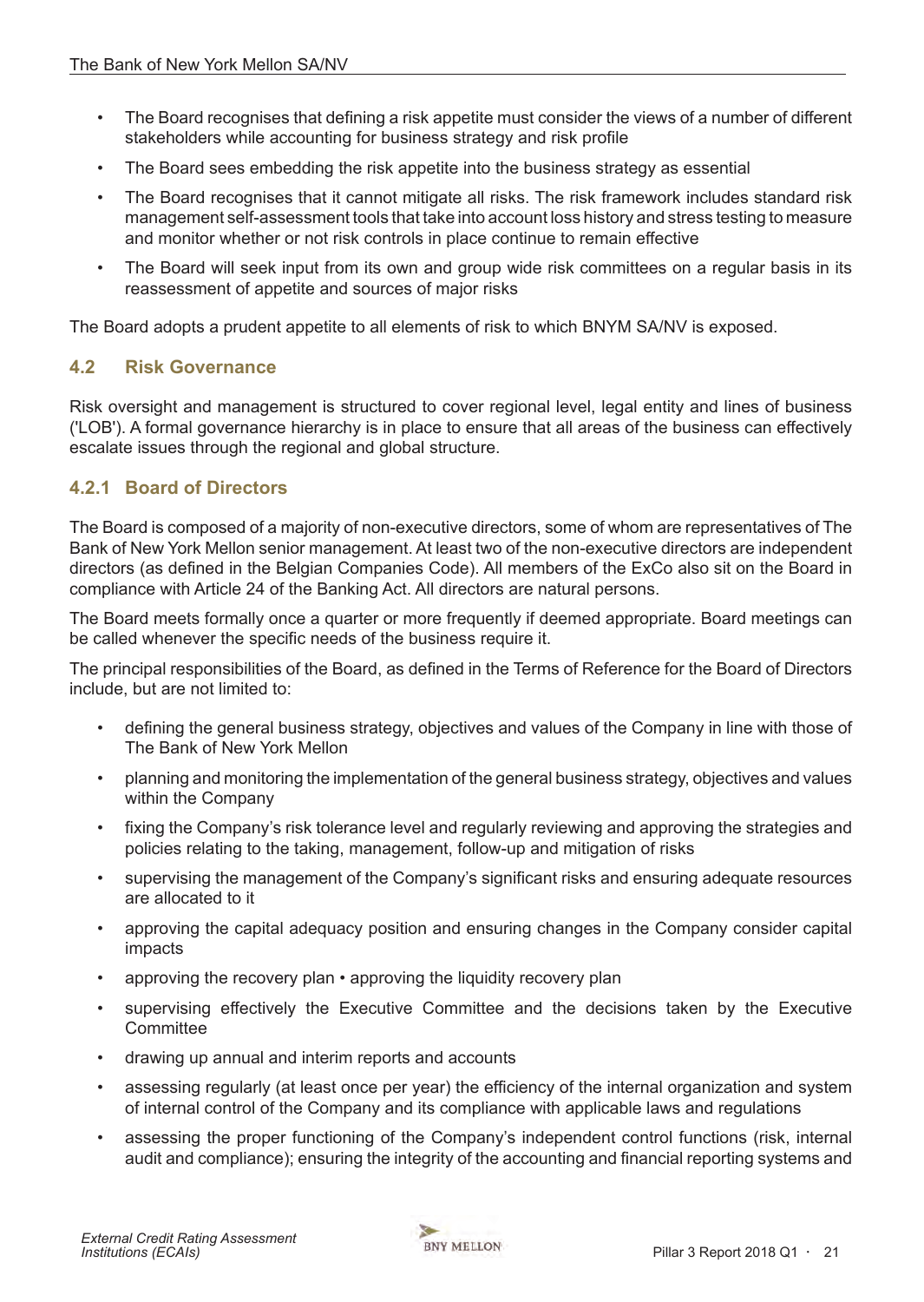- <span id="page-20-0"></span>• The Board recognises that defining a risk appetite must consider the views of a number of different stakeholders while accounting for business strategy and risk profile
- The Board sees embedding the risk appetite into the business strategy as essential
- The Board recognises that it cannot mitigate all risks. The risk framework includes standard risk management self-assessment tools that take into account loss history and stress testing to measure and monitor whether or not risk controls in place continue to remain effective
- The Board will seek input from its own and group wide risk committees on a regular basis in its reassessment of appetite and sources of major risks

The Board adopts a prudent appetite to all elements of risk to which BNYM SA/NV is exposed.

## **4.2 Risk Governance**

Risk oversight and management is structured to cover regional level, legal entity and lines of business ('LOB'). A formal governance hierarchy is in place to ensure that all areas of the business can effectively escalate issues through the regional and global structure.

## **4.2.1 Board of Directors**

The Board is composed of a majority of non-executive directors, some of whom are representatives of The Bank of New York Mellon senior management. At least two of the non-executive directors are independent directors (as defined in the Belgian Companies Code). All members of the ExCo also sit on the Board in compliance with Article 24 of the Banking Act. All directors are natural persons.

The Board meets formally once a quarter or more frequently if deemed appropriate. Board meetings can be called whenever the specific needs of the business require it.

The principal responsibilities of the Board, as defined in the Terms of Reference for the Board of Directors include, but are not limited to:

- defining the general business strategy, objectives and values of the Company in line with those of The Bank of New York Mellon
- planning and monitoring the implementation of the general business strategy, objectives and values within the Company
- fixing the Company's risk tolerance level and regularly reviewing and approving the strategies and policies relating to the taking, management, follow-up and mitigation of risks
- supervising the management of the Company's significant risks and ensuring adequate resources are allocated to it
- approving the capital adequacy position and ensuring changes in the Company consider capital impacts
- approving the recovery plan approving the liquidity recovery plan
- supervising effectively the Executive Committee and the decisions taken by the Executive **Committee**
- drawing up annual and interim reports and accounts
- assessing regularly (at least once per year) the efficiency of the internal organization and system of internal control of the Company and its compliance with applicable laws and regulations
- assessing the proper functioning of the Company's independent control functions (risk, internal audit and compliance); ensuring the integrity of the accounting and financial reporting systems and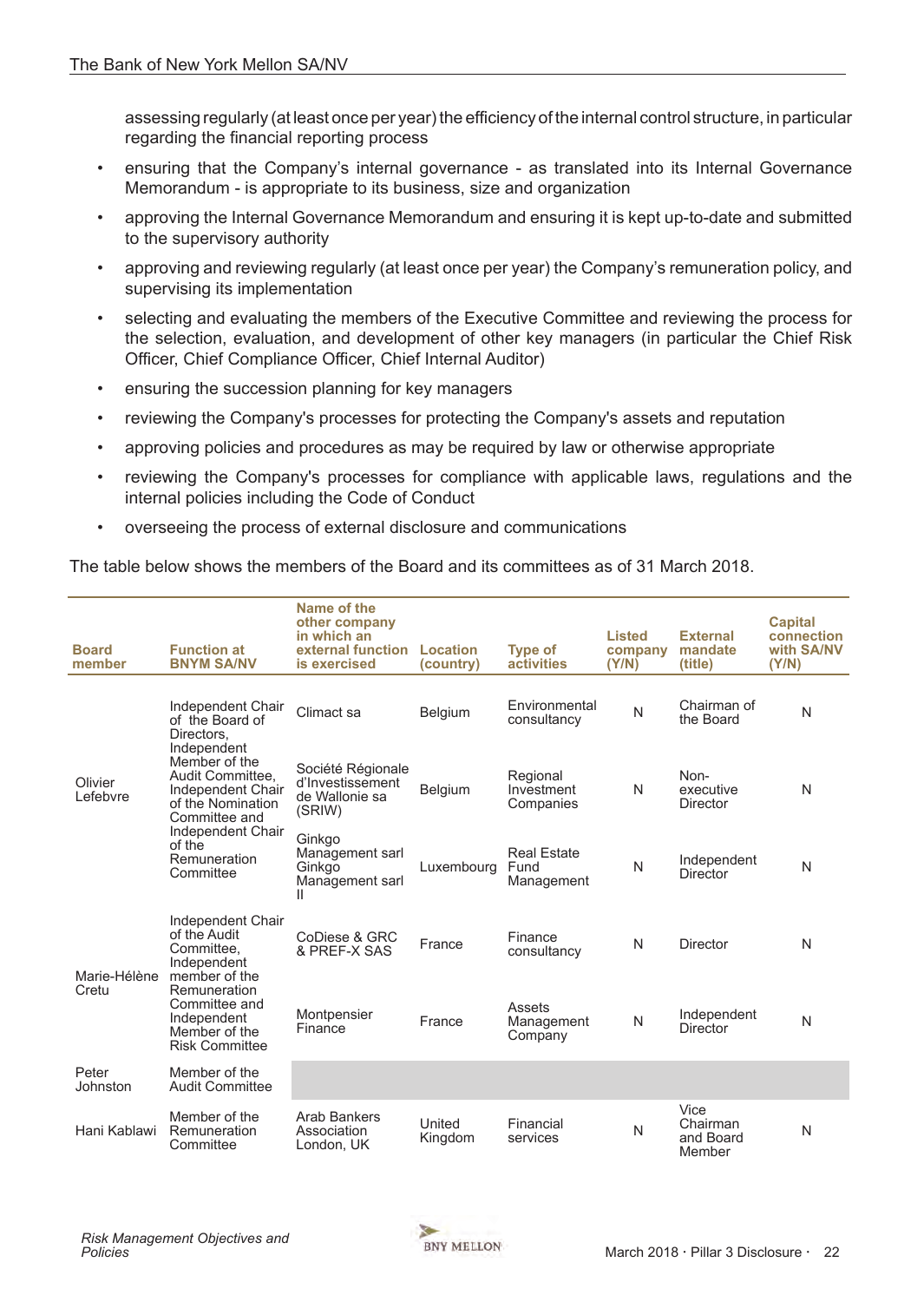assessing regularly (at least once per year) the efficiency of the internal control structure, in particular regarding the financial reporting process

- ensuring that the Company's internal governance as translated into its Internal Governance Memorandum - is appropriate to its business, size and organization
- approving the Internal Governance Memorandum and ensuring it is kept up-to-date and submitted to the supervisory authority
- approving and reviewing regularly (at least once per year) the Company's remuneration policy, and supervising its implementation
- selecting and evaluating the members of the Executive Committee and reviewing the process for the selection, evaluation, and development of other key managers (in particular the Chief Risk Officer, Chief Compliance Officer, Chief Internal Auditor)
- ensuring the succession planning for key managers
- reviewing the Company's processes for protecting the Company's assets and reputation
- approving policies and procedures as may be required by law or otherwise appropriate
- reviewing the Company's processes for compliance with applicable laws, regulations and the internal policies including the Code of Conduct
- overseeing the process of external disclosure and communications

The table below shows the members of the Board and its committees as of 31 March 2018.

| <b>Board</b><br>member | <b>Function at</b><br><b>BNYM SA/NV</b>                                                                                                                                                                                       | Name of the<br>other company<br>in which an<br>external function<br>is exercised | Location<br>(country) | <b>Type of</b><br><b>activities</b>      | <b>Listed</b><br>company<br>(Y/N) | <b>External</b><br>mandate<br>(title)   | <b>Capital</b><br>connection<br>with SA/NV<br>(Y/N) |
|------------------------|-------------------------------------------------------------------------------------------------------------------------------------------------------------------------------------------------------------------------------|----------------------------------------------------------------------------------|-----------------------|------------------------------------------|-----------------------------------|-----------------------------------------|-----------------------------------------------------|
|                        | Independent Chair<br>of the Board of<br>Directors.<br>Independent<br>Member of the<br>Audit Committee.<br>Independent Chair<br>of the Nomination<br>Committee and<br>Independent Chair<br>of the<br>Remuneration<br>Committee | Climact sa                                                                       | <b>Belgium</b>        | Environmental<br>consultancy             | N                                 | Chairman of<br>the Board                | N                                                   |
| Olivier<br>Lefebvre    |                                                                                                                                                                                                                               | Société Régionale<br>d'Investissement<br>de Wallonie sa<br>(SRIW)                | Belgium               | Regional<br>Investment<br>Companies      | N                                 | Non-<br>executive<br>Director           | N                                                   |
|                        |                                                                                                                                                                                                                               | Ginkgo<br>Management sarl<br>Ginkgo<br>Management sarl<br>Ш                      | Luxembourg            | <b>Real Estate</b><br>Fund<br>Management | N                                 | Independent<br><b>Director</b>          | N                                                   |
| Marie-Hélène<br>Cretu  | Independent Chair<br>of the Audit<br>Committee.<br>Independent<br>member of the<br>Remuneration<br>Committee and<br>Independent<br>Member of the<br><b>Risk Committee</b>                                                     | CoDiese & GRC<br>& PREF-X SAS                                                    | France                | Finance<br>consultancy                   | N                                 | Director                                | N                                                   |
|                        |                                                                                                                                                                                                                               | Montpensier<br>Finance                                                           | France                | Assets<br>Management<br>Company          | N                                 | Independent<br><b>Director</b>          | N                                                   |
| Peter<br>Johnston      | Member of the<br><b>Audit Committee</b>                                                                                                                                                                                       |                                                                                  |                       |                                          |                                   |                                         |                                                     |
| Hani Kablawi           | Member of the<br>Remuneration<br>Committee                                                                                                                                                                                    | <b>Arab Bankers</b><br>Association<br>London, UK                                 | United<br>Kingdom     | Financial<br>services                    | N                                 | Vice<br>Chairman<br>and Board<br>Member | N                                                   |

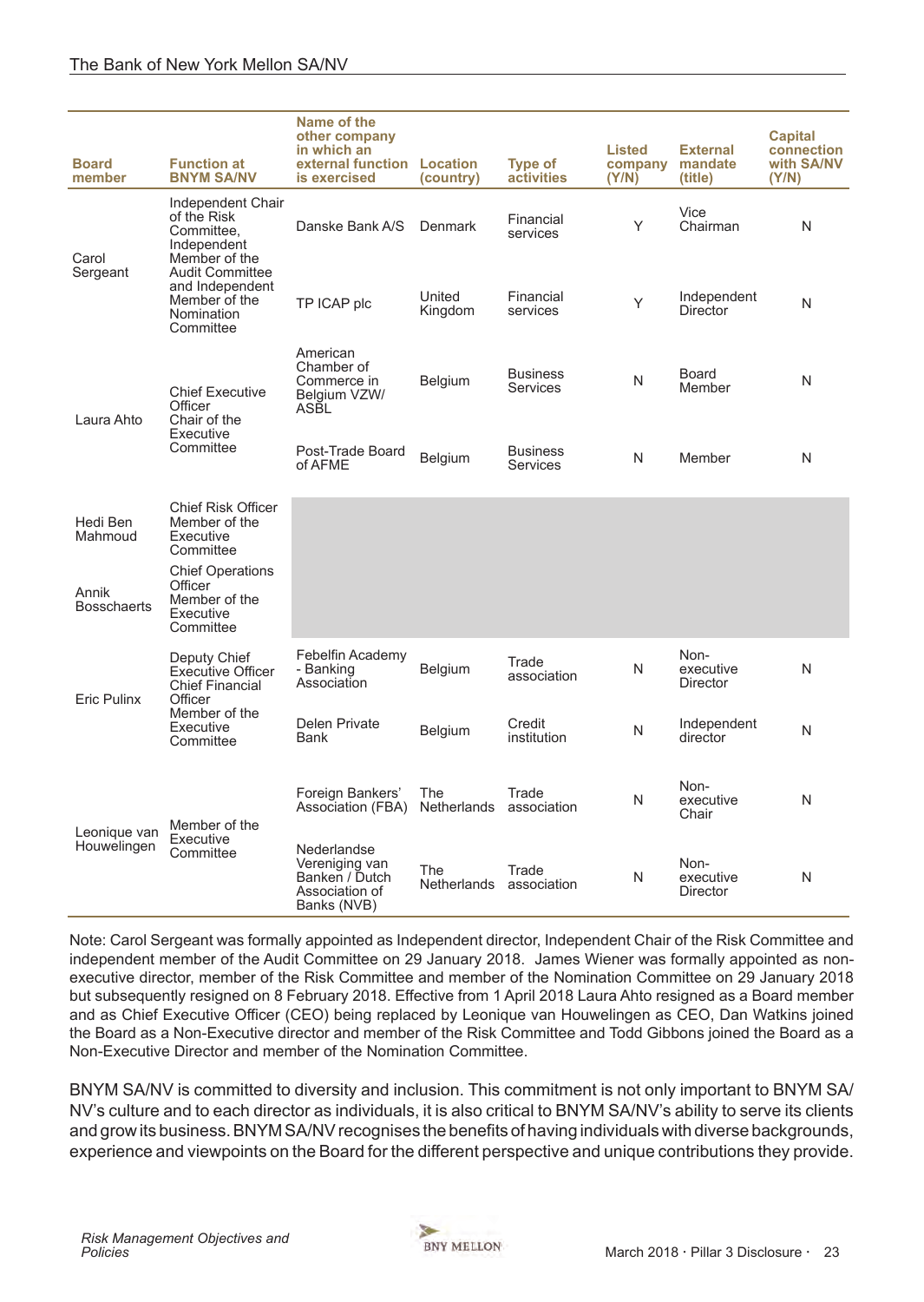| <b>Board</b><br>member      | <b>Function at</b><br><b>BNYM SA/NV</b>                                               | Name of the<br>other company<br>in which an<br>external function Location<br>is exercised | (country)                 | <b>Type of</b><br>activities       | <b>Listed</b><br>company<br>(Y/N) | <b>External</b><br>mandate<br>(title) | <b>Capital</b><br>connection<br>with SA/NV<br>(Y/N) |
|-----------------------------|---------------------------------------------------------------------------------------|-------------------------------------------------------------------------------------------|---------------------------|------------------------------------|-----------------------------------|---------------------------------------|-----------------------------------------------------|
| Carol                       | Independent Chair<br>of the Risk<br>Committee,<br>Independent<br>Member of the        | Danske Bank A/S                                                                           | <b>Denmark</b>            | Financial<br>services              | Υ                                 | Vice<br>Chairman                      | N                                                   |
| Sergeant                    | <b>Audit Committee</b><br>and Independent<br>Member of the<br>Nomination<br>Committee | TP ICAP plc                                                                               | United<br>Kingdom         | Financial<br>services              | Y                                 | Independent<br><b>Director</b>        | N                                                   |
| Laura Ahto                  | <b>Chief Executive</b><br>Officer<br>Chair of the                                     | American<br>Chamber of<br>Commerce in<br>Belgium VZW/<br>ASBL                             | Belgium                   | <b>Business</b><br>Services        | N                                 | <b>Board</b><br>Member                | N                                                   |
|                             | Executive<br>Committee                                                                | Post-Trade Board<br>of AFME                                                               | Belgium                   | <b>Business</b><br><b>Services</b> | N                                 | Member                                | N                                                   |
| Hedi Ben<br>Mahmoud         | <b>Chief Risk Officer</b><br>Member of the<br>Executive<br>Committee                  |                                                                                           |                           |                                    |                                   |                                       |                                                     |
| Annik<br><b>Bosschaerts</b> | <b>Chief Operations</b><br>Officer<br>Member of the<br>Executive<br>Committee         |                                                                                           |                           |                                    |                                   |                                       |                                                     |
| Eric Pulinx                 | Deputy Chief<br><b>Executive Officer</b><br><b>Chief Financial</b><br>Officer         | Febelfin Academy<br>- Banking<br>Association                                              | <b>Belgium</b>            | Trade<br>association               | N                                 | Non-<br>executive<br>Director         | N                                                   |
|                             | Member of the<br>Executive<br>Committee                                               | Delen Private<br><b>Bank</b>                                                              | Belgium                   | Credit<br>institution              | N                                 | Independent<br>director               | N                                                   |
| Leonique van                | Member of the                                                                         | Foreign Bankers'<br>Association (FBA)                                                     | The<br>Netherlands        | Trade<br>association               | N                                 | Non-<br>executive<br>Chair            | N                                                   |
| Houwelingen                 | Executive<br>Committee                                                                | Nederlandse<br>Vereniging van<br>Banken / Dutch<br>Association of<br>Banks (NVB)          | The<br><b>Netherlands</b> | Trade<br>association               | N                                 | Non-<br>executive<br><b>Director</b>  | N                                                   |

Note: Carol Sergeant was formally appointed as Independent director, Independent Chair of the Risk Committee and independent member of the Audit Committee on 29 January 2018. James Wiener was formally appointed as nonexecutive director, member of the Risk Committee and member of the Nomination Committee on 29 January 2018 but subsequently resigned on 8 February 2018. Effective from 1 April 2018 Laura Ahto resigned as a Board member and as Chief Executive Officer (CEO) being replaced by Leonique van Houwelingen as CEO, Dan Watkins joined the Board as a Non-Executive director and member of the Risk Committee and Todd Gibbons joined the Board as a Non-Executive Director and member of the Nomination Committee.

BNYM SA/NV is committed to diversity and inclusion. This commitment is not only important to BNYM SA/ NV's culture and to each director as individuals, it is also critical to BNYM SA/NV's ability to serve its clients and grow its business. BNYM SA/NV recognises the benefits of having individuals with diverse backgrounds, experience and viewpoints on the Board for the different perspective and unique contributions they provide.

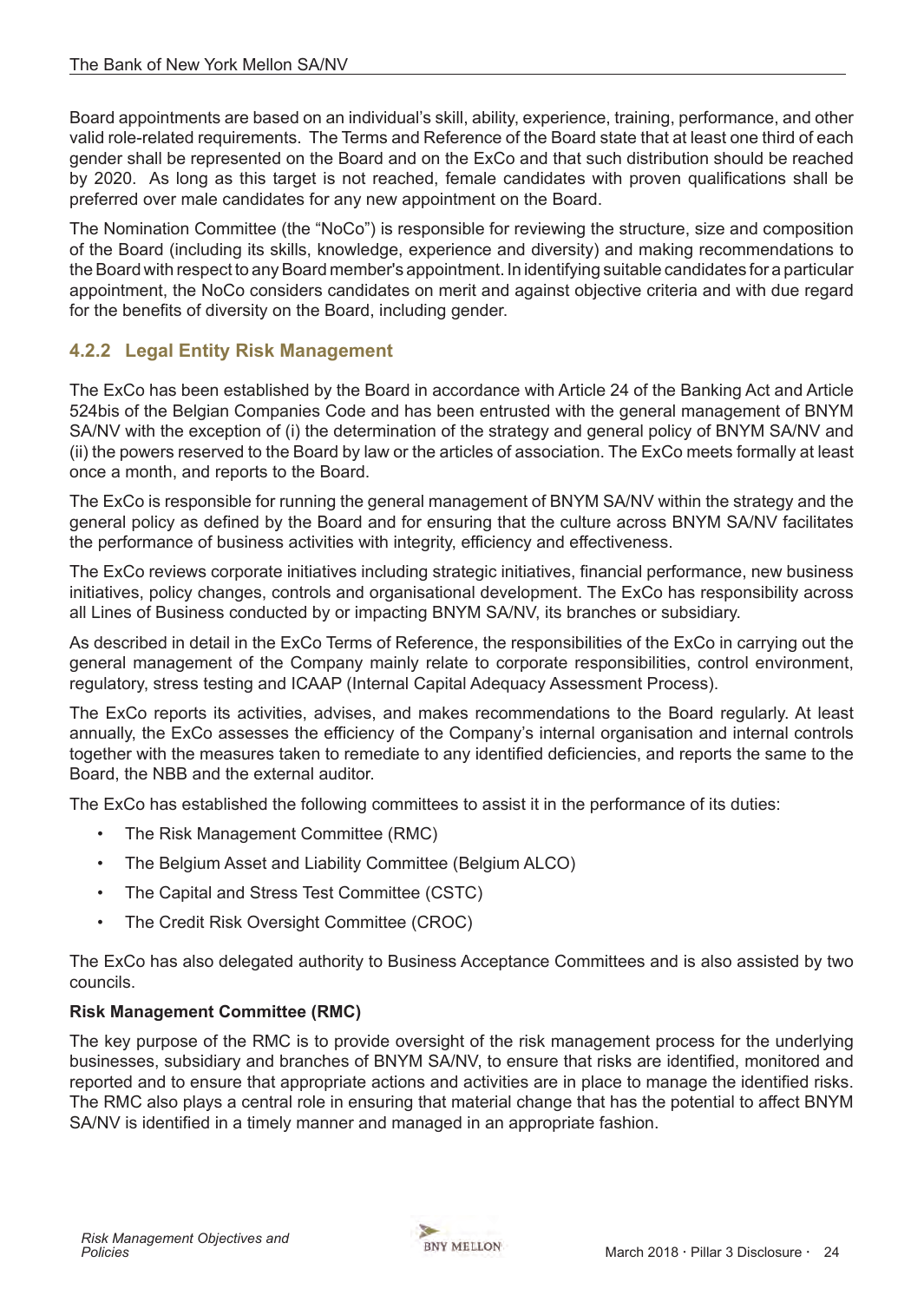<span id="page-23-0"></span>Board appointments are based on an individual's skill, ability, experience, training, performance, and other valid role-related requirements. The Terms and Reference of the Board state that at least one third of each gender shall be represented on the Board and on the ExCo and that such distribution should be reached by 2020. As long as this target is not reached, female candidates with proven qualifications shall be preferred over male candidates for any new appointment on the Board.

The Nomination Committee (the "NoCo") is responsible for reviewing the structure, size and composition of the Board (including its skills, knowledge, experience and diversity) and making recommendations to the Board with respect to any Board member's appointment. In identifying suitable candidates for a particular appointment, the NoCo considers candidates on merit and against objective criteria and with due regard for the benefits of diversity on the Board, including gender.

# **4.2.2 Legal Entity Risk Management**

The ExCo has been established by the Board in accordance with Article 24 of the Banking Act and Article 524bis of the Belgian Companies Code and has been entrusted with the general management of BNYM SA/NV with the exception of (i) the determination of the strategy and general policy of BNYM SA/NV and (ii) the powers reserved to the Board by law or the articles of association. The ExCo meets formally at least once a month, and reports to the Board.

The ExCo is responsible for running the general management of BNYM SA/NV within the strategy and the general policy as defined by the Board and for ensuring that the culture across BNYM SA/NV facilitates the performance of business activities with integrity, efficiency and effectiveness.

The ExCo reviews corporate initiatives including strategic initiatives, financial performance, new business initiatives, policy changes, controls and organisational development. The ExCo has responsibility across all Lines of Business conducted by or impacting BNYM SA/NV, its branches or subsidiary.

As described in detail in the ExCo Terms of Reference, the responsibilities of the ExCo in carrying out the general management of the Company mainly relate to corporate responsibilities, control environment, regulatory, stress testing and ICAAP (Internal Capital Adequacy Assessment Process).

The ExCo reports its activities, advises, and makes recommendations to the Board regularly. At least annually, the ExCo assesses the efficiency of the Company's internal organisation and internal controls together with the measures taken to remediate to any identified deficiencies, and reports the same to the Board, the NBB and the external auditor.

The ExCo has established the following committees to assist it in the performance of its duties:

- The Risk Management Committee (RMC)
- The Belgium Asset and Liability Committee (Belgium ALCO)
- The Capital and Stress Test Committee (CSTC)
- The Credit Risk Oversight Committee (CROC)

The ExCo has also delegated authority to Business Acceptance Committees and is also assisted by two councils.

## **Risk Management Committee (RMC)**

The key purpose of the RMC is to provide oversight of the risk management process for the underlying businesses, subsidiary and branches of BNYM SA/NV, to ensure that risks are identified, monitored and reported and to ensure that appropriate actions and activities are in place to manage the identified risks. The RMC also plays a central role in ensuring that material change that has the potential to affect BNYM SA/NV is identified in a timely manner and managed in an appropriate fashion.

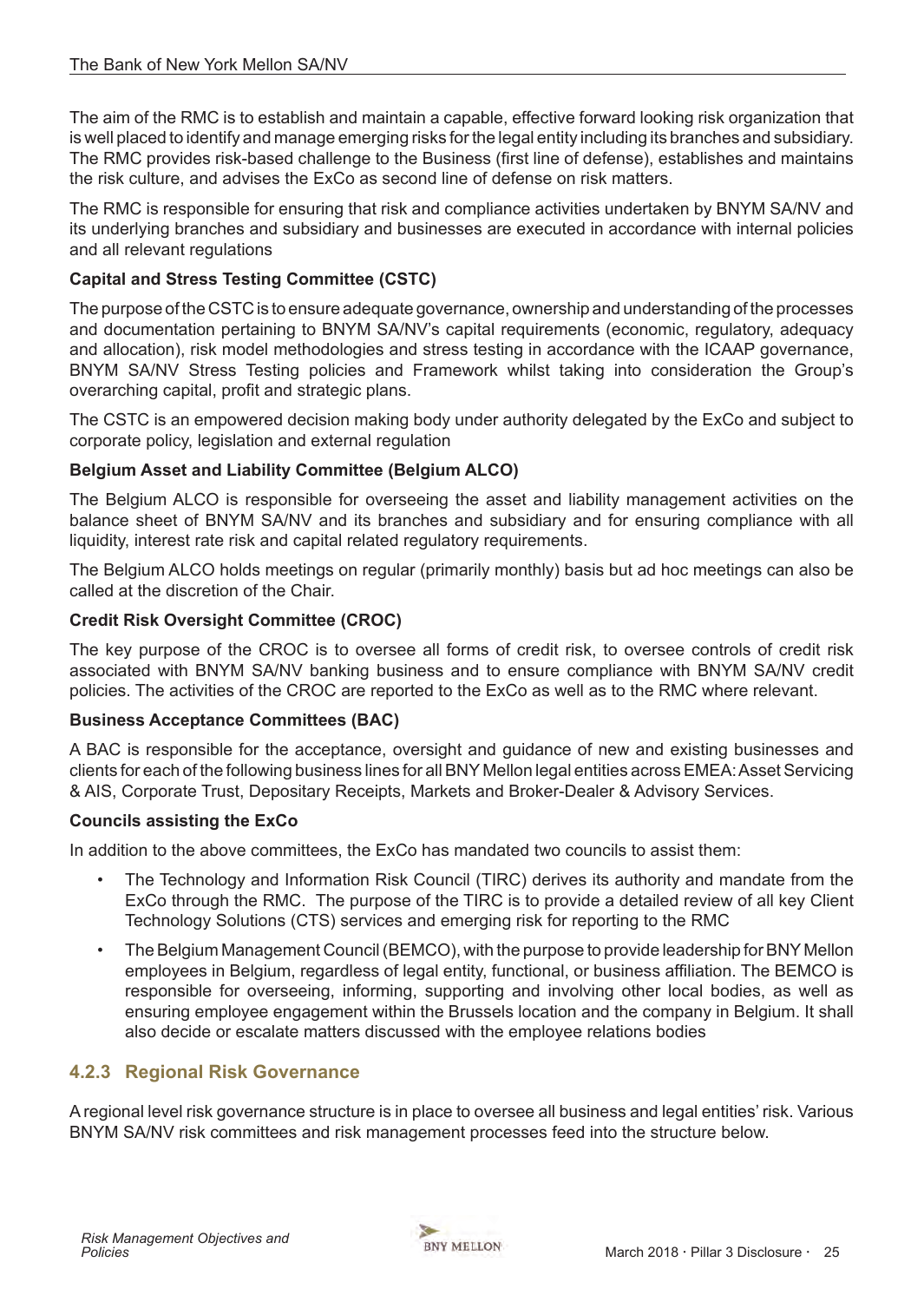The aim of the RMC is to establish and maintain a capable, effective forward looking risk organization that is well placed to identify and manage emerging risks for the legal entity including its branches and subsidiary. The RMC provides risk-based challenge to the Business (first line of defense), establishes and maintains the risk culture, and advises the ExCo as second line of defense on risk matters.

The RMC is responsible for ensuring that risk and compliance activities undertaken by BNYM SA/NV and its underlying branches and subsidiary and businesses are executed in accordance with internal policies and all relevant regulations

#### **Capital and Stress Testing Committee (CSTC)**

The purpose of the CSTC is to ensure adequate governance, ownership and understanding of the processes and documentation pertaining to BNYM SA/NV's capital requirements (economic, regulatory, adequacy and allocation), risk model methodologies and stress testing in accordance with the ICAAP governance, BNYM SA/NV Stress Testing policies and Framework whilst taking into consideration the Group's overarching capital, profit and strategic plans.

The CSTC is an empowered decision making body under authority delegated by the ExCo and subject to corporate policy, legislation and external regulation

#### **Belgium Asset and Liability Committee (Belgium ALCO)**

The Belgium ALCO is responsible for overseeing the asset and liability management activities on the balance sheet of BNYM SA/NV and its branches and subsidiary and for ensuring compliance with all liquidity, interest rate risk and capital related regulatory requirements.

The Belgium ALCO holds meetings on regular (primarily monthly) basis but ad hoc meetings can also be called at the discretion of the Chair.

#### **Credit Risk Oversight Committee (CROC)**

The key purpose of the CROC is to oversee all forms of credit risk, to oversee controls of credit risk associated with BNYM SA/NV banking business and to ensure compliance with BNYM SA/NV credit policies. The activities of the CROC are reported to the ExCo as well as to the RMC where relevant.

#### **Business Acceptance Committees (BAC)**

A BAC is responsible for the acceptance, oversight and guidance of new and existing businesses and clients for each of the following business lines for all BNY Mellon legal entities across EMEA: Asset Servicing & AIS, Corporate Trust, Depositary Receipts, Markets and Broker-Dealer & Advisory Services.

#### **Councils assisting the ExCo**

In addition to the above committees, the ExCo has mandated two councils to assist them:

- The Technology and Information Risk Council (TIRC) derives its authority and mandate from the ExCo through the RMC. The purpose of the TIRC is to provide a detailed review of all key Client Technology Solutions (CTS) services and emerging risk for reporting to the RMC
- The Belgium Management Council (BEMCO), with the purpose to provide leadership for BNY Mellon employees in Belgium, regardless of legal entity, functional, or business affiliation. The BEMCO is responsible for overseeing, informing, supporting and involving other local bodies, as well as ensuring employee engagement within the Brussels location and the company in Belgium. It shall also decide or escalate matters discussed with the employee relations bodies

## **4.2.3 Regional Risk Governance**

A regional level risk governance structure is in place to oversee all business and legal entities' risk. Various BNYM SA/NV risk committees and risk management processes feed into the structure below.

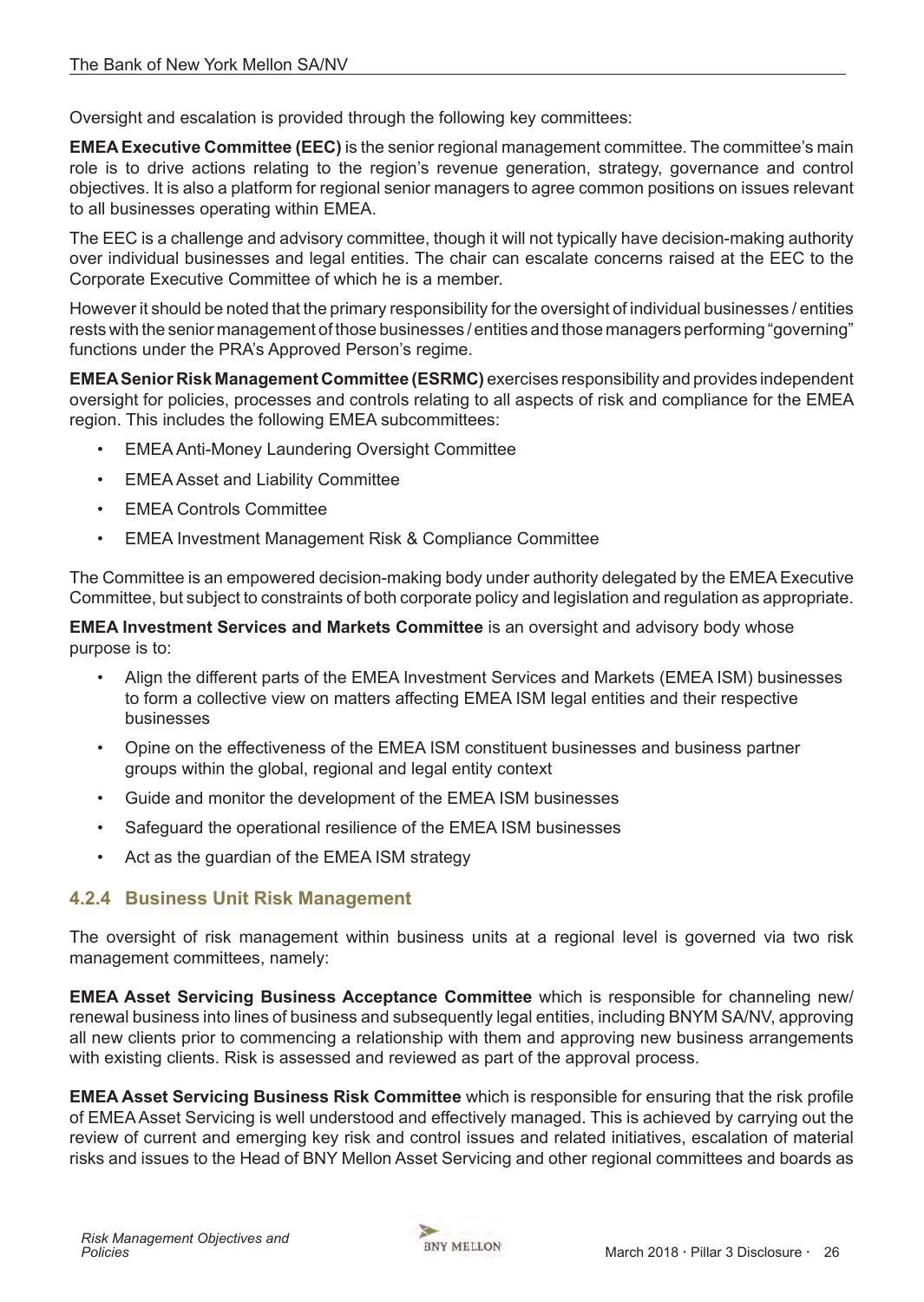Oversight and escalation is provided through the following key committees:

**EMEA Executive Committee (EEC)** is the senior regional management committee. The committee's main role is to drive actions relating to the region's revenue generation, strategy, governance and control objectives. It is also a platform for regional senior managers to agree common positions on issues relevant to all businesses operating within EMEA.

The EEC is a challenge and advisory committee, though it will not typically have decision-making authority over individual businesses and legal entities. The chair can escalate concerns raised at the EEC to the Corporate Executive Committee of which he is a member.

However it should be noted that the primary responsibility for the oversight of individual businesses / entities rests with the senior management of those businesses / entities and those managers performing "governing" functions under the PRA's Approved Person's regime.

**EMEASenior Risk Management Committee (ESRMC)** exercises responsibility and provides independent oversight for policies, processes and controls relating to all aspects of risk and compliance for the EMEA region. This includes the following EMEA subcommittees:

- EMEA Anti-Money Laundering Oversight Committee
- EMEA Asset and Liability Committee
- **EMEA Controls Committee**
- EMEA Investment Management Risk & Compliance Committee

The Committee is an empowered decision-making body under authority delegated by the EMEA Executive Committee, but subject to constraints of both corporate policy and legislation and regulation as appropriate.

**EMEA Investment Services and Markets Committee** is an oversight and advisory body whose purpose is to:

- Align the different parts of the EMEA Investment Services and Markets (EMEA ISM) businesses to form a collective view on matters affecting EMEA ISM legal entities and their respective businesses
- Opine on the effectiveness of the EMEA ISM constituent businesses and business partner groups within the global, regional and legal entity context
- Guide and monitor the development of the EMEA ISM businesses
- Safeguard the operational resilience of the EMEA ISM businesses
- Act as the guardian of the EMEA ISM strategy

# **4.2.4 Business Unit Risk Management**

The oversight of risk management within business units at a regional level is governed via two risk management committees, namely:

**EMEA Asset Servicing Business Acceptance Committee** which is responsible for channeling new/ renewal business into lines of business and subsequently legal entities, including BNYM SA/NV, approving all new clients prior to commencing a relationship with them and approving new business arrangements with existing clients. Risk is assessed and reviewed as part of the approval process.

**EMEA Asset Servicing Business Risk Committee** which is responsible for ensuring that the risk profile of EMEA Asset Servicing is well understood and effectively managed. This is achieved by carrying out the review of current and emerging key risk and control issues and related initiatives, escalation of material risks and issues to the Head of BNY Mellon Asset Servicing and other regional committees and boards as

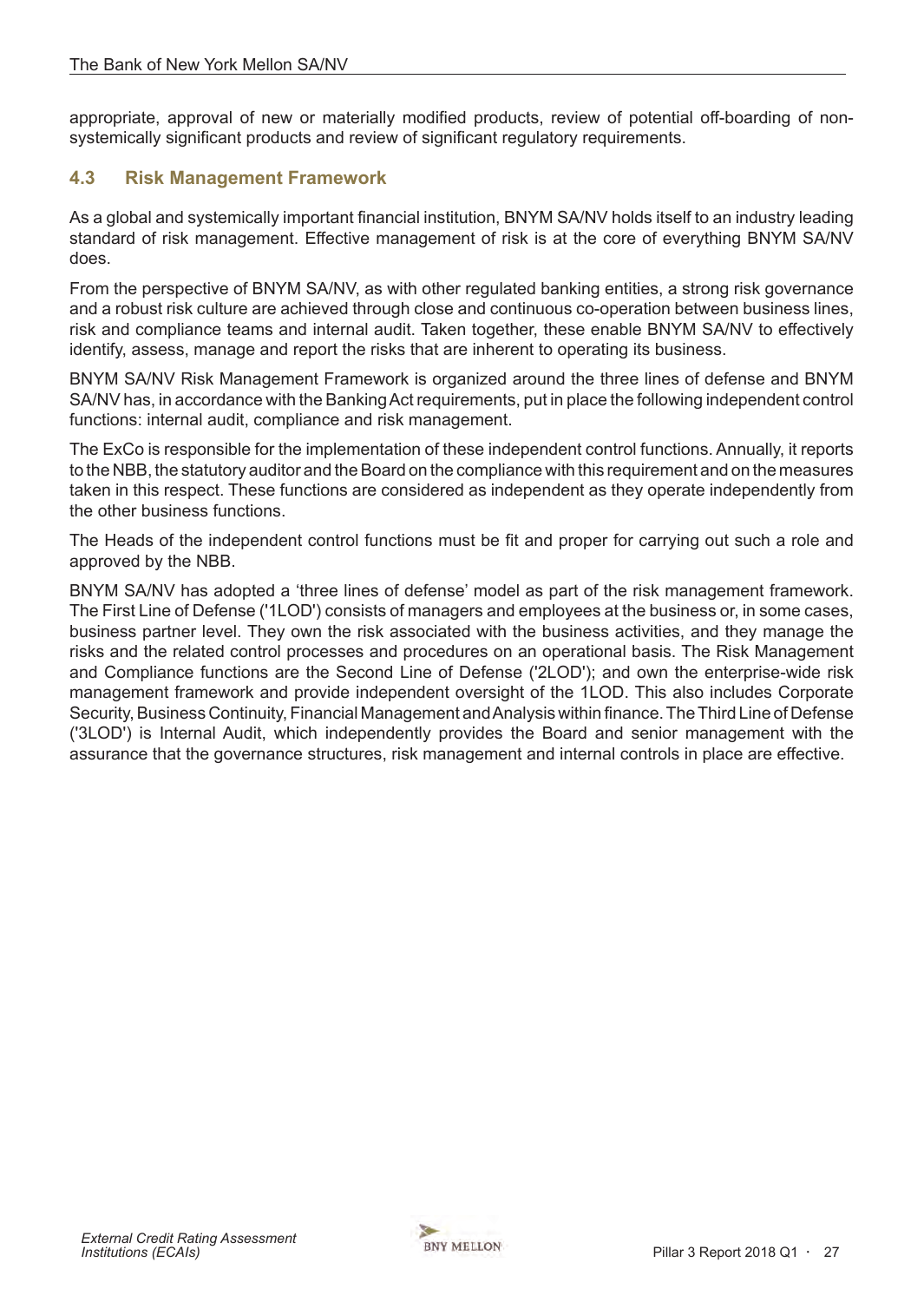<span id="page-26-0"></span>appropriate, approval of new or materially modified products, review of potential off-boarding of nonsystemically significant products and review of significant regulatory requirements.

## **4.3 Risk Management Framework**

As a global and systemically important financial institution, BNYM SA/NV holds itself to an industry leading standard of risk management. Effective management of risk is at the core of everything BNYM SA/NV does.

From the perspective of BNYM SA/NV, as with other regulated banking entities, a strong risk governance and a robust risk culture are achieved through close and continuous co-operation between business lines, risk and compliance teams and internal audit. Taken together, these enable BNYM SA/NV to effectively identify, assess, manage and report the risks that are inherent to operating its business.

BNYM SA/NV Risk Management Framework is organized around the three lines of defense and BNYM SA/NV has, in accordance with the Banking Act requirements, put in place the following independent control functions: internal audit, compliance and risk management.

The ExCo is responsible for the implementation of these independent control functions. Annually, it reports to the NBB, the statutory auditor and the Board on the compliance with this requirement and on the measures taken in this respect. These functions are considered as independent as they operate independently from the other business functions.

The Heads of the independent control functions must be fit and proper for carrying out such a role and approved by the NBB.

BNYM SA/NV has adopted a 'three lines of defense' model as part of the risk management framework. The First Line of Defense ('1LOD') consists of managers and employees at the business or, in some cases, business partner level. They own the risk associated with the business activities, and they manage the risks and the related control processes and procedures on an operational basis. The Risk Management and Compliance functions are the Second Line of Defense ('2LOD'); and own the enterprise-wide risk management framework and provide independent oversight of the 1LOD. This also includes Corporate Security, Business Continuity, Financial Management and Analysis within finance. The Third Line of Defense ('3LOD') is Internal Audit, which independently provides the Board and senior management with the assurance that the governance structures, risk management and internal controls in place are effective.

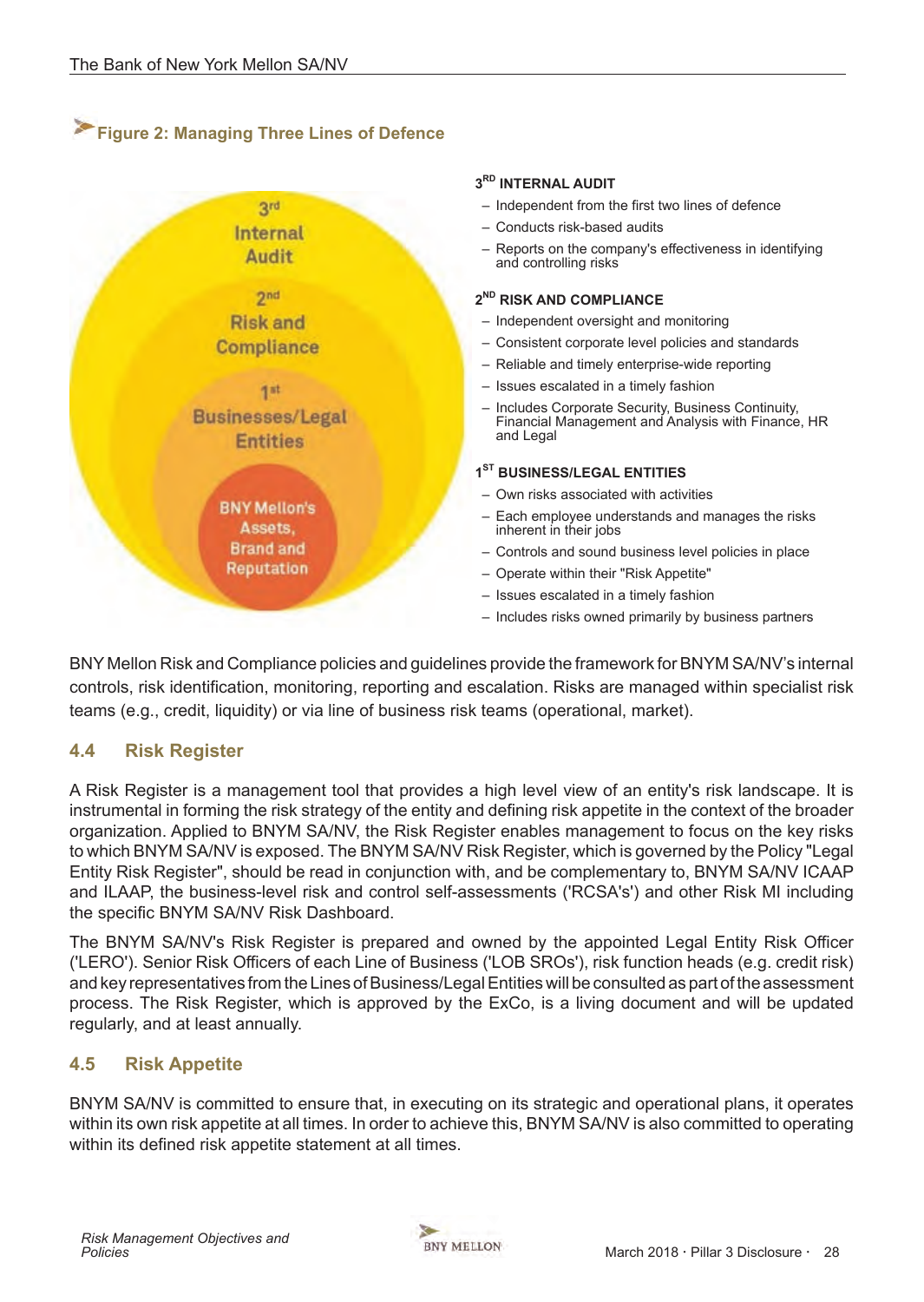# <span id="page-27-0"></span>**Figure 2: Managing Three Lines of Defence**



BNY Mellon Risk and Compliance policies and guidelines provide the framework for BNYM SA/NV's internal controls, risk identification, monitoring, reporting and escalation. Risks are managed within specialist risk teams (e.g., credit, liquidity) or via line of business risk teams (operational, market).

## **4.4 Risk Register**

A Risk Register is a management tool that provides a high level view of an entity's risk landscape. It is instrumental in forming the risk strategy of the entity and defining risk appetite in the context of the broader organization. Applied to BNYM SA/NV, the Risk Register enables management to focus on the key risks to which BNYM SA/NV is exposed. The BNYM SA/NV Risk Register, which is governed by the Policy "Legal Entity Risk Register", should be read in conjunction with, and be complementary to, BNYM SA/NV ICAAP and ILAAP, the business-level risk and control self-assessments ('RCSA's') and other Risk MI including the specific BNYM SA/NV Risk Dashboard.

The BNYM SA/NV's Risk Register is prepared and owned by the appointed Legal Entity Risk Officer ('LERO'). Senior Risk Officers of each Line of Business ('LOB SROs'), risk function heads (e.g. credit risk) and key representatives from the Lines of Business/Legal Entities will be consulted as part of the assessment process. The Risk Register, which is approved by the ExCo, is a living document and will be updated regularly, and at least annually.

## **4.5 Risk Appetite**

BNYM SA/NV is committed to ensure that, in executing on its strategic and operational plans, it operates within its own risk appetite at all times. In order to achieve this, BNYM SA/NV is also committed to operating within its defined risk appetite statement at all times.

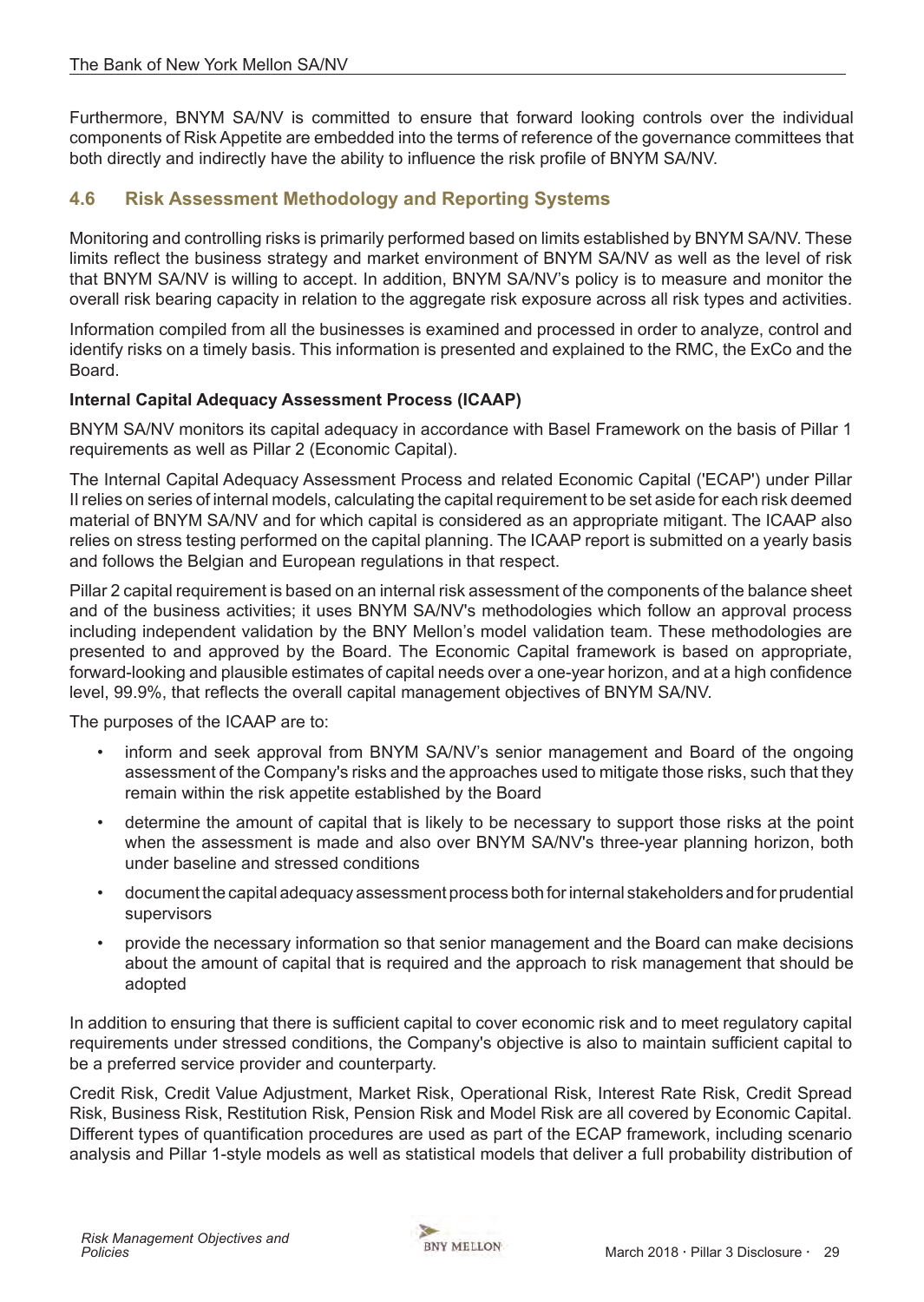<span id="page-28-0"></span>Furthermore, BNYM SA/NV is committed to ensure that forward looking controls over the individual components of Risk Appetite are embedded into the terms of reference of the governance committees that both directly and indirectly have the ability to influence the risk profile of BNYM SA/NV.

# **4.6 Risk Assessment Methodology and Reporting Systems**

Monitoring and controlling risks is primarily performed based on limits established by BNYM SA/NV. These limits reflect the business strategy and market environment of BNYM SA/NV as well as the level of risk that BNYM SA/NV is willing to accept. In addition, BNYM SA/NV's policy is to measure and monitor the overall risk bearing capacity in relation to the aggregate risk exposure across all risk types and activities.

Information compiled from all the businesses is examined and processed in order to analyze, control and identify risks on a timely basis. This information is presented and explained to the RMC, the ExCo and the Board.

#### **Internal Capital Adequacy Assessment Process (ICAAP)**

BNYM SA/NV monitors its capital adequacy in accordance with Basel Framework on the basis of Pillar 1 requirements as well as Pillar 2 (Economic Capital).

The Internal Capital Adequacy Assessment Process and related Economic Capital ('ECAP') under Pillar II relies on series of internal models, calculating the capital requirement to be set aside for each risk deemed material of BNYM SA/NV and for which capital is considered as an appropriate mitigant. The ICAAP also relies on stress testing performed on the capital planning. The ICAAP report is submitted on a yearly basis and follows the Belgian and European regulations in that respect.

Pillar 2 capital requirement is based on an internal risk assessment of the components of the balance sheet and of the business activities; it uses BNYM SA/NV's methodologies which follow an approval process including independent validation by the BNY Mellon's model validation team. These methodologies are presented to and approved by the Board. The Economic Capital framework is based on appropriate, forward-looking and plausible estimates of capital needs over a one-year horizon, and at a high confidence level, 99.9%, that reflects the overall capital management objectives of BNYM SA/NV.

The purposes of the ICAAP are to:

- inform and seek approval from BNYM SA/NV's senior management and Board of the ongoing assessment of the Company's risks and the approaches used to mitigate those risks, such that they remain within the risk appetite established by the Board
- determine the amount of capital that is likely to be necessary to support those risks at the point when the assessment is made and also over BNYM SA/NV's three-year planning horizon, both under baseline and stressed conditions
- document the capital adequacy assessment process both for internal stakeholders and for prudential supervisors
- provide the necessary information so that senior management and the Board can make decisions about the amount of capital that is required and the approach to risk management that should be adopted

In addition to ensuring that there is sufficient capital to cover economic risk and to meet regulatory capital requirements under stressed conditions, the Company's objective is also to maintain sufficient capital to be a preferred service provider and counterparty.

Credit Risk, Credit Value Adjustment, Market Risk, Operational Risk, Interest Rate Risk, Credit Spread Risk, Business Risk, Restitution Risk, Pension Risk and Model Risk are all covered by Economic Capital. Different types of quantification procedures are used as part of the ECAP framework, including scenario analysis and Pillar 1-style models as well as statistical models that deliver a full probability distribution of

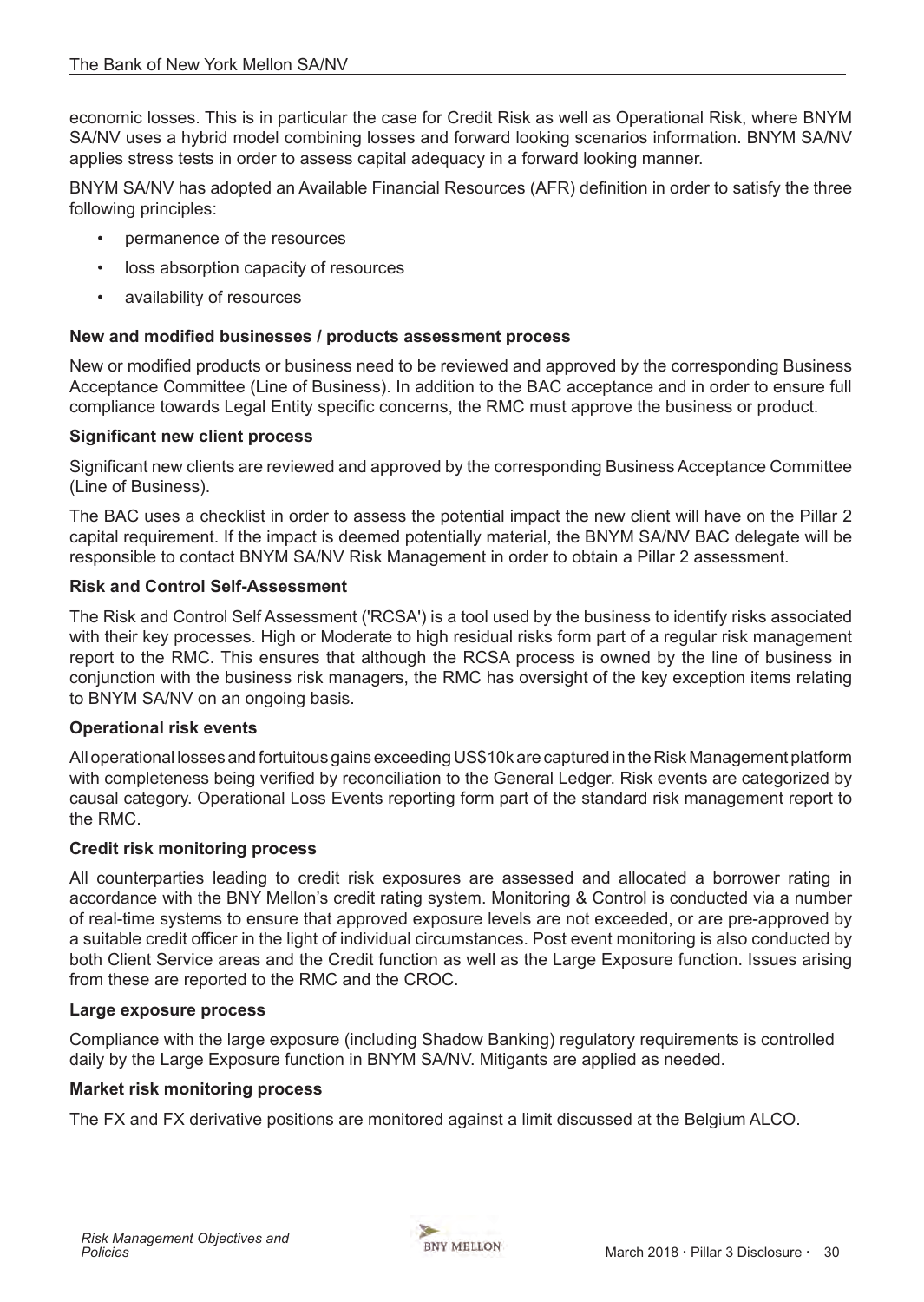economic losses. This is in particular the case for Credit Risk as well as Operational Risk, where BNYM SA/NV uses a hybrid model combining losses and forward looking scenarios information. BNYM SA/NV applies stress tests in order to assess capital adequacy in a forward looking manner.

BNYM SA/NV has adopted an Available Financial Resources (AFR) definition in order to satisfy the three following principles:

- permanence of the resources
- loss absorption capacity of resources
- availability of resources

#### **New and modified businesses / products assessment process**

New or modified products or business need to be reviewed and approved by the corresponding Business Acceptance Committee (Line of Business). In addition to the BAC acceptance and in order to ensure full compliance towards Legal Entity specific concerns, the RMC must approve the business or product.

#### **Significant new client process**

Significant new clients are reviewed and approved by the corresponding Business Acceptance Committee (Line of Business).

The BAC uses a checklist in order to assess the potential impact the new client will have on the Pillar 2 capital requirement. If the impact is deemed potentially material, the BNYM SA/NV BAC delegate will be responsible to contact BNYM SA/NV Risk Management in order to obtain a Pillar 2 assessment.

#### **Risk and Control Self-Assessment**

The Risk and Control Self Assessment ('RCSA') is a tool used by the business to identify risks associated with their key processes. High or Moderate to high residual risks form part of a regular risk management report to the RMC. This ensures that although the RCSA process is owned by the line of business in conjunction with the business risk managers, the RMC has oversight of the key exception items relating to BNYM SA/NV on an ongoing basis.

#### **Operational risk events**

All operational losses and fortuitous gains exceeding US\$10k are captured in the Risk Management platform with completeness being verified by reconciliation to the General Ledger. Risk events are categorized by causal category. Operational Loss Events reporting form part of the standard risk management report to the RMC.

#### **Credit risk monitoring process**

All counterparties leading to credit risk exposures are assessed and allocated a borrower rating in accordance with the BNY Mellon's credit rating system. Monitoring & Control is conducted via a number of real-time systems to ensure that approved exposure levels are not exceeded, or are pre-approved by a suitable credit officer in the light of individual circumstances. Post event monitoring is also conducted by both Client Service areas and the Credit function as well as the Large Exposure function. Issues arising from these are reported to the RMC and the CROC.

#### **Large exposure process**

Compliance with the large exposure (including Shadow Banking) regulatory requirements is controlled daily by the Large Exposure function in BNYM SA/NV. Mitigants are applied as needed.

#### **Market risk monitoring process**

The FX and FX derivative positions are monitored against a limit discussed at the Belgium ALCO.

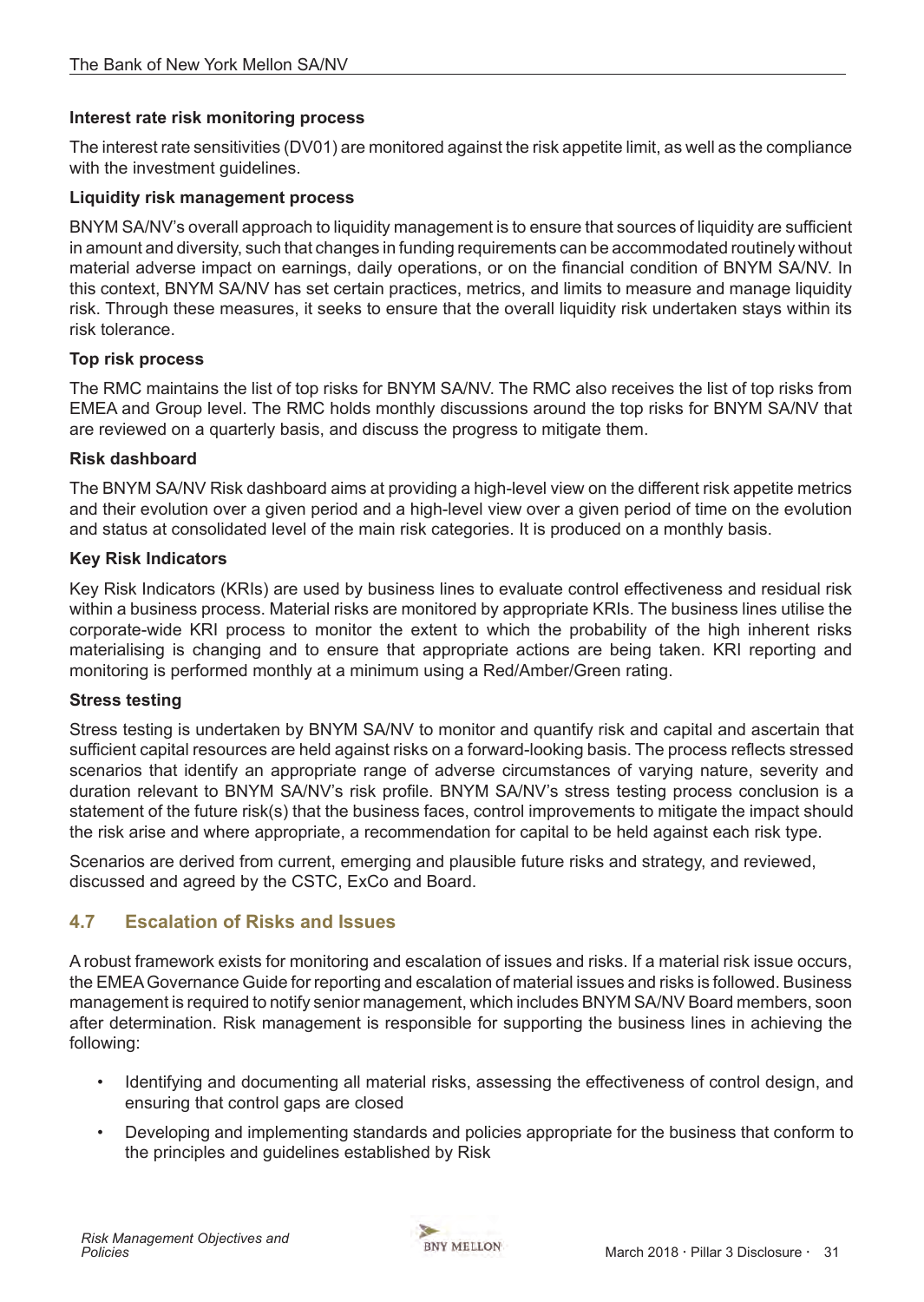## <span id="page-30-0"></span>**Interest rate risk monitoring process**

The interest rate sensitivities (DV01) are monitored against the risk appetite limit, as well as the compliance with the investment guidelines.

#### **Liquidity risk management process**

BNYM SA/NV's overall approach to liquidity management is to ensure that sources of liquidity are sufficient in amount and diversity, such that changes in funding requirements can be accommodated routinely without material adverse impact on earnings, daily operations, or on the financial condition of BNYM SA/NV. In this context, BNYM SA/NV has set certain practices, metrics, and limits to measure and manage liquidity risk. Through these measures, it seeks to ensure that the overall liquidity risk undertaken stays within its risk tolerance.

#### **Top risk process**

The RMC maintains the list of top risks for BNYM SA/NV. The RMC also receives the list of top risks from EMEA and Group level. The RMC holds monthly discussions around the top risks for BNYM SA/NV that are reviewed on a quarterly basis, and discuss the progress to mitigate them.

#### **Risk dashboard**

The BNYM SA/NV Risk dashboard aims at providing a high-level view on the different risk appetite metrics and their evolution over a given period and a high-level view over a given period of time on the evolution and status at consolidated level of the main risk categories. It is produced on a monthly basis.

#### **Key Risk Indicators**

Key Risk Indicators (KRIs) are used by business lines to evaluate control effectiveness and residual risk within a business process. Material risks are monitored by appropriate KRIs. The business lines utilise the corporate-wide KRI process to monitor the extent to which the probability of the high inherent risks materialising is changing and to ensure that appropriate actions are being taken. KRI reporting and monitoring is performed monthly at a minimum using a Red/Amber/Green rating.

#### **Stress testing**

Stress testing is undertaken by BNYM SA/NV to monitor and quantify risk and capital and ascertain that sufficient capital resources are held against risks on a forward-looking basis. The process reflects stressed scenarios that identify an appropriate range of adverse circumstances of varying nature, severity and duration relevant to BNYM SA/NV's risk profile. BNYM SA/NV's stress testing process conclusion is a statement of the future risk(s) that the business faces, control improvements to mitigate the impact should the risk arise and where appropriate, a recommendation for capital to be held against each risk type.

Scenarios are derived from current, emerging and plausible future risks and strategy, and reviewed, discussed and agreed by the CSTC, ExCo and Board.

## **4.7 Escalation of Risks and Issues**

A robust framework exists for monitoring and escalation of issues and risks. If a material risk issue occurs, the EMEA Governance Guide for reporting and escalation of material issues and risks is followed. Business management is required to notify senior management, which includes BNYM SA/NV Board members, soon after determination. Risk management is responsible for supporting the business lines in achieving the following:

- Identifying and documenting all material risks, assessing the effectiveness of control design, and ensuring that control gaps are closed
- Developing and implementing standards and policies appropriate for the business that conform to the principles and guidelines established by Risk

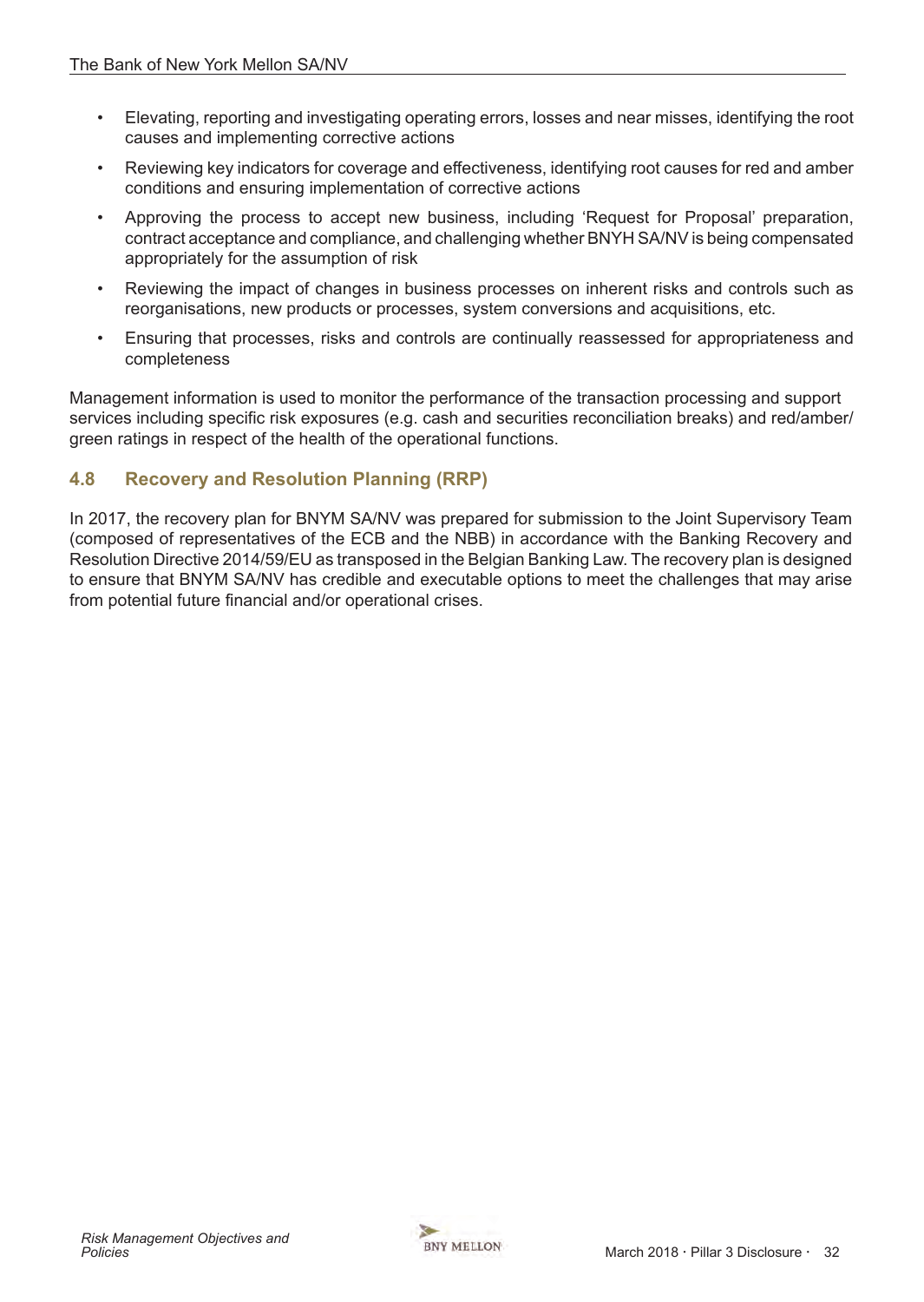- <span id="page-31-0"></span>• Elevating, reporting and investigating operating errors, losses and near misses, identifying the root causes and implementing corrective actions
- Reviewing key indicators for coverage and effectiveness, identifying root causes for red and amber conditions and ensuring implementation of corrective actions
- Approving the process to accept new business, including 'Request for Proposal' preparation, contract acceptance and compliance, and challenging whether BNYH SA/NV is being compensated appropriately for the assumption of risk
- Reviewing the impact of changes in business processes on inherent risks and controls such as reorganisations, new products or processes, system conversions and acquisitions, etc.
- Ensuring that processes, risks and controls are continually reassessed for appropriateness and completeness

Management information is used to monitor the performance of the transaction processing and support services including specific risk exposures (e.g. cash and securities reconciliation breaks) and red/amber/ green ratings in respect of the health of the operational functions.

# **4.8 Recovery and Resolution Planning (RRP)**

In 2017, the recovery plan for BNYM SA/NV was prepared for submission to the Joint Supervisory Team (composed of representatives of the ECB and the NBB) in accordance with the Banking Recovery and Resolution Directive 2014/59/EU as transposed in the Belgian Banking Law. The recovery plan is designed to ensure that BNYM SA/NV has credible and executable options to meet the challenges that may arise from potential future financial and/or operational crises.

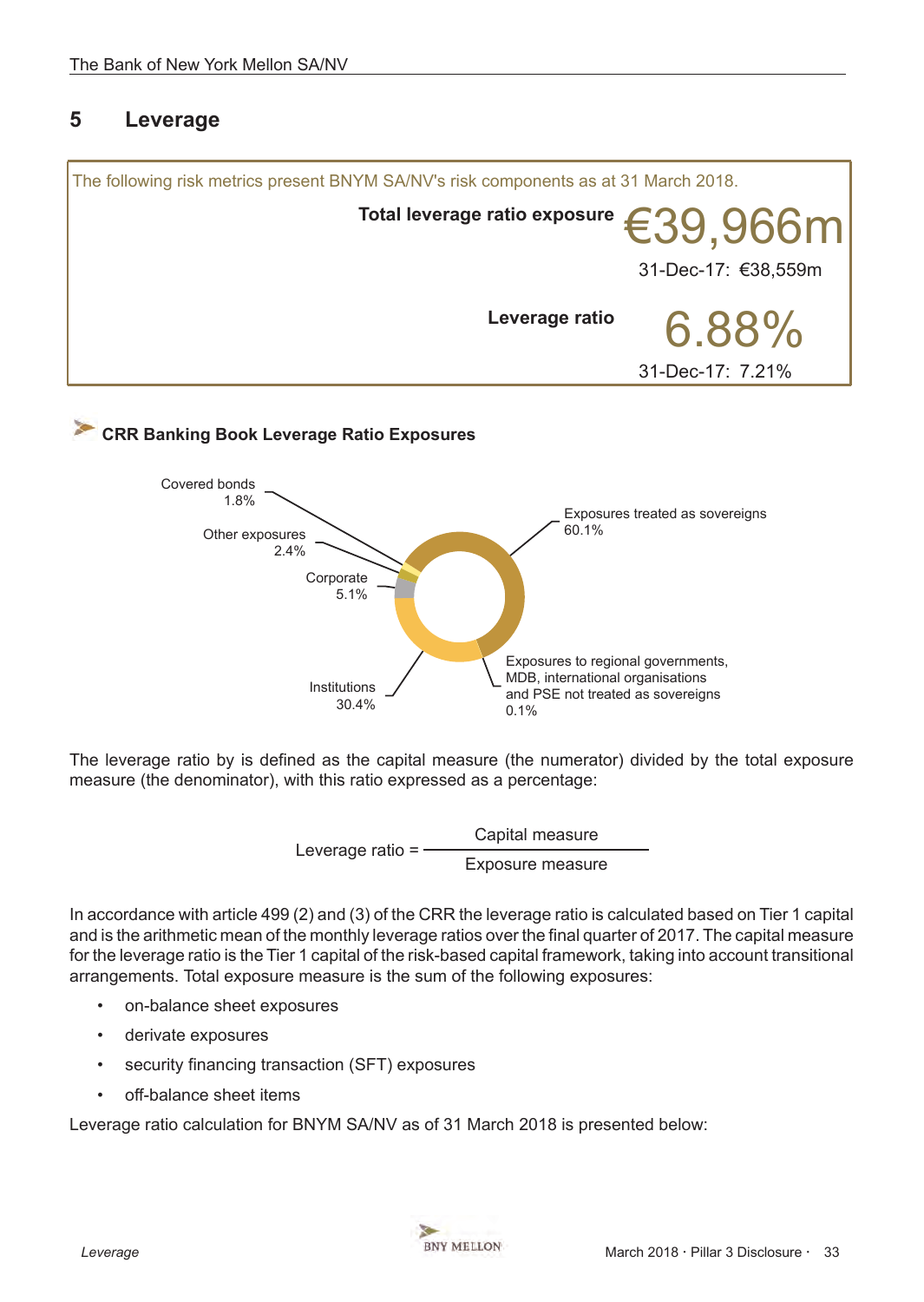# <span id="page-32-0"></span>**5 Leverage**



The leverage ratio by is defined as the capital measure (the numerator) divided by the total exposure measure (the denominator), with this ratio expressed as a percentage:

Leverage ratio = <br>Exposure measure

In accordance with article 499 (2) and (3) of the CRR the leverage ratio is calculated based on Tier 1 capital and is the arithmetic mean of the monthly leverage ratios over the final quarter of 2017. The capital measure for the leverage ratio is the Tier 1 capital of the risk-based capital framework, taking into account transitional arrangements. Total exposure measure is the sum of the following exposures:

- on-balance sheet exposures
- derivate exposures
- security financing transaction (SFT) exposures
- off-balance sheet items

Leverage ratio calculation for BNYM SA/NV as of 31 March 2018 is presented below:

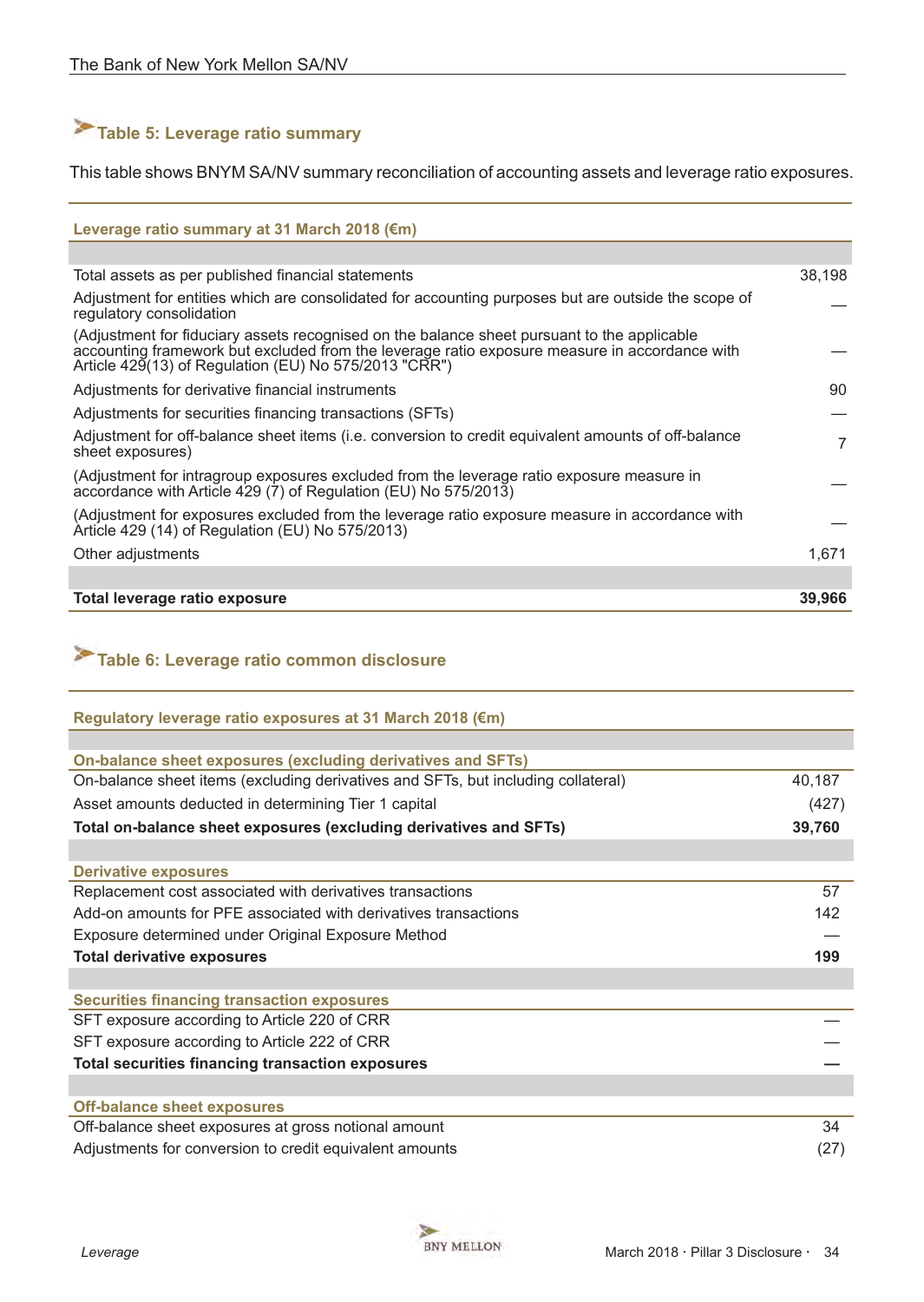# <span id="page-33-0"></span>**Table 5: Leverage ratio summary**

This table shows BNYM SA/NV summary reconciliation of accounting assets and leverage ratio exposures.

#### **Leverage ratio summary at 31 March 2018 (€m)**

| Total assets as per published financial statements                                                                                                                                                                                                    | 38,198 |
|-------------------------------------------------------------------------------------------------------------------------------------------------------------------------------------------------------------------------------------------------------|--------|
| Adjustment for entities which are consolidated for accounting purposes but are outside the scope of<br>regulatory consolidation                                                                                                                       |        |
| (Adjustment for fiduciary assets recognised on the balance sheet pursuant to the applicable<br>accounting framework but excluded from the leverage ratio exposure measure in accordance with<br>Article 429(13) of Regulation (EU) No 575/2013 "CRR") |        |
| Adjustments for derivative financial instruments                                                                                                                                                                                                      | 90     |
| Adjustments for securities financing transactions (SFTs)                                                                                                                                                                                              |        |
| Adjustment for off-balance sheet items (i.e. conversion to credit equivalent amounts of off-balance<br>sheet exposures)                                                                                                                               | 7      |
| (Adjustment for intragroup exposures excluded from the leverage ratio exposure measure in<br>accordance with Article 429 (7) of Regulation (EU) No 575/2013)                                                                                          |        |
| (Adjustment for exposures excluded from the leverage ratio exposure measure in accordance with<br>Article 429 (14) of Regulation (EU) No 575/2013)                                                                                                    |        |
| Other adjustments                                                                                                                                                                                                                                     | 1,671  |
|                                                                                                                                                                                                                                                       |        |
| Total leverage ratio exposure                                                                                                                                                                                                                         | 39,966 |

# **Table 6: Leverage ratio common disclosure**

| Regulatory leverage ratio exposures at 31 March 2018 (€m)                         |        |
|-----------------------------------------------------------------------------------|--------|
|                                                                                   |        |
| On-balance sheet exposures (excluding derivatives and SFTs)                       |        |
| On-balance sheet items (excluding derivatives and SFTs, but including collateral) | 40,187 |
| Asset amounts deducted in determining Tier 1 capital                              | (427)  |
| Total on-balance sheet exposures (excluding derivatives and SFTs)                 | 39,760 |
|                                                                                   |        |
| <b>Derivative exposures</b>                                                       |        |
| Replacement cost associated with derivatives transactions                         | 57     |
| Add-on amounts for PFE associated with derivatives transactions                   | 142    |
| Exposure determined under Original Exposure Method                                |        |
| <b>Total derivative exposures</b>                                                 | 199    |
|                                                                                   |        |
| <b>Securities financing transaction exposures</b>                                 |        |
| SFT exposure according to Article 220 of CRR                                      |        |
| SFT exposure according to Article 222 of CRR                                      |        |
| <b>Total securities financing transaction exposures</b>                           |        |
|                                                                                   |        |
| <b>Off-balance sheet exposures</b>                                                |        |
| Off-balance sheet exposures at gross notional amount                              | 34     |
| Adjustments for conversion to credit equivalent amounts                           | (27)   |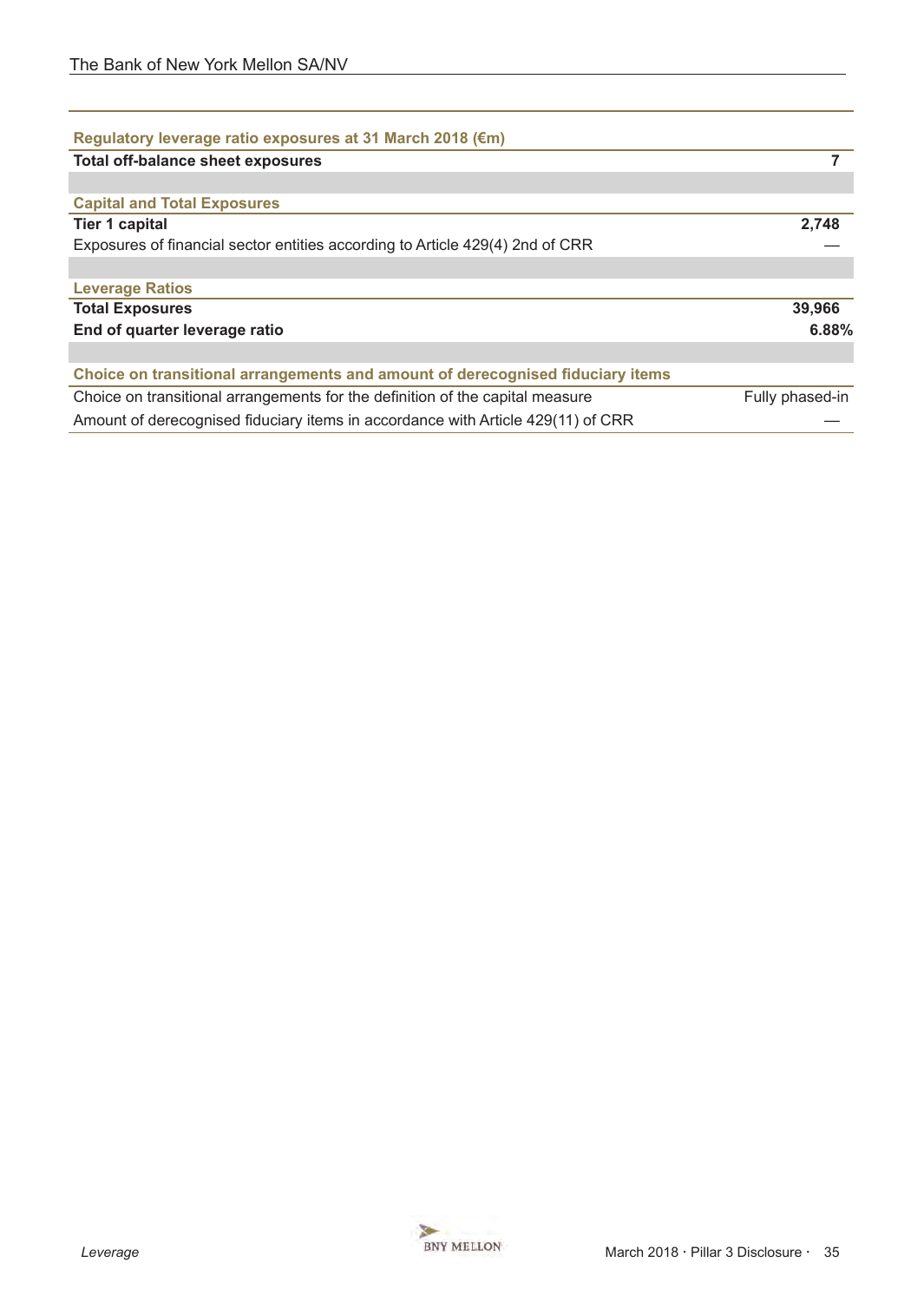| Regulatory leverage ratio exposures at 31 March 2018 (€m)                        |                 |
|----------------------------------------------------------------------------------|-----------------|
| <b>Total off-balance sheet exposures</b>                                         | 7               |
|                                                                                  |                 |
| <b>Capital and Total Exposures</b>                                               |                 |
| <b>Tier 1 capital</b>                                                            | 2,748           |
| Exposures of financial sector entities according to Article 429(4) 2nd of CRR    |                 |
|                                                                                  |                 |
| <b>Leverage Ratios</b>                                                           |                 |
| <b>Total Exposures</b>                                                           | 39,966          |
| End of quarter leverage ratio                                                    | 6.88%           |
|                                                                                  |                 |
| Choice on transitional arrangements and amount of derecognised fiduciary items   |                 |
| Choice on transitional arrangements for the definition of the capital measure    | Fully phased-in |
| Amount of derecognised fiduciary items in accordance with Article 429(11) of CRR |                 |

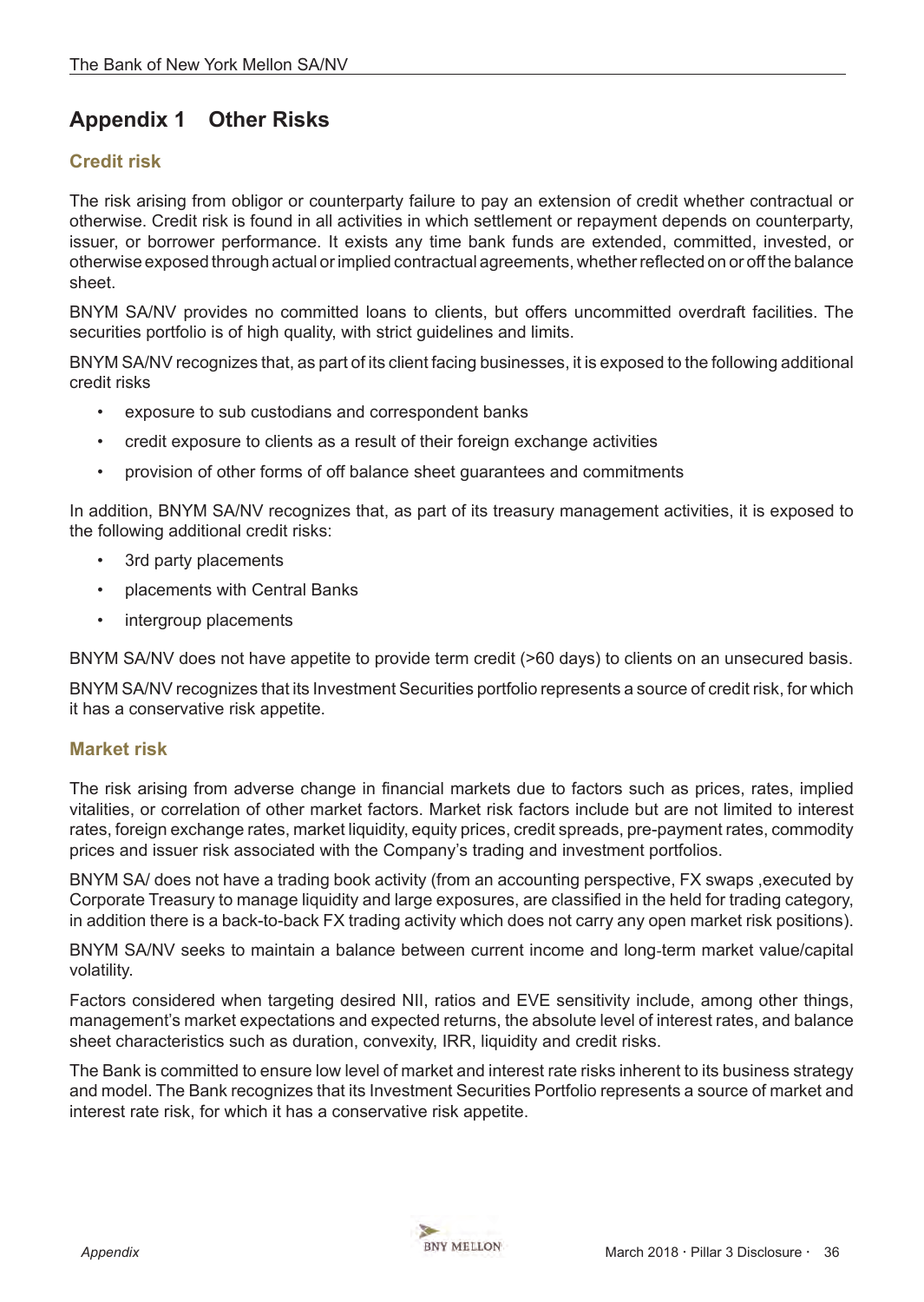# <span id="page-35-0"></span>**Appendix 1 Other Risks**

# **Credit risk**

The risk arising from obligor or counterparty failure to pay an extension of credit whether contractual or otherwise. Credit risk is found in all activities in which settlement or repayment depends on counterparty, issuer, or borrower performance. It exists any time bank funds are extended, committed, invested, or otherwise exposed through actual or implied contractual agreements, whether reflected on or off the balance sheet.

BNYM SA/NV provides no committed loans to clients, but offers uncommitted overdraft facilities. The securities portfolio is of high quality, with strict guidelines and limits.

BNYM SA/NV recognizes that, as part of its client facing businesses, it is exposed to the following additional credit risks

- exposure to sub custodians and correspondent banks
- credit exposure to clients as a result of their foreign exchange activities
- provision of other forms of off balance sheet guarantees and commitments

In addition, BNYM SA/NV recognizes that, as part of its treasury management activities, it is exposed to the following additional credit risks:

- 3rd party placements
- placements with Central Banks
- intergroup placements

BNYM SA/NV does not have appetite to provide term credit (>60 days) to clients on an unsecured basis.

BNYM SA/NV recognizes that its Investment Securities portfolio represents a source of credit risk, for which it has a conservative risk appetite.

## **Market risk**

The risk arising from adverse change in financial markets due to factors such as prices, rates, implied vitalities, or correlation of other market factors. Market risk factors include but are not limited to interest rates, foreign exchange rates, market liquidity, equity prices, credit spreads, pre-payment rates, commodity prices and issuer risk associated with the Company's trading and investment portfolios.

BNYM SA/ does not have a trading book activity (from an accounting perspective, FX swaps ,executed by Corporate Treasury to manage liquidity and large exposures, are classified in the held for trading category, in addition there is a back-to-back FX trading activity which does not carry any open market risk positions).

BNYM SA/NV seeks to maintain a balance between current income and long‐term market value/capital volatility.

Factors considered when targeting desired NII, ratios and EVE sensitivity include, among other things, management's market expectations and expected returns, the absolute level of interest rates, and balance sheet characteristics such as duration, convexity, IRR, liquidity and credit risks.

The Bank is committed to ensure low level of market and interest rate risks inherent to its business strategy and model. The Bank recognizes that its Investment Securities Portfolio represents a source of market and interest rate risk, for which it has a conservative risk appetite.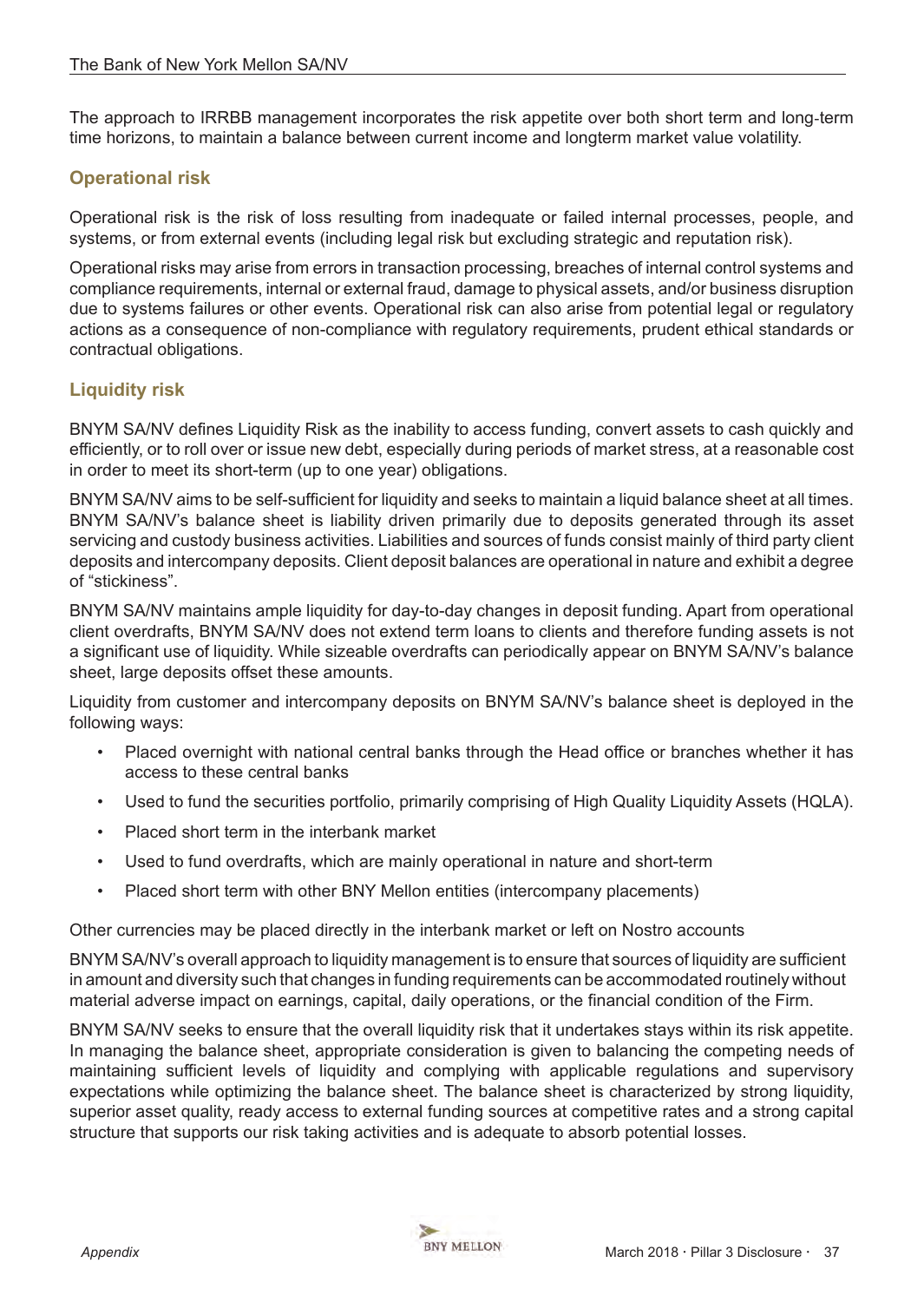<span id="page-36-0"></span>The approach to IRRBB management incorporates the risk appetite over both short term and long‐term time horizons, to maintain a balance between current income and longterm market value volatility.

# **Operational risk**

Operational risk is the risk of loss resulting from inadequate or failed internal processes, people, and systems, or from external events (including legal risk but excluding strategic and reputation risk).

Operational risks may arise from errors in transaction processing, breaches of internal control systems and compliance requirements, internal or external fraud, damage to physical assets, and/or business disruption due to systems failures or other events. Operational risk can also arise from potential legal or regulatory actions as a consequence of non-compliance with regulatory requirements, prudent ethical standards or contractual obligations.

## **Liquidity risk**

BNYM SA/NV defines Liquidity Risk as the inability to access funding, convert assets to cash quickly and efficiently, or to roll over or issue new debt, especially during periods of market stress, at a reasonable cost in order to meet its short-term (up to one year) obligations.

BNYM SA/NV aims to be self-sufficient for liquidity and seeks to maintain a liquid balance sheet at all times. BNYM SA/NV's balance sheet is liability driven primarily due to deposits generated through its asset servicing and custody business activities. Liabilities and sources of funds consist mainly of third party client deposits and intercompany deposits. Client deposit balances are operational in nature and exhibit a degree of "stickiness".

BNYM SA/NV maintains ample liquidity for day-to-day changes in deposit funding. Apart from operational client overdrafts, BNYM SA/NV does not extend term loans to clients and therefore funding assets is not a significant use of liquidity. While sizeable overdrafts can periodically appear on BNYM SA/NV's balance sheet, large deposits offset these amounts.

Liquidity from customer and intercompany deposits on BNYM SA/NV's balance sheet is deployed in the following ways:

- Placed overnight with national central banks through the Head office or branches whether it has access to these central banks
- Used to fund the securities portfolio, primarily comprising of High Quality Liquidity Assets (HQLA).
- Placed short term in the interbank market
- Used to fund overdrafts, which are mainly operational in nature and short-term
- Placed short term with other BNY Mellon entities (intercompany placements)

Other currencies may be placed directly in the interbank market or left on Nostro accounts

BNYM SA/NV's overall approach to liquidity management is to ensure that sources of liquidity are sufficient in amount and diversity such that changes in funding requirements can be accommodated routinely without material adverse impact on earnings, capital, daily operations, or the financial condition of the Firm.

BNYM SA/NV seeks to ensure that the overall liquidity risk that it undertakes stays within its risk appetite. In managing the balance sheet, appropriate consideration is given to balancing the competing needs of maintaining sufficient levels of liquidity and complying with applicable regulations and supervisory expectations while optimizing the balance sheet. The balance sheet is characterized by strong liquidity, superior asset quality, ready access to external funding sources at competitive rates and a strong capital structure that supports our risk taking activities and is adequate to absorb potential losses.

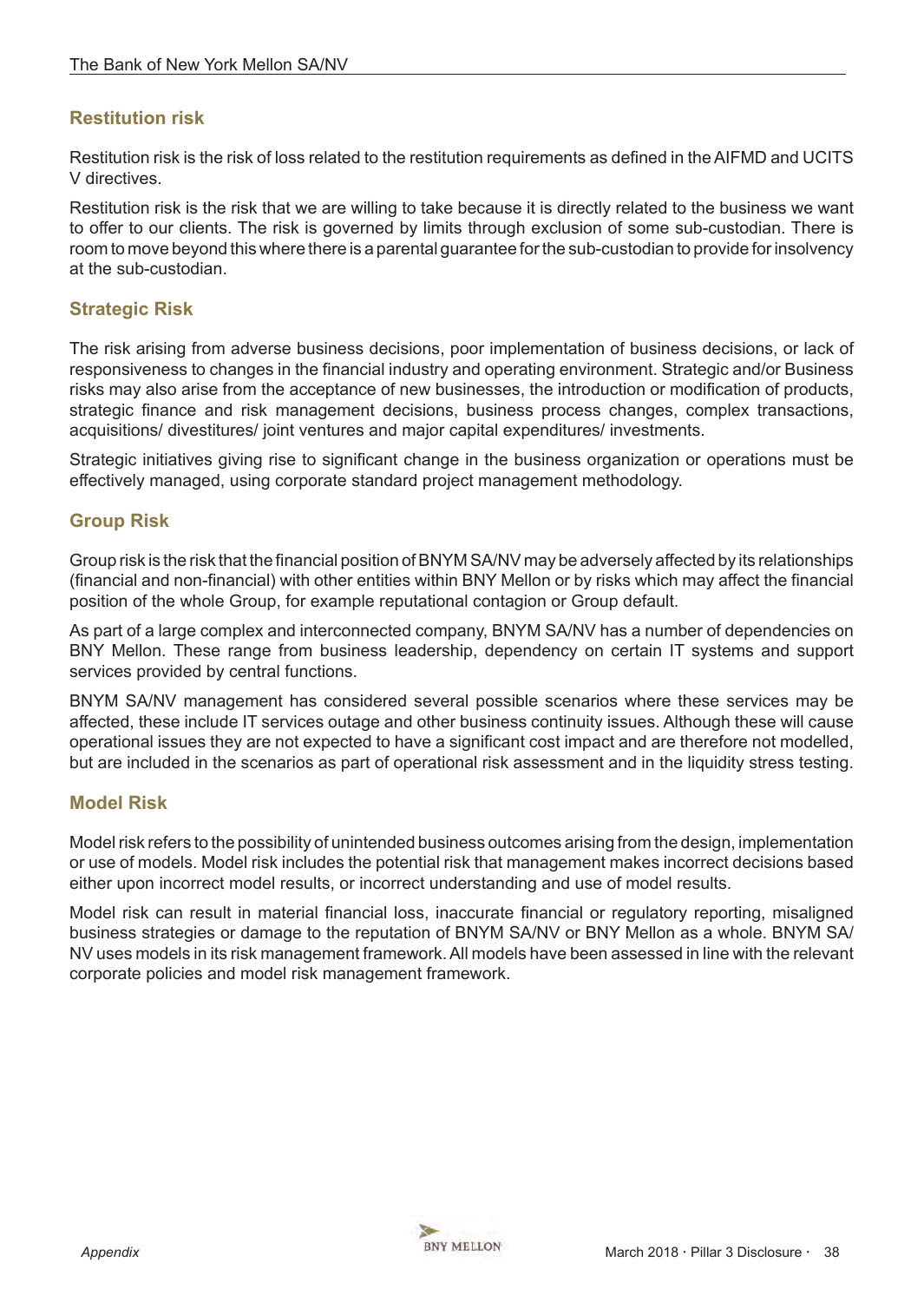# <span id="page-37-0"></span>**Restitution risk**

Restitution risk is the risk of loss related to the restitution requirements as defined in the AIFMD and UCITS V directives.

Restitution risk is the risk that we are willing to take because it is directly related to the business we want to offer to our clients. The risk is governed by limits through exclusion of some sub-custodian. There is room to move beyond this where there is a parental guarantee for the sub-custodian to provide for insolvency at the sub-custodian.

## **Strategic Risk**

The risk arising from adverse business decisions, poor implementation of business decisions, or lack of responsiveness to changes in the financial industry and operating environment. Strategic and/or Business risks may also arise from the acceptance of new businesses, the introduction or modification of products, strategic finance and risk management decisions, business process changes, complex transactions, acquisitions/ divestitures/ joint ventures and major capital expenditures/ investments.

Strategic initiatives giving rise to significant change in the business organization or operations must be effectively managed, using corporate standard project management methodology.

## **Group Risk**

Group risk is the risk that the financial position of BNYM SA/NV may be adversely affected by its relationships (financial and non-financial) with other entities within BNY Mellon or by risks which may affect the financial position of the whole Group, for example reputational contagion or Group default.

As part of a large complex and interconnected company, BNYM SA/NV has a number of dependencies on BNY Mellon. These range from business leadership, dependency on certain IT systems and support services provided by central functions.

BNYM SA/NV management has considered several possible scenarios where these services may be affected, these include IT services outage and other business continuity issues. Although these will cause operational issues they are not expected to have a significant cost impact and are therefore not modelled, but are included in the scenarios as part of operational risk assessment and in the liquidity stress testing.

## **Model Risk**

Model risk refers to the possibility of unintended business outcomes arising from the design, implementation or use of models. Model risk includes the potential risk that management makes incorrect decisions based either upon incorrect model results, or incorrect understanding and use of model results.

Model risk can result in material financial loss, inaccurate financial or regulatory reporting, misaligned business strategies or damage to the reputation of BNYM SA/NV or BNY Mellon as a whole. BNYM SA/ NV uses models in its risk management framework. All models have been assessed in line with the relevant corporate policies and model risk management framework.

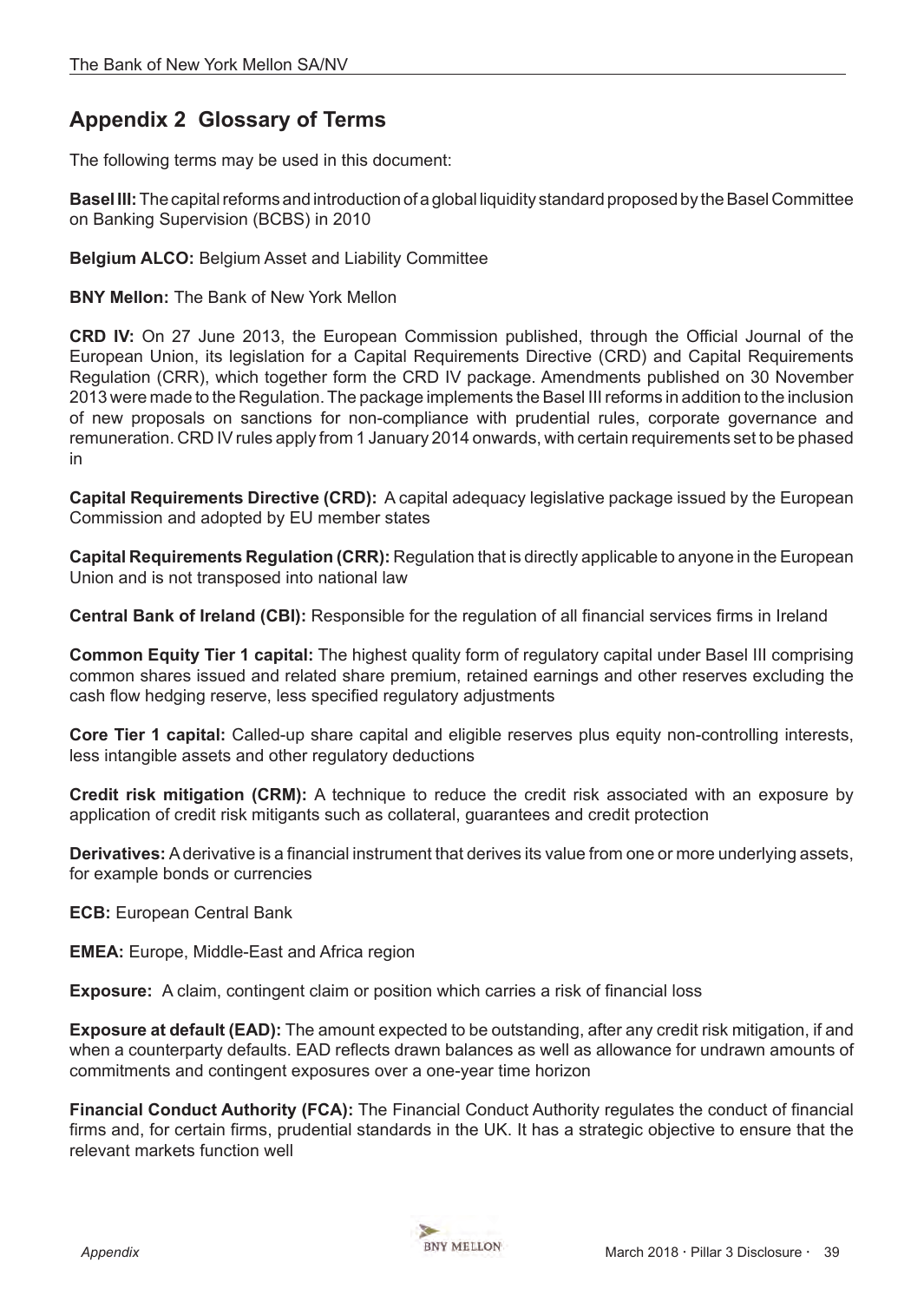# <span id="page-38-0"></span>**Appendix 2 Glossary of Terms**

The following terms may be used in this document:

**Basel III:** The capital reforms and introduction of a global liquidity standard proposed by the Basel Committee on Banking Supervision (BCBS) in 2010

#### **Belgium ALCO:** Belgium Asset and Liability Committee

**BNY Mellon:** The Bank of New York Mellon

**CRD IV:** On 27 June 2013, the European Commission published, through the Official Journal of the European Union, its legislation for a Capital Requirements Directive (CRD) and Capital Requirements Regulation (CRR), which together form the CRD IV package. Amendments published on 30 November 2013 were made to the Regulation. The package implements the Basel III reforms in addition to the inclusion of new proposals on sanctions for non-compliance with prudential rules, corporate governance and remuneration. CRD IV rules apply from 1 January 2014 onwards, with certain requirements set to be phased in

 **Capital Requirements Directive (CRD):** A capital adequacy legislative package issued by the European Commission and adopted by EU member states

**Capital Requirements Regulation (CRR):** Regulation that is directly applicable to anyone in the European Union and is not transposed into national law

**Central Bank of Ireland (CBI):** Responsible for the regulation of all financial services firms in Ireland

**Common Equity Tier 1 capital:** The highest quality form of regulatory capital under Basel III comprising common shares issued and related share premium, retained earnings and other reserves excluding the cash flow hedging reserve, less specified regulatory adjustments

**Core Tier 1 capital:** Called-up share capital and eligible reserves plus equity non-controlling interests, less intangible assets and other regulatory deductions

**Credit risk mitigation (CRM):** A technique to reduce the credit risk associated with an exposure by application of credit risk mitigants such as collateral, guarantees and credit protection

**Derivatives:** A derivative is a financial instrument that derives its value from one or more underlying assets, for example bonds or currencies

**ECB:** European Central Bank

**EMEA:** Europe, Middle-East and Africa region

**Exposure:** A claim, contingent claim or position which carries a risk of financial loss

**Exposure at default (EAD):** The amount expected to be outstanding, after any credit risk mitigation, if and when a counterparty defaults. EAD reflects drawn balances as well as allowance for undrawn amounts of commitments and contingent exposures over a one-year time horizon

**Financial Conduct Authority (FCA):** The Financial Conduct Authority regulates the conduct of financial firms and, for certain firms, prudential standards in the UK. It has a strategic objective to ensure that the relevant markets function well

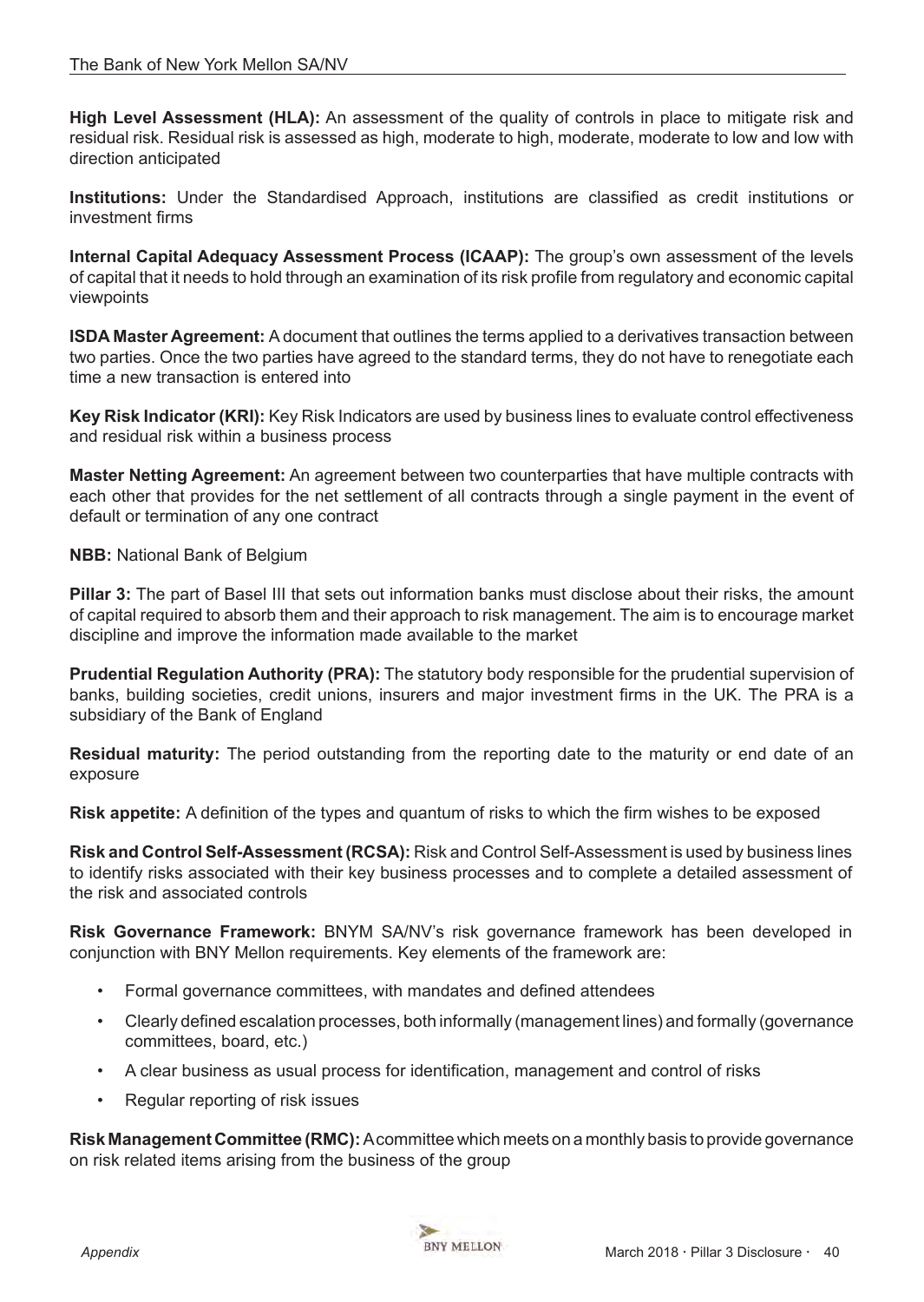**High Level Assessment (HLA):** An assessment of the quality of controls in place to mitigate risk and residual risk. Residual risk is assessed as high, moderate to high, moderate, moderate to low and low with direction anticipated

**Institutions:** Under the Standardised Approach, institutions are classified as credit institutions or investment firms

**Internal Capital Adequacy Assessment Process (ICAAP):** The group's own assessment of the levels of capital that it needs to hold through an examination of its risk profile from regulatory and economic capital viewpoints

**ISDA Master Agreement:** A document that outlines the terms applied to a derivatives transaction between two parties. Once the two parties have agreed to the standard terms, they do not have to renegotiate each time a new transaction is entered into

**Key Risk Indicator (KRI):** Key Risk Indicators are used by business lines to evaluate control effectiveness and residual risk within a business process

**Master Netting Agreement:** An agreement between two counterparties that have multiple contracts with each other that provides for the net settlement of all contracts through a single payment in the event of default or termination of any one contract

**NBB:** National Bank of Belgium

**Pillar 3:** The part of Basel III that sets out information banks must disclose about their risks, the amount of capital required to absorb them and their approach to risk management. The aim is to encourage market discipline and improve the information made available to the market

**Prudential Regulation Authority (PRA):** The statutory body responsible for the prudential supervision of banks, building societies, credit unions, insurers and major investment firms in the UK. The PRA is a subsidiary of the Bank of England

**Residual maturity:** The period outstanding from the reporting date to the maturity or end date of an exposure

**Risk appetite:** A definition of the types and quantum of risks to which the firm wishes to be exposed

**Risk and Control Self-Assessment (RCSA):** Risk and Control Self-Assessment is used by business lines to identify risks associated with their key business processes and to complete a detailed assessment of the risk and associated controls

**Risk Governance Framework:** BNYM SA/NV's risk governance framework has been developed in conjunction with BNY Mellon requirements. Key elements of the framework are:

- Formal governance committees, with mandates and defined attendees
- Clearly defined escalation processes, both informally (management lines) and formally (governance committees, board, etc.)
- A clear business as usual process for identification, management and control of risks
- Regular reporting of risk issues

**Risk Management Committee (RMC):** Acommittee which meets on a monthly basis to provide governance on risk related items arising from the business of the group

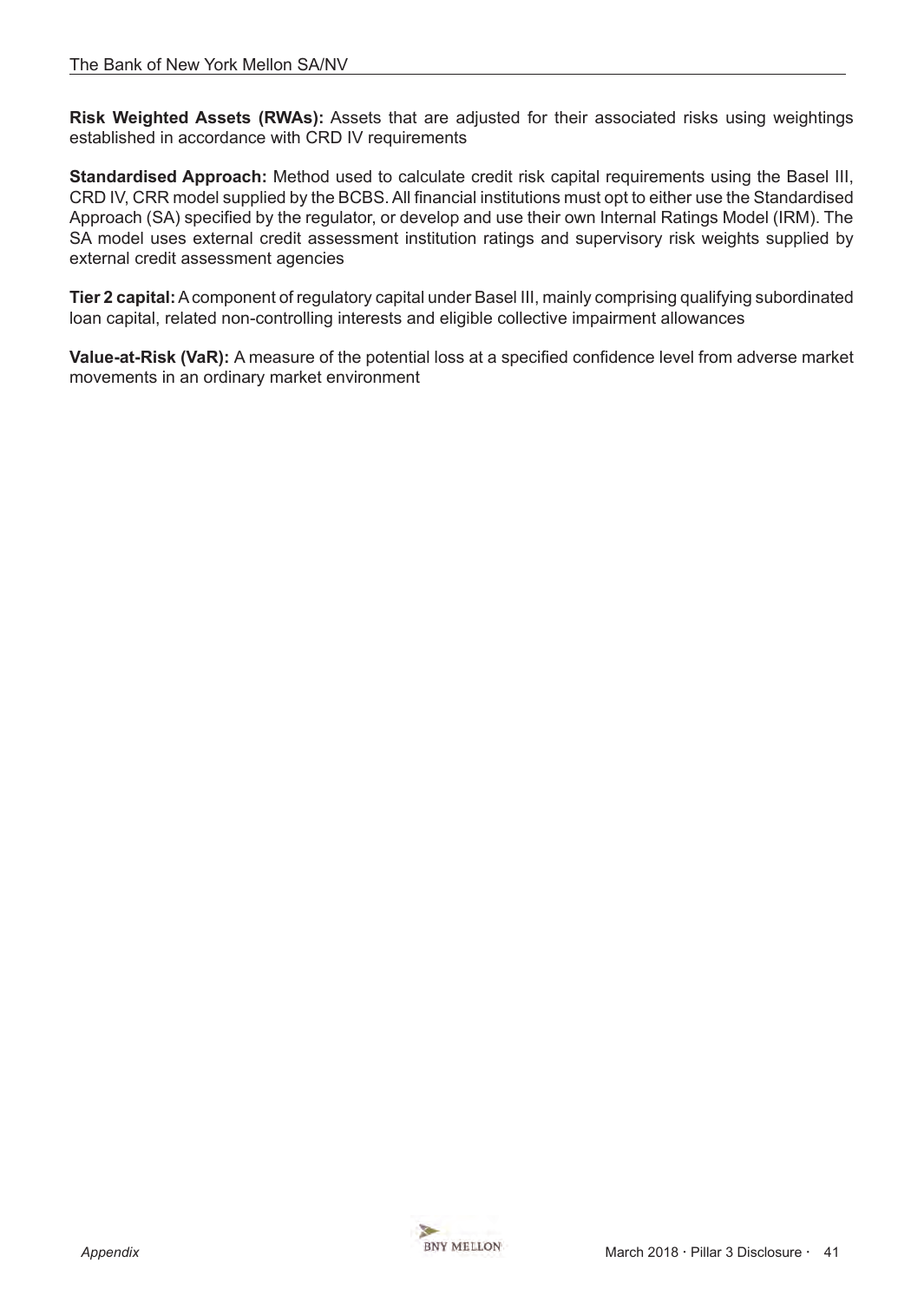**Risk Weighted Assets (RWAs):** Assets that are adjusted for their associated risks using weightings established in accordance with CRD IV requirements

**Standardised Approach:** Method used to calculate credit risk capital requirements using the Basel III, CRD IV, CRR model supplied by the BCBS. All financial institutions must opt to either use the Standardised Approach (SA) specified by the regulator, or develop and use their own Internal Ratings Model (IRM). The SA model uses external credit assessment institution ratings and supervisory risk weights supplied by external credit assessment agencies

 **Tier 2 capital:** A component of regulatory capital under Basel III, mainly comprising qualifying subordinated loan capital, related non-controlling interests and eligible collective impairment allowances

**Value-at-Risk (VaR):** A measure of the potential loss at a specified confidence level from adverse market movements in an ordinary market environment



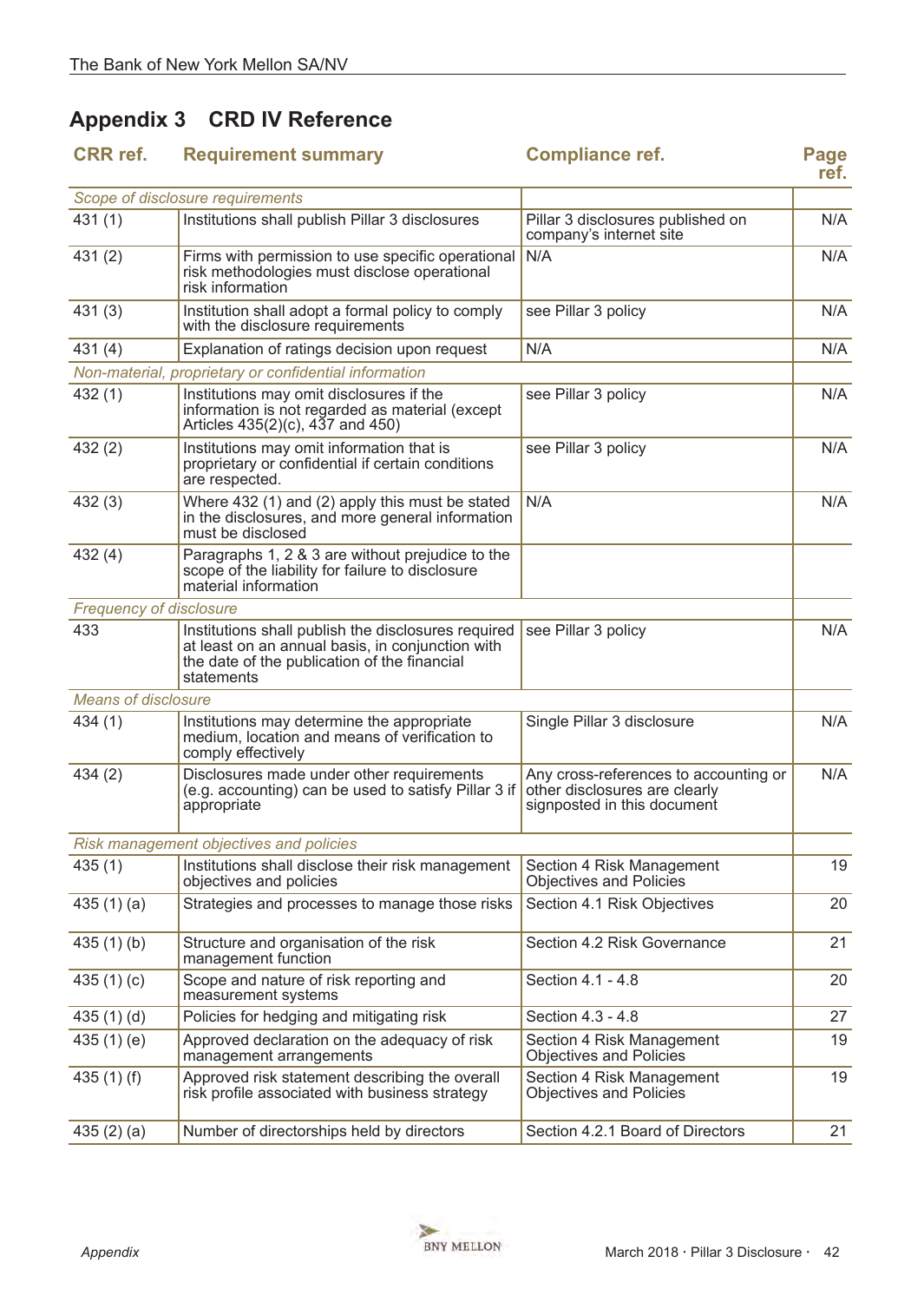# <span id="page-41-0"></span>**Appendix 3 CRD IV Reference**

| <b>CRR</b> ref.            | <b>Requirement summary</b>                                                                                                                                            | <b>Compliance ref.</b>                                                                                | Page<br>ref. |
|----------------------------|-----------------------------------------------------------------------------------------------------------------------------------------------------------------------|-------------------------------------------------------------------------------------------------------|--------------|
|                            | Scope of disclosure requirements                                                                                                                                      |                                                                                                       |              |
| 431(1)                     | Institutions shall publish Pillar 3 disclosures                                                                                                                       | Pillar 3 disclosures published on<br>company's internet site                                          | N/A          |
| 431(2)                     | Firms with permission to use specific operational<br>risk methodologies must disclose operational<br>risk information                                                 | N/A                                                                                                   | N/A          |
| 431(3)                     | Institution shall adopt a formal policy to comply<br>with the disclosure requirements                                                                                 | see Pillar 3 policy                                                                                   | N/A          |
| 431(4)                     | Explanation of ratings decision upon request                                                                                                                          | N/A                                                                                                   | N/A          |
|                            | Non-material, proprietary or confidential information                                                                                                                 |                                                                                                       |              |
| 432(1)                     | Institutions may omit disclosures if the<br>information is not regarded as material (except<br>Articles 435(2)(c), 437 and 450)                                       | see Pillar 3 policy                                                                                   | N/A          |
| 432(2)                     | Institutions may omit information that is<br>proprietary or confidential if certain conditions<br>are respected.                                                      | see Pillar 3 policy                                                                                   | N/A          |
| 432(3)                     | Where 432 (1) and (2) apply this must be stated<br>in the disclosures, and more general information<br>must be disclosed                                              | N/A                                                                                                   | N/A          |
| 432(4)                     | Paragraphs 1, 2 & 3 are without prejudice to the<br>scope of the liability for failure to disclosure<br>material information                                          |                                                                                                       |              |
| Frequency of disclosure    |                                                                                                                                                                       |                                                                                                       |              |
| 433                        | Institutions shall publish the disclosures required<br>at least on an annual basis, in conjunction with<br>the date of the publication of the financial<br>statements | see Pillar 3 policy                                                                                   | N/A          |
| <b>Means of disclosure</b> |                                                                                                                                                                       |                                                                                                       |              |
| 434(1)                     | Institutions may determine the appropriate<br>medium, location and means of verification to<br>comply effectively                                                     | Single Pillar 3 disclosure                                                                            | N/A          |
| 434(2)                     | Disclosures made under other requirements<br>(e.g. accounting) can be used to satisfy Pillar 3 if<br>appropriate                                                      | Any cross-references to accounting or<br>other disclosures are clearly<br>signposted in this document | N/A          |
|                            | Risk management objectives and policies                                                                                                                               |                                                                                                       |              |
| 435(1)                     | Institutions shall disclose their risk management<br>objectives and policies                                                                                          | Section 4 Risk Management<br><b>Objectives and Policies</b>                                           | 19           |
| 435 $(1)(a)$               | Strategies and processes to manage those risks                                                                                                                        | Section 4.1 Risk Objectives                                                                           | 20           |
| 435(1)(b)                  | Structure and organisation of the risk<br>management function                                                                                                         | Section 4.2 Risk Governance                                                                           | 21           |
| 435 $(1)(c)$               | Scope and nature of risk reporting and<br>measurement systems                                                                                                         | Section 4.1 - 4.8                                                                                     | 20           |
| 435 $(1)(d)$               | Policies for hedging and mitigating risk                                                                                                                              | Section 4.3 - 4.8                                                                                     | 27           |
| 435 $(1)$ $(e)$            | Approved declaration on the adequacy of risk<br>management arrangements                                                                                               | Section 4 Risk Management<br><b>Objectives and Policies</b>                                           | 19           |
| 435 $(1)$ $(f)$            | Approved risk statement describing the overall<br>risk profile associated with business strategy                                                                      | Section 4 Risk Management<br><b>Objectives and Policies</b>                                           | 19           |
| 435 $(2)$ $(a)$            | Number of directorships held by directors                                                                                                                             | Section 4.2.1 Board of Directors                                                                      | 21           |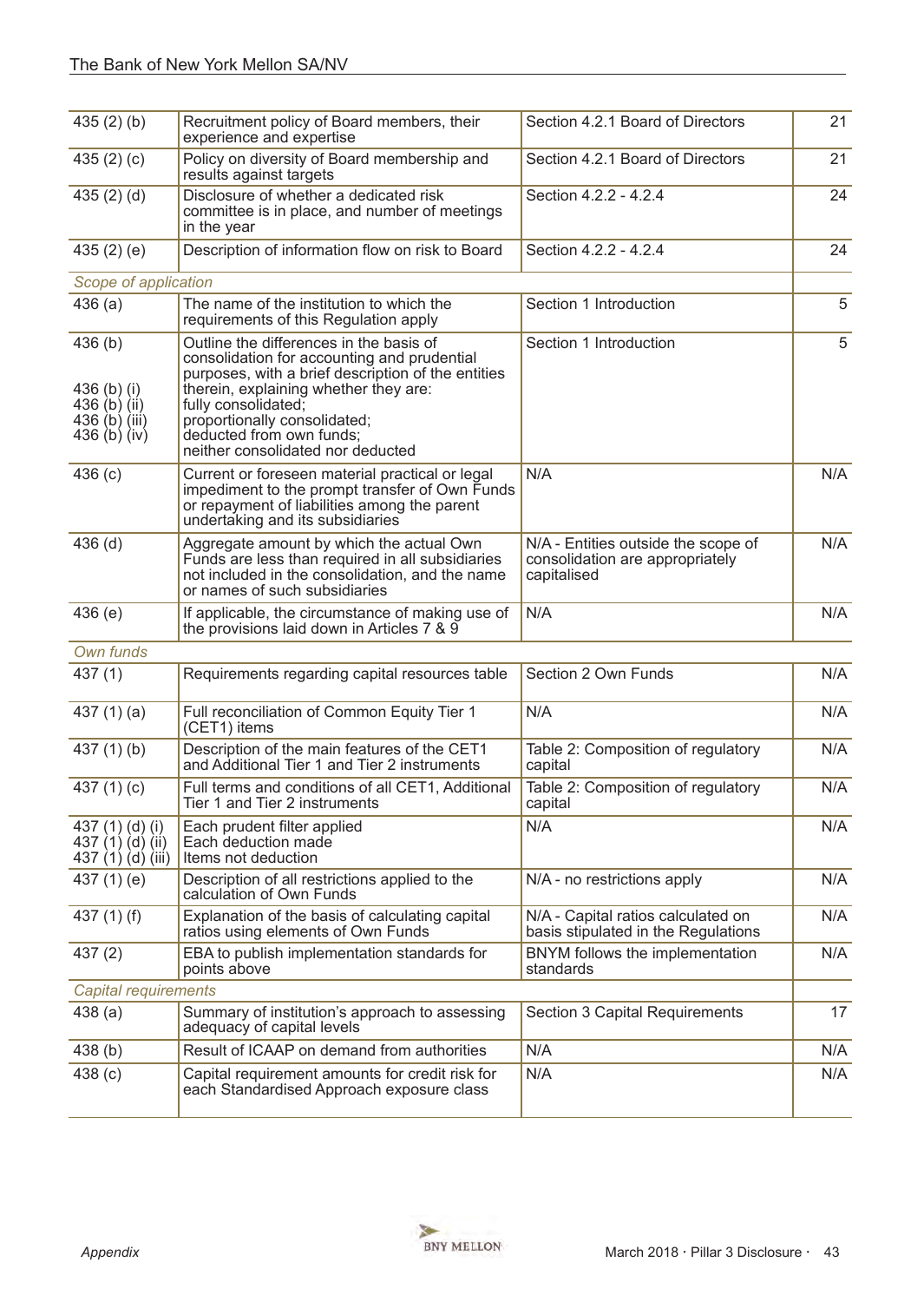| 435(2)(b)                                                                | Recruitment policy of Board members, their<br>experience and expertise                                                                                                                                                                                                                                        | Section 4.2.1 Board of Directors                                                      | 21  |
|--------------------------------------------------------------------------|---------------------------------------------------------------------------------------------------------------------------------------------------------------------------------------------------------------------------------------------------------------------------------------------------------------|---------------------------------------------------------------------------------------|-----|
| 435 $(2)(c)$                                                             | Policy on diversity of Board membership and<br>results against targets                                                                                                                                                                                                                                        | Section 4.2.1 Board of Directors                                                      | 21  |
| 435 $(2)$ $(d)$                                                          | Disclosure of whether a dedicated risk<br>committee is in place, and number of meetings<br>in the year                                                                                                                                                                                                        | Section 4.2.2 - 4.2.4                                                                 | 24  |
| 435 $(2)$ $(e)$                                                          | Description of information flow on risk to Board                                                                                                                                                                                                                                                              | Section 4.2.2 - 4.2.4                                                                 | 24  |
| Scope of application                                                     |                                                                                                                                                                                                                                                                                                               |                                                                                       |     |
| 436(a)                                                                   | The name of the institution to which the<br>requirements of this Regulation apply                                                                                                                                                                                                                             | Section 1 Introduction                                                                | 5   |
| 436(b)<br>436 (b) (i)<br>436 (b) (ii)<br>436 (b) (iii)<br>436 $(b)$ (iv) | Outline the differences in the basis of<br>consolidation for accounting and prudential<br>purposes, with a brief description of the entities<br>therein, explaining whether they are:<br>fully consolidated;<br>proportionally consolidated;<br>deducted from own funds;<br>neither consolidated nor deducted | Section 1 Introduction                                                                | 5   |
| 436(c)                                                                   | Current or foreseen material practical or legal<br>impediment to the prompt transfer of Own Funds<br>or repayment of liabilities among the parent<br>undertaking and its subsidiaries                                                                                                                         | N/A                                                                                   | N/A |
| $436$ (d)                                                                | Aggregate amount by which the actual Own<br>Funds are less than required in all subsidiaries<br>not included in the consolidation, and the name<br>or names of such subsidiaries                                                                                                                              | N/A - Entities outside the scope of<br>consolidation are appropriately<br>capitalised | N/A |
| 436(e)                                                                   | If applicable, the circumstance of making use of<br>the provisions laid down in Articles 7 & 9                                                                                                                                                                                                                | N/A                                                                                   | N/A |
| Own funds                                                                |                                                                                                                                                                                                                                                                                                               |                                                                                       |     |
| 437(1)                                                                   | Requirements regarding capital resources table                                                                                                                                                                                                                                                                | Section 2 Own Funds                                                                   | N/A |
| 437 $(1)(a)$                                                             | Full reconciliation of Common Equity Tier 1<br>(CET1) items                                                                                                                                                                                                                                                   | N/A                                                                                   | N/A |
| 437 $(1)$ $(b)$                                                          | Description of the main features of the CET1<br>and Additional Tier 1 and Tier 2 instruments                                                                                                                                                                                                                  | Table 2: Composition of regulatory<br>capital                                         | N/A |
| 437 $(1)(c)$                                                             | Full terms and conditions of all CET1, Additional<br>Tier 1 and Tier 2 instruments                                                                                                                                                                                                                            | Table 2: Composition of regulatory<br>capital                                         | N/A |
| 437 (1) (d) (i)<br>437 $(1)(d)(ii)$<br>437 (1) (d) (iii)                 | Each prudent filter applied<br>Each deduction made<br>Items not deduction                                                                                                                                                                                                                                     | N/A                                                                                   | N/A |
| 437 $(1)$ $(e)$                                                          | Description of all restrictions applied to the<br>calculation of Own Funds                                                                                                                                                                                                                                    | N/A - no restrictions apply                                                           | N/A |
| 437 $(1)$ $(f)$                                                          | Explanation of the basis of calculating capital<br>ratios using elements of Own Funds                                                                                                                                                                                                                         | N/A - Capital ratios calculated on<br>basis stipulated in the Regulations             | N/A |
| 437(2)                                                                   | EBA to publish implementation standards for<br>points above                                                                                                                                                                                                                                                   | BNYM follows the implementation<br>standards                                          | N/A |
| <b>Capital requirements</b>                                              |                                                                                                                                                                                                                                                                                                               |                                                                                       |     |
| 438(a)                                                                   | Summary of institution's approach to assessing<br>adequacy of capital levels                                                                                                                                                                                                                                  | Section 3 Capital Requirements                                                        | 17  |
| 438 (b)                                                                  | Result of ICAAP on demand from authorities                                                                                                                                                                                                                                                                    | N/A                                                                                   | N/A |
| 438 (c)                                                                  | Capital requirement amounts for credit risk for<br>each Standardised Approach exposure class                                                                                                                                                                                                                  | N/A                                                                                   | N/A |

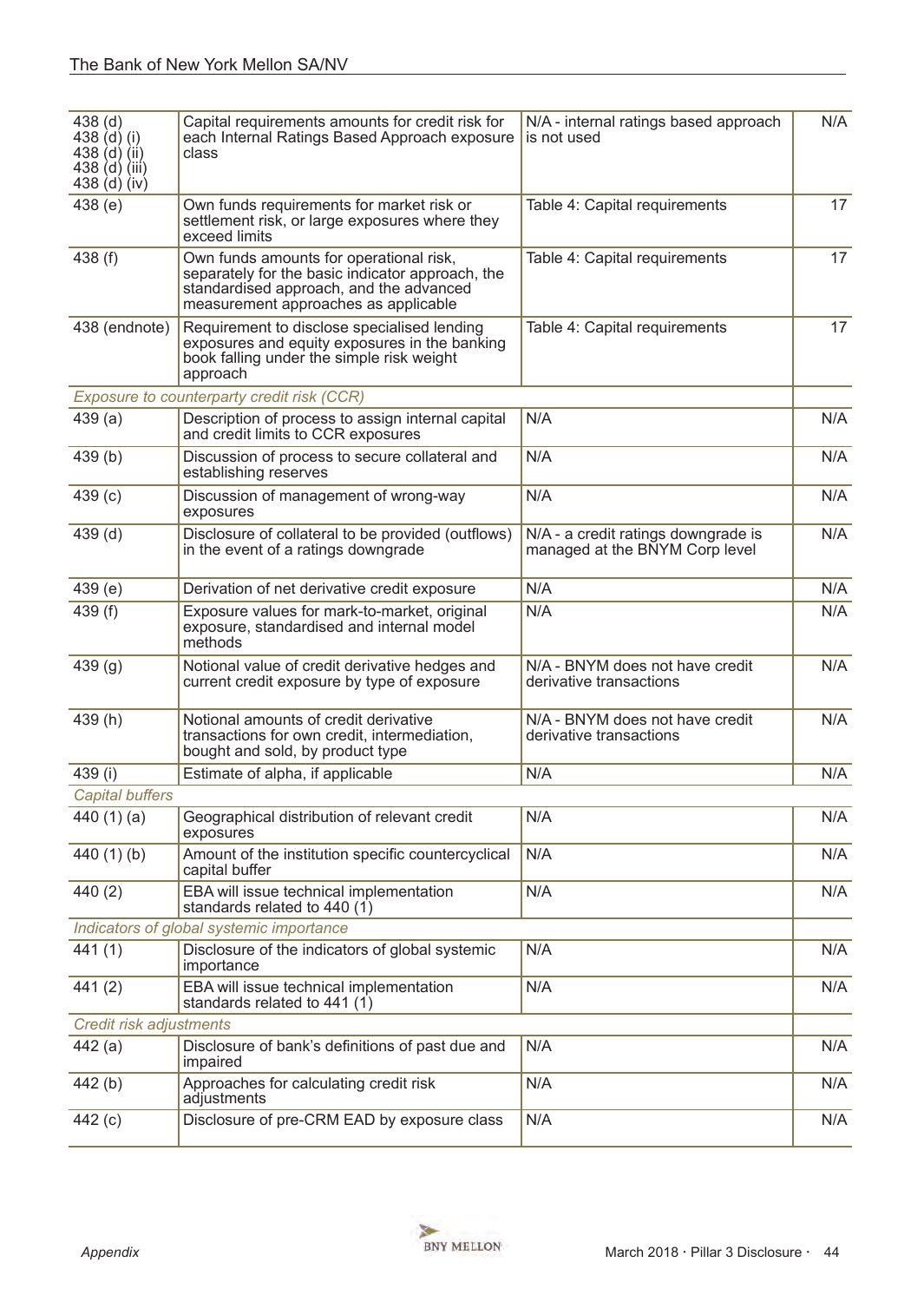| 438 <sub>(d)</sub><br>438 (d) (i)<br>438 $(d)$ $(ii)$<br>$438$ (d) (iii)<br>438 (d) (iv) | Capital requirements amounts for credit risk for<br>each Internal Ratings Based Approach exposure<br>class                                                                     | N/A - internal ratings based approach<br>is not used                  | N/A |
|------------------------------------------------------------------------------------------|--------------------------------------------------------------------------------------------------------------------------------------------------------------------------------|-----------------------------------------------------------------------|-----|
| 438(e)                                                                                   | Own funds requirements for market risk or<br>settlement risk, or large exposures where they<br>exceed limits                                                                   | Table 4: Capital requirements                                         | 17  |
| 438 (f)                                                                                  | Own funds amounts for operational risk,<br>separately for the basic indicator approach, the<br>standardised approach, and the advanced<br>measurement approaches as applicable | Table 4: Capital requirements                                         | 17  |
| 438 (endnote)                                                                            | Requirement to disclose specialised lending<br>exposures and equity exposures in the banking<br>book falling under the simple risk weight<br>approach                          | Table 4: Capital requirements                                         | 17  |
|                                                                                          | Exposure to counterparty credit risk (CCR)                                                                                                                                     |                                                                       |     |
| 439(a)                                                                                   | Description of process to assign internal capital<br>and credit limits to CCR exposures                                                                                        | N/A                                                                   | N/A |
| 439 <sub>(b)</sub>                                                                       | Discussion of process to secure collateral and<br>establishing reserves                                                                                                        | N/A                                                                   | N/A |
| 439(c)                                                                                   | Discussion of management of wrong-way<br>exposures                                                                                                                             | N/A                                                                   | N/A |
| $439$ (d)                                                                                | Disclosure of collateral to be provided (outflows)<br>in the event of a ratings downgrade                                                                                      | N/A - a credit ratings downgrade is<br>managed at the BNYM Corp level | N/A |
| 439(e)                                                                                   | Derivation of net derivative credit exposure                                                                                                                                   | N/A                                                                   | N/A |
| 439 (f)                                                                                  | Exposure values for mark-to-market, original<br>exposure, standardised and internal model<br>methods                                                                           | N/A                                                                   | N/A |
| 439 <sub>(g)</sub>                                                                       | Notional value of credit derivative hedges and<br>current credit exposure by type of exposure                                                                                  | N/A - BNYM does not have credit<br>derivative transactions            | N/A |
| 439(h)                                                                                   | Notional amounts of credit derivative<br>transactions for own credit, intermediation,<br>bought and sold, by product type                                                      | N/A - BNYM does not have credit<br>derivative transactions            | N/A |
| 439 (i)                                                                                  | Estimate of alpha, if applicable                                                                                                                                               | N/A                                                                   | N/A |
| <b>Capital buffers</b>                                                                   |                                                                                                                                                                                |                                                                       |     |
| 440 $(1)(a)$                                                                             | Geographical distribution of relevant credit<br>exposures                                                                                                                      | N/A                                                                   | N/A |
| 440 $(1)(b)$                                                                             | Amount of the institution specific countercyclical<br>capital buffer                                                                                                           | N/A                                                                   | N/A |
| 440(2)                                                                                   | EBA will issue technical implementation<br>standards related to $440(1)$                                                                                                       | N/A                                                                   | N/A |
|                                                                                          | Indicators of global systemic importance                                                                                                                                       |                                                                       |     |
| 441(1)                                                                                   | Disclosure of the indicators of global systemic<br>importance                                                                                                                  | N/A                                                                   | N/A |
| 441(2)                                                                                   | EBA will issue technical implementation<br>standards related to $441(1)$                                                                                                       | N/A                                                                   | N/A |
| Credit risk adjustments                                                                  |                                                                                                                                                                                |                                                                       |     |
| 442(a)                                                                                   | Disclosure of bank's definitions of past due and<br>impaired                                                                                                                   | N/A                                                                   | N/A |
| 442 (b)                                                                                  | Approaches for calculating credit risk<br>adjustments                                                                                                                          | N/A                                                                   | N/A |
| 442(c)                                                                                   | Disclosure of pre-CRM EAD by exposure class                                                                                                                                    | N/A                                                                   | N/A |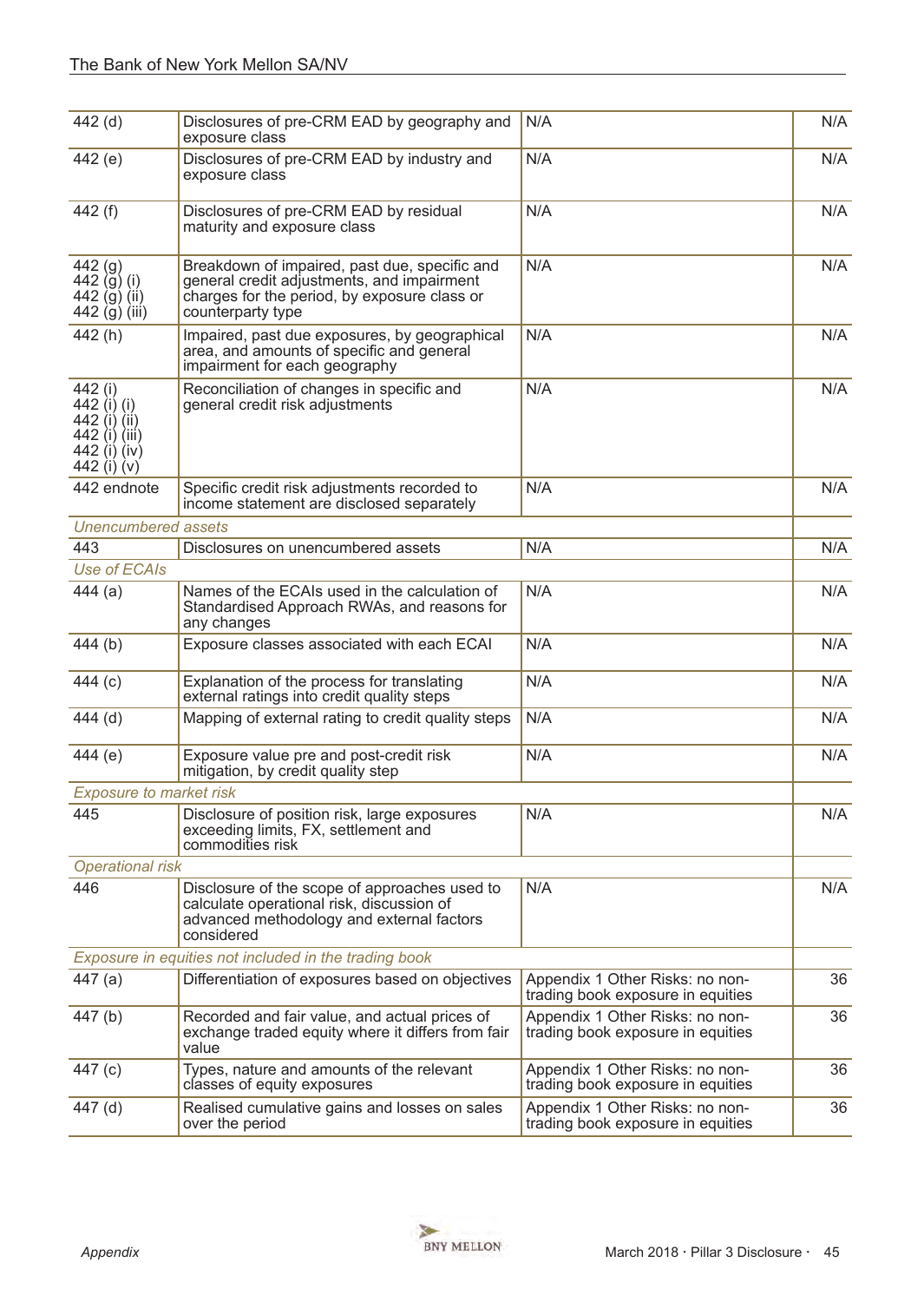| 442 (d)                                                                                | Disclosures of pre-CRM EAD by geography and<br>exposure class                                                                                                    | N/A                                                                  | N/A |
|----------------------------------------------------------------------------------------|------------------------------------------------------------------------------------------------------------------------------------------------------------------|----------------------------------------------------------------------|-----|
| 442 (e)                                                                                | Disclosures of pre-CRM EAD by industry and<br>exposure class                                                                                                     | N/A                                                                  | N/A |
| 442 (f)                                                                                | Disclosures of pre-CRM EAD by residual<br>maturity and exposure class                                                                                            | N/A                                                                  | N/A |
| 442 <sub>(9)</sub><br>442 $(j)$ (i)<br>442 (g) (ii)<br>442 (g) (iii)                   | Breakdown of impaired, past due, specific and<br>general credit adjustments, and impairment<br>charges for the period, by exposure class or<br>counterparty type | N/A                                                                  | N/A |
| 442(h)                                                                                 | Impaired, past due exposures, by geographical<br>area, and amounts of specific and general<br>impairment for each geography                                      | N/A                                                                  | N/A |
| 442 (i)<br>442 (i) (i)<br>442 (i) (ii)<br>442 (i) (iii)<br>442 (i) (iv)<br>442 (i) (v) | Reconciliation of changes in specific and<br>general credit risk adjustments                                                                                     | N/A                                                                  | N/A |
| 442 endnote                                                                            | Specific credit risk adjustments recorded to<br>income statement are disclosed separately                                                                        | N/A                                                                  | N/A |
| <b>Unencumbered assets</b>                                                             |                                                                                                                                                                  |                                                                      |     |
| 443                                                                                    | Disclosures on unencumbered assets                                                                                                                               | N/A                                                                  | N/A |
| Use of ECAIs                                                                           |                                                                                                                                                                  |                                                                      |     |
| 444(a)                                                                                 | Names of the ECAIs used in the calculation of<br>Standardised Approach RWAs, and reasons for<br>any changes                                                      | N/A                                                                  | N/A |
| 444(b)                                                                                 | Exposure classes associated with each ECAI                                                                                                                       | N/A                                                                  | N/A |
| 444 (c)                                                                                | Explanation of the process for translating<br>external ratings into credit quality steps                                                                         | N/A                                                                  | N/A |
| $444$ (d)                                                                              | Mapping of external rating to credit quality steps                                                                                                               | N/A                                                                  | N/A |
| 444 (e)                                                                                | Exposure value pre and post-credit risk<br>mitigation, by credit quality step                                                                                    | N/A                                                                  | N/A |
| <b>Exposure to market risk</b>                                                         |                                                                                                                                                                  |                                                                      |     |
| 445                                                                                    | Disclosure of position risk, large exposures<br>exceeding limits, FX, settlement and<br>commodities risk                                                         | N/A                                                                  | N/A |
| <b>Operational risk</b>                                                                |                                                                                                                                                                  |                                                                      |     |
| 446                                                                                    | Disclosure of the scope of approaches used to<br>calculate operational risk, discussion of<br>advanced methodology and external factors<br>considered            | N/A                                                                  | N/A |
|                                                                                        | Exposure in equities not included in the trading book                                                                                                            |                                                                      |     |
| 447(a)                                                                                 | Differentiation of exposures based on objectives                                                                                                                 | Appendix 1 Other Risks: no non-<br>trading book exposure in equities | 36  |
| 447(b)                                                                                 | Recorded and fair value, and actual prices of<br>exchange traded equity where it differs from fair<br>value                                                      | Appendix 1 Other Risks: no non-<br>trading book exposure in equities | 36  |
| 447 (c)                                                                                | Types, nature and amounts of the relevant<br>classes of equity exposures                                                                                         | Appendix 1 Other Risks: no non-<br>trading book exposure in equities | 36  |
| 447 (d)                                                                                | Realised cumulative gains and losses on sales<br>over the period                                                                                                 | Appendix 1 Other Risks: no non-<br>trading book exposure in equities | 36  |

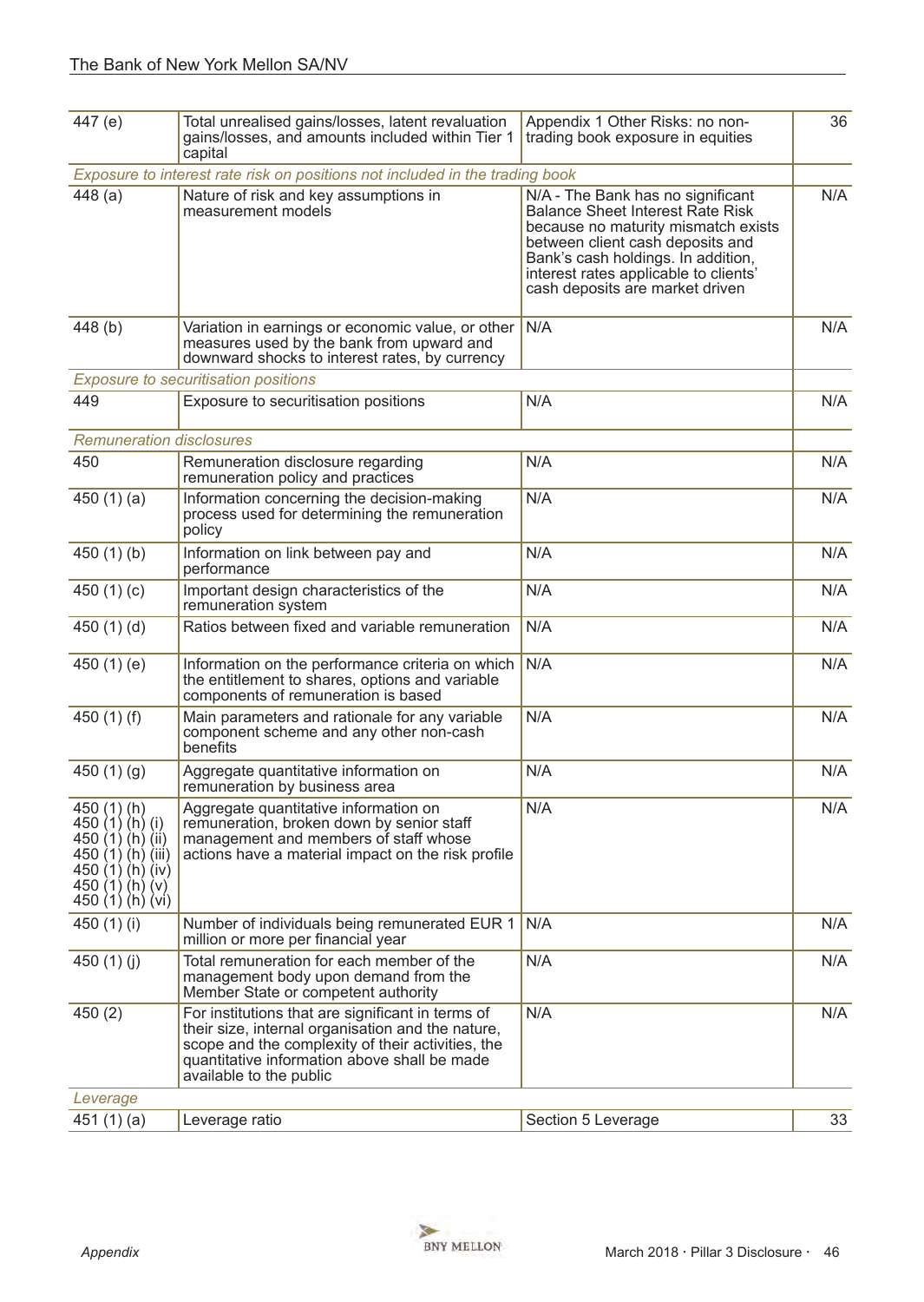| 447 (e)                                                                                                                                        | Total unrealised gains/losses, latent revaluation<br>gains/losses, and amounts included within Tier 1<br>capital                                                                                                                       | Appendix 1 Other Risks: no non-<br>trading book exposure in equities                                                                                                                                                                                                      | 36  |
|------------------------------------------------------------------------------------------------------------------------------------------------|----------------------------------------------------------------------------------------------------------------------------------------------------------------------------------------------------------------------------------------|---------------------------------------------------------------------------------------------------------------------------------------------------------------------------------------------------------------------------------------------------------------------------|-----|
|                                                                                                                                                | Exposure to interest rate risk on positions not included in the trading book                                                                                                                                                           |                                                                                                                                                                                                                                                                           |     |
| 448(a)                                                                                                                                         | Nature of risk and key assumptions in<br>measurement models                                                                                                                                                                            | N/A - The Bank has no significant<br><b>Balance Sheet Interest Rate Risk</b><br>because no maturity mismatch exists<br>between client cash deposits and<br>Bank's cash holdings. In addition,<br>interest rates applicable to clients'<br>cash deposits are market driven | N/A |
| 448 (b)                                                                                                                                        | Variation in earnings or economic value, or other<br>measures used by the bank from upward and<br>downward shocks to interest rates, by currency                                                                                       | N/A                                                                                                                                                                                                                                                                       | N/A |
|                                                                                                                                                | <b>Exposure to securitisation positions</b>                                                                                                                                                                                            |                                                                                                                                                                                                                                                                           |     |
| 449                                                                                                                                            | Exposure to securitisation positions                                                                                                                                                                                                   | N/A                                                                                                                                                                                                                                                                       | N/A |
| <b>Remuneration disclosures</b>                                                                                                                |                                                                                                                                                                                                                                        |                                                                                                                                                                                                                                                                           |     |
| 450                                                                                                                                            | Remuneration disclosure regarding<br>remuneration policy and practices                                                                                                                                                                 | N/A                                                                                                                                                                                                                                                                       | N/A |
| 450 $(1)(a)$                                                                                                                                   | Information concerning the decision-making<br>process used for determining the remuneration<br>policy                                                                                                                                  | N/A                                                                                                                                                                                                                                                                       | N/A |
| 450 $(1)(b)$                                                                                                                                   | Information on link between pay and<br>performance                                                                                                                                                                                     | N/A                                                                                                                                                                                                                                                                       | N/A |
| 450 $(1)(c)$                                                                                                                                   | Important design characteristics of the<br>remuneration system                                                                                                                                                                         | N/A                                                                                                                                                                                                                                                                       | N/A |
| 450 $(1)(d)$                                                                                                                                   | Ratios between fixed and variable remuneration                                                                                                                                                                                         | N/A                                                                                                                                                                                                                                                                       | N/A |
| 450 $(1)(e)$                                                                                                                                   | Information on the performance criteria on which<br>the entitlement to shares, options and variable<br>components of remuneration is based                                                                                             | N/A                                                                                                                                                                                                                                                                       | N/A |
| 450 $(1)$ $(f)$                                                                                                                                | Main parameters and rationale for any variable<br>component scheme and any other non-cash<br>benefits                                                                                                                                  | N/A                                                                                                                                                                                                                                                                       | N/A |
| 450 $(1)(g)$                                                                                                                                   | Aggregate quantitative information on<br>remuneration by business area                                                                                                                                                                 | N/A                                                                                                                                                                                                                                                                       | N/A |
| 450 (1) (h)<br>450 $(1)$ $(h)$ $(i)$<br>450 (1) (h) (ii)<br>450 (1) (h) (iii)<br>450 $(1)$ $(h)$ $(iv)$<br>450 $(1)(h)(v)$<br>450 (1) (h) (vi) | Aggregate quantitative information on<br>remuneration, broken down by senior staff<br>management and members of staff whose<br>actions have a material impact on the risk profile                                                      | N/A                                                                                                                                                                                                                                                                       | N/A |
| 450 (1) (i)                                                                                                                                    | Number of individuals being remunerated EUR 1<br>million or more per financial year                                                                                                                                                    | N/A                                                                                                                                                                                                                                                                       | N/A |
| 450 $(1)(j)$                                                                                                                                   | Total remuneration for each member of the<br>management body upon demand from the<br>Member State or competent authority                                                                                                               | N/A                                                                                                                                                                                                                                                                       | N/A |
| 450(2)                                                                                                                                         | For institutions that are significant in terms of<br>their size, internal organisation and the nature,<br>scope and the complexity of their activities, the<br>quantitative information above shall be made<br>available to the public | N/A                                                                                                                                                                                                                                                                       | N/A |
| Leverage                                                                                                                                       |                                                                                                                                                                                                                                        |                                                                                                                                                                                                                                                                           |     |
| 451 $(1)(a)$                                                                                                                                   | Leverage ratio                                                                                                                                                                                                                         | Section 5 Leverage                                                                                                                                                                                                                                                        | 33  |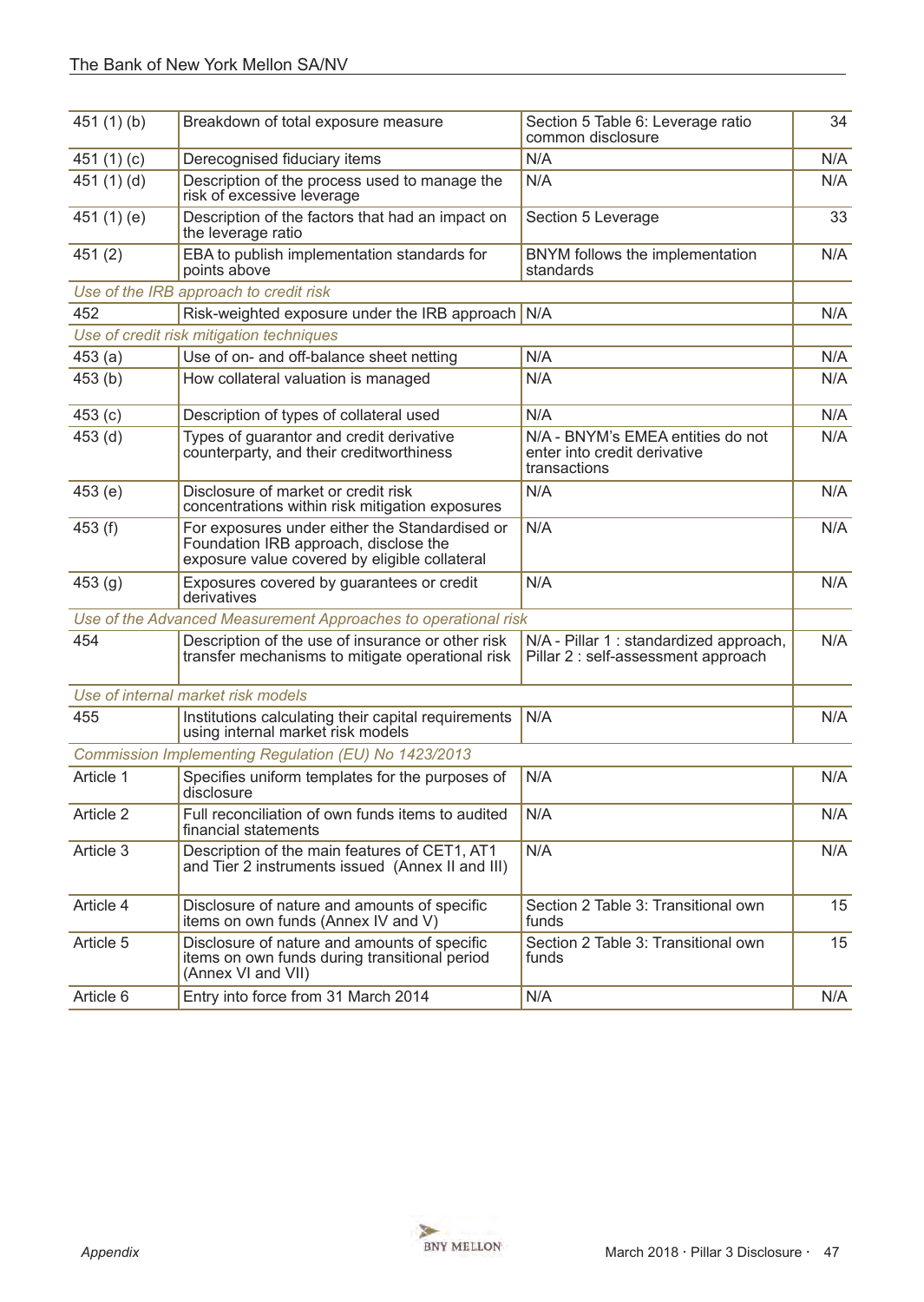| 451 $(1)(b)$ | Breakdown of total exposure measure                                                                                                      | Section 5 Table 6: Leverage ratio<br>common disclosure                            | 34               |
|--------------|------------------------------------------------------------------------------------------------------------------------------------------|-----------------------------------------------------------------------------------|------------------|
| 451 $(1)(c)$ | Derecognised fiduciary items                                                                                                             | N/A                                                                               | N/A              |
| 451 $(1)(d)$ | Description of the process used to manage the<br>risk of excessive leverage                                                              | N/A                                                                               | N/A              |
| 451(1)(e)    | Description of the factors that had an impact on<br>the leverage ratio                                                                   | Section 5 Leverage                                                                | 33               |
| 451(2)       | EBA to publish implementation standards for<br>points above                                                                              | BNYM follows the implementation<br>standards                                      | N/A              |
|              | Use of the IRB approach to credit risk                                                                                                   |                                                                                   |                  |
| 452          | Risk-weighted exposure under the IRB approach N/A                                                                                        |                                                                                   | N/A              |
|              | Use of credit risk mitigation techniques                                                                                                 |                                                                                   |                  |
| 453(a)       | Use of on- and off-balance sheet netting                                                                                                 | N/A                                                                               | N/A              |
| 453(b)       | How collateral valuation is managed                                                                                                      | N/A                                                                               | N/A              |
| 453(c)       | Description of types of collateral used                                                                                                  | N/A                                                                               | N/A              |
| 453(d)       | Types of guarantor and credit derivative<br>counterparty, and their creditworthiness                                                     | N/A - BNYM's EMEA entities do not<br>enter into credit derivative<br>transactions | N/A              |
| 453(e)       | Disclosure of market or credit risk<br>concentrations within risk mitigation exposures                                                   | N/A                                                                               | N/A              |
| 453 (f)      | For exposures under either the Standardised or<br>Foundation IRB approach, disclose the<br>exposure value covered by eligible collateral | N/A                                                                               | N/A              |
| 453(g)       | Exposures covered by guarantees or credit<br>derivatives                                                                                 | N/A                                                                               | N/A              |
|              | Use of the Advanced Measurement Approaches to operational risk                                                                           |                                                                                   |                  |
| 454          | Description of the use of insurance or other risk<br>transfer mechanisms to mitigate operational risk                                    | N/A - Pillar 1 : standardized approach,<br>Pillar 2 : self-assessment approach    | N/A              |
|              | Use of internal market risk models                                                                                                       |                                                                                   |                  |
| 455          | Institutions calculating their capital requirements<br>using internal market risk models                                                 | N/A                                                                               | N/A              |
|              | Commission Implementing Regulation (EU) No 1423/2013                                                                                     |                                                                                   |                  |
| Article 1    | Specifies uniform templates for the purposes of<br>disclosure                                                                            | N/A                                                                               | N/A              |
| Article 2    | Full reconciliation of own funds items to audited<br>financial statements                                                                | N/A                                                                               | N/A              |
| Article 3    | Description of the main features of CET1, AT1<br>and Tier 2 instruments issued (Annex II and III)                                        | N/A                                                                               | N/A              |
| Article 4    | Disclosure of nature and amounts of specific<br>items on own funds (Annex IV and V)                                                      | Section 2 Table 3: Transitional own<br>funds                                      | 15 <sub>15</sub> |
| Article 5    | Disclosure of nature and amounts of specific<br>items on own funds during transitional period<br>(Annex VI and VII)                      | Section 2 Table 3: Transitional own<br>funds                                      | 15 <sub>15</sub> |
| Article 6    | Entry into force from 31 March 2014                                                                                                      | N/A                                                                               | N/A              |